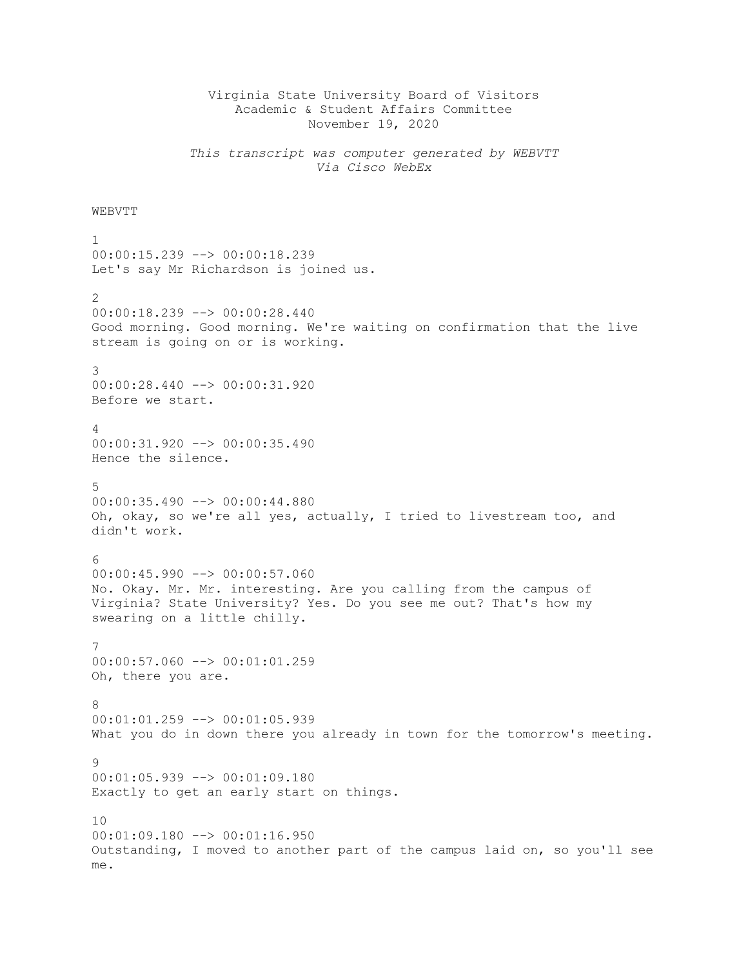## Virginia State University Board of Visitors Academic & Student Affairs Committee November 19, 2020

*This transcript was computer generated by WEBVTT Via Cisco WebEx*

## **WEBVTT**

1 00:00:15.239 --> 00:00:18.239 Let's say Mr Richardson is joined us. 2  $00:00:18.239$   $\longrightarrow$   $00:00:28.440$ Good morning. Good morning. We're waiting on confirmation that the live stream is going on or is working. 3 00:00:28.440 --> 00:00:31.920 Before we start. 4 00:00:31.920 --> 00:00:35.490 Hence the silence. 5 00:00:35.490 --> 00:00:44.880 Oh, okay, so we're all yes, actually, I tried to livestream too, and didn't work. 6  $00:00:45.990$  -->  $00:00:57.060$ No. Okay. Mr. Mr. interesting. Are you calling from the campus of Virginia? State University? Yes. Do you see me out? That's how my swearing on a little chilly. 7 00:00:57.060 --> 00:01:01.259 Oh, there you are. 8 00:01:01.259 --> 00:01:05.939 What you do in down there you already in town for the tomorrow's meeting. 9 00:01:05.939 --> 00:01:09.180 Exactly to get an early start on things.  $1<sub>0</sub>$  $00:01:09.180$  -->  $00:01:16.950$ Outstanding, I moved to another part of the campus laid on, so you'll see me.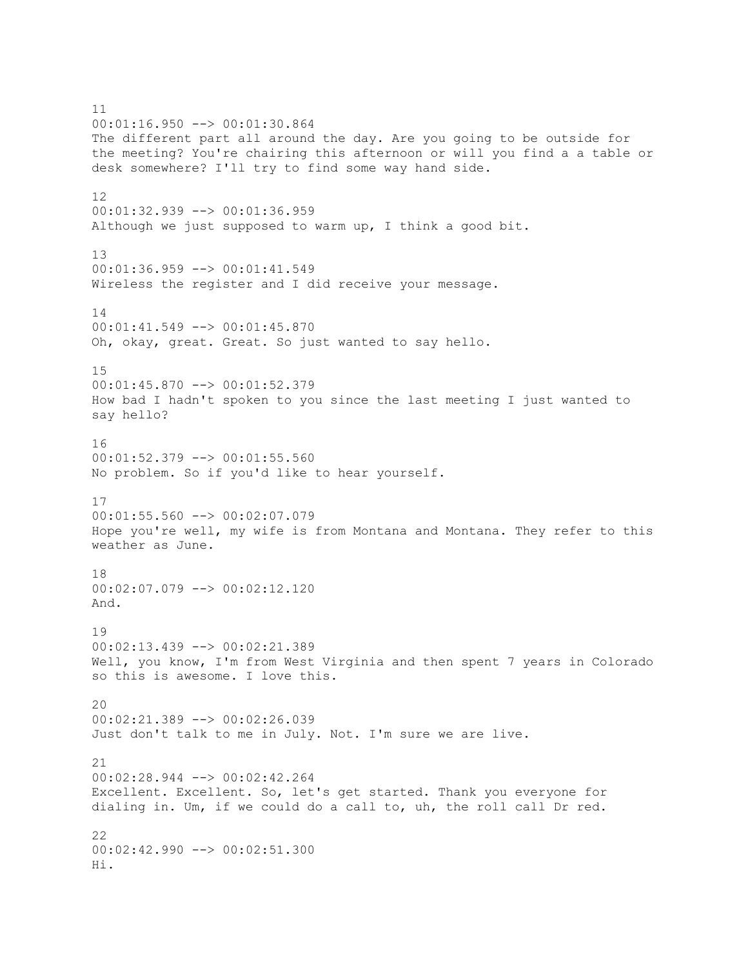11 00:01:16.950 --> 00:01:30.864 The different part all around the day. Are you going to be outside for the meeting? You're chairing this afternoon or will you find a a table or desk somewhere? I'll try to find some way hand side. 12 00:01:32.939 --> 00:01:36.959 Although we just supposed to warm up, I think a good bit. 13 00:01:36.959 --> 00:01:41.549 Wireless the register and I did receive your message. 14 00:01:41.549 --> 00:01:45.870 Oh, okay, great. Great. So just wanted to say hello. 15 00:01:45.870 --> 00:01:52.379 How bad I hadn't spoken to you since the last meeting I just wanted to say hello? 16 00:01:52.379 --> 00:01:55.560 No problem. So if you'd like to hear yourself. 17 00:01:55.560 --> 00:02:07.079 Hope you're well, my wife is from Montana and Montana. They refer to this weather as June. 18 00:02:07.079 --> 00:02:12.120 And. 19 00:02:13.439 --> 00:02:21.389 Well, you know, I'm from West Virginia and then spent 7 years in Colorado so this is awesome. I love this. 20 00:02:21.389 --> 00:02:26.039 Just don't talk to me in July. Not. I'm sure we are live. 21 00:02:28.944 --> 00:02:42.264 Excellent. Excellent. So, let's get started. Thank you everyone for dialing in. Um, if we could do a call to, uh, the roll call Dr red. 22 00:02:42.990 --> 00:02:51.300 Hi.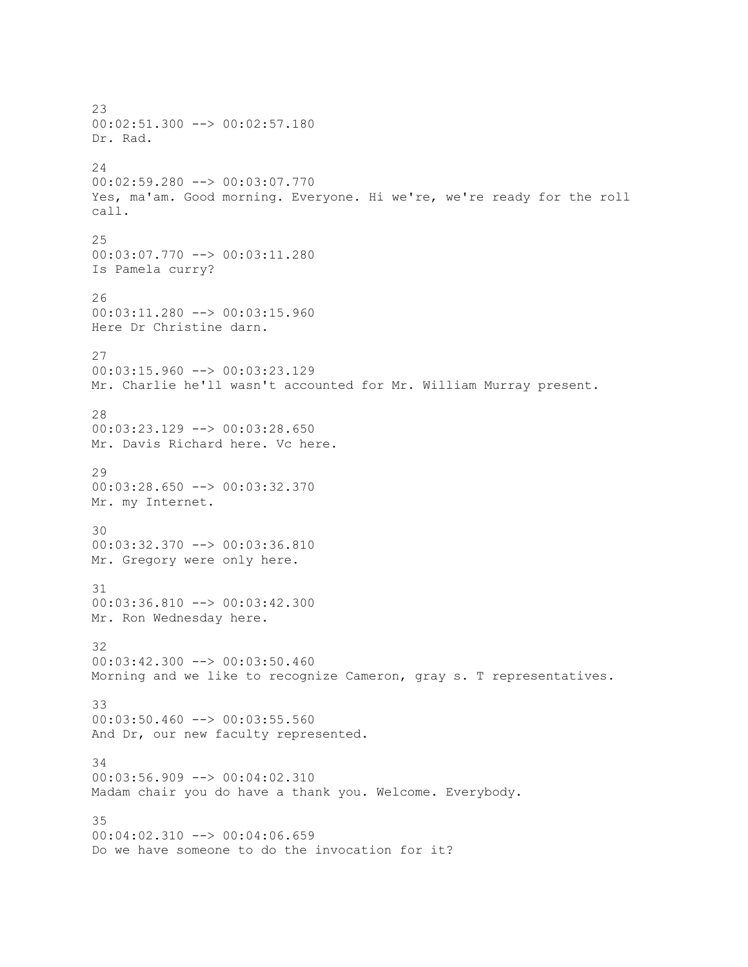23 00:02:51.300 --> 00:02:57.180 Dr. Rad. 24 00:02:59.280 --> 00:03:07.770 Yes, ma'am. Good morning. Everyone. Hi we're, we're ready for the roll call. 25 00:03:07.770 --> 00:03:11.280 Is Pamela curry? 26 00:03:11.280 --> 00:03:15.960 Here Dr Christine darn. 27 00:03:15.960 --> 00:03:23.129 Mr. Charlie he'll wasn't accounted for Mr. William Murray present. 28 00:03:23.129 --> 00:03:28.650 Mr. Davis Richard here. Vc here. 29 00:03:28.650 --> 00:03:32.370 Mr. my Internet. 30 00:03:32.370 --> 00:03:36.810 Mr. Gregory were only here. 31 00:03:36.810 --> 00:03:42.300 Mr. Ron Wednesday here. 32 00:03:42.300 --> 00:03:50.460 Morning and we like to recognize Cameron, gray s. T representatives. 33 00:03:50.460 --> 00:03:55.560 And Dr, our new faculty represented. 34 00:03:56.909 --> 00:04:02.310 Madam chair you do have a thank you. Welcome. Everybody. 35  $00:04:02.310$  -->  $00:04:06.659$ Do we have someone to do the invocation for it?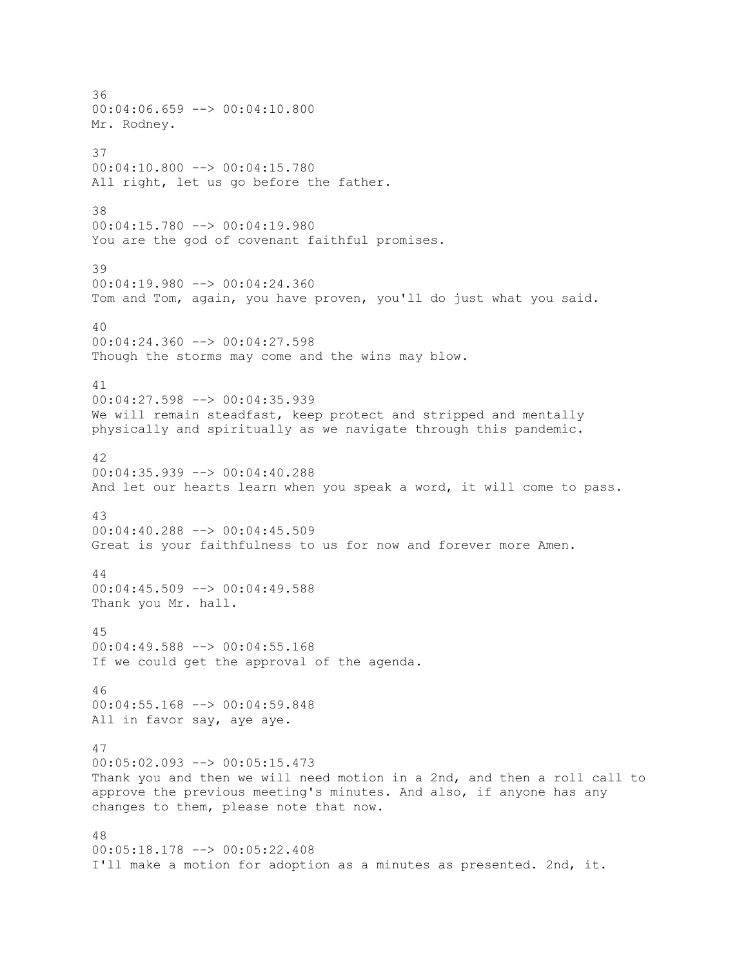36 00:04:06.659 --> 00:04:10.800 Mr. Rodney. 37 00:04:10.800 --> 00:04:15.780 All right, let us go before the father. 38 00:04:15.780 --> 00:04:19.980 You are the god of covenant faithful promises. 39 00:04:19.980 --> 00:04:24.360 Tom and Tom, again, you have proven, you'll do just what you said. 40 00:04:24.360 --> 00:04:27.598 Though the storms may come and the wins may blow. 41 00:04:27.598 --> 00:04:35.939 We will remain steadfast, keep protect and stripped and mentally physically and spiritually as we navigate through this pandemic. 42  $00:04:35.939$  -->  $00:04:40.288$ And let our hearts learn when you speak a word, it will come to pass. 43 00:04:40.288 --> 00:04:45.509 Great is your faithfulness to us for now and forever more Amen. 44 00:04:45.509 --> 00:04:49.588 Thank you Mr. hall. 45 00:04:49.588 --> 00:04:55.168 If we could get the approval of the agenda. 46 00:04:55.168 --> 00:04:59.848 All in favor say, aye aye. 47 00:05:02.093 --> 00:05:15.473 Thank you and then we will need motion in a 2nd, and then a roll call to approve the previous meeting's minutes. And also, if anyone has any changes to them, please note that now. 48 00:05:18.178 --> 00:05:22.408 I'll make a motion for adoption as a minutes as presented. 2nd, it.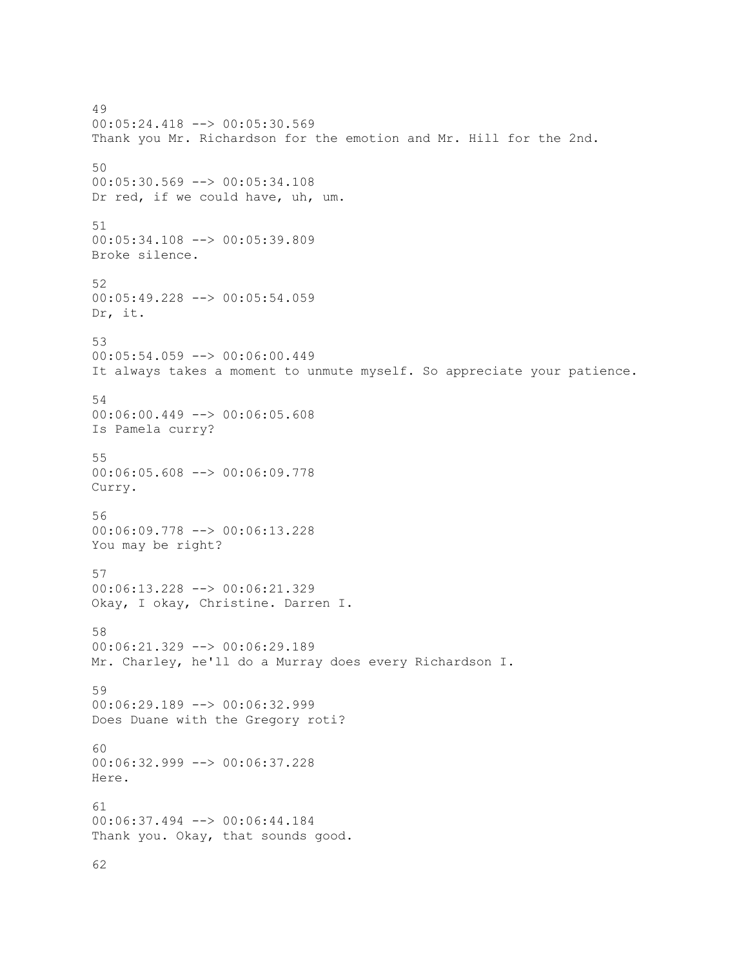49 00:05:24.418 --> 00:05:30.569 Thank you Mr. Richardson for the emotion and Mr. Hill for the 2nd. 50 00:05:30.569 --> 00:05:34.108 Dr red, if we could have, uh, um. 51 00:05:34.108 --> 00:05:39.809 Broke silence. 52 00:05:49.228 --> 00:05:54.059 Dr, it. 53 00:05:54.059 --> 00:06:00.449 It always takes a moment to unmute myself. So appreciate your patience. 54 00:06:00.449 --> 00:06:05.608 Is Pamela curry? 55 00:06:05.608 --> 00:06:09.778 Curry. 56 00:06:09.778 --> 00:06:13.228 You may be right? 57 00:06:13.228 --> 00:06:21.329 Okay, I okay, Christine. Darren I. 58 00:06:21.329 --> 00:06:29.189 Mr. Charley, he'll do a Murray does every Richardson I. 59 00:06:29.189 --> 00:06:32.999 Does Duane with the Gregory roti? 60 00:06:32.999 --> 00:06:37.228 Here. 61 00:06:37.494 --> 00:06:44.184 Thank you. Okay, that sounds good.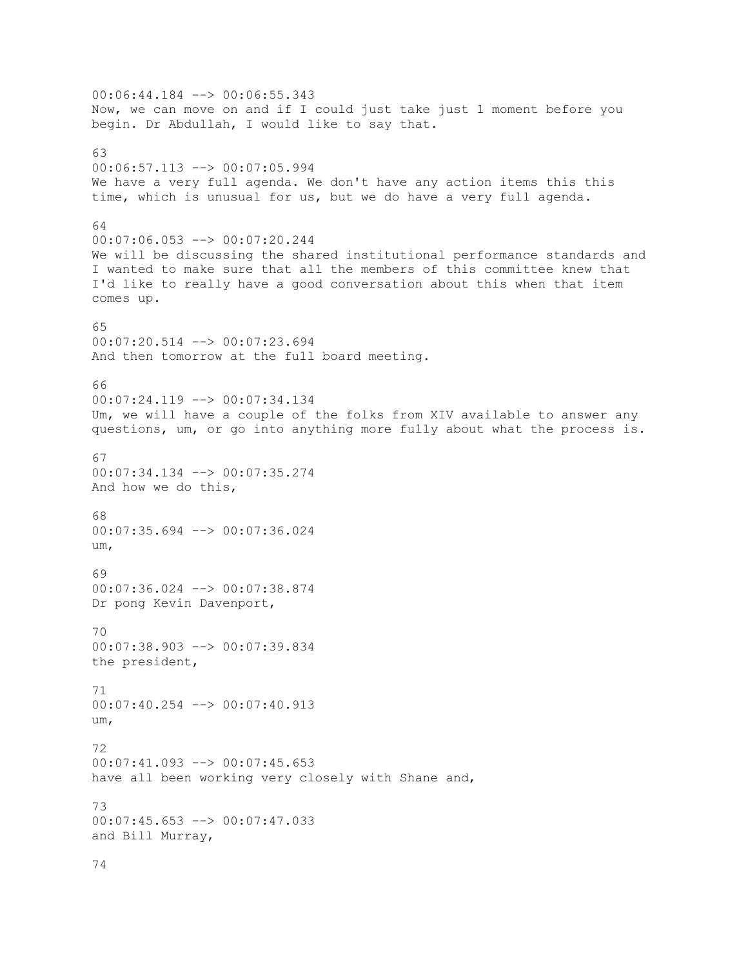00:06:44.184 --> 00:06:55.343 Now, we can move on and if I could just take just 1 moment before you begin. Dr Abdullah, I would like to say that. 63 00:06:57.113 --> 00:07:05.994 We have a very full agenda. We don't have any action items this this time, which is unusual for us, but we do have a very full agenda. 64 00:07:06.053 --> 00:07:20.244 We will be discussing the shared institutional performance standards and I wanted to make sure that all the members of this committee knew that I'd like to really have a good conversation about this when that item comes up. 65 00:07:20.514 --> 00:07:23.694 And then tomorrow at the full board meeting. 66 00:07:24.119 --> 00:07:34.134 Um, we will have a couple of the folks from XIV available to answer any questions, um, or go into anything more fully about what the process is. 67 00:07:34.134 --> 00:07:35.274 And how we do this, 68 00:07:35.694 --> 00:07:36.024 um, 69 00:07:36.024 --> 00:07:38.874 Dr pong Kevin Davenport, 70 00:07:38.903 --> 00:07:39.834 the president, 71 00:07:40.254 --> 00:07:40.913 um, 72 00:07:41.093 --> 00:07:45.653 have all been working very closely with Shane and, 73 00:07:45.653 --> 00:07:47.033 and Bill Murray, 74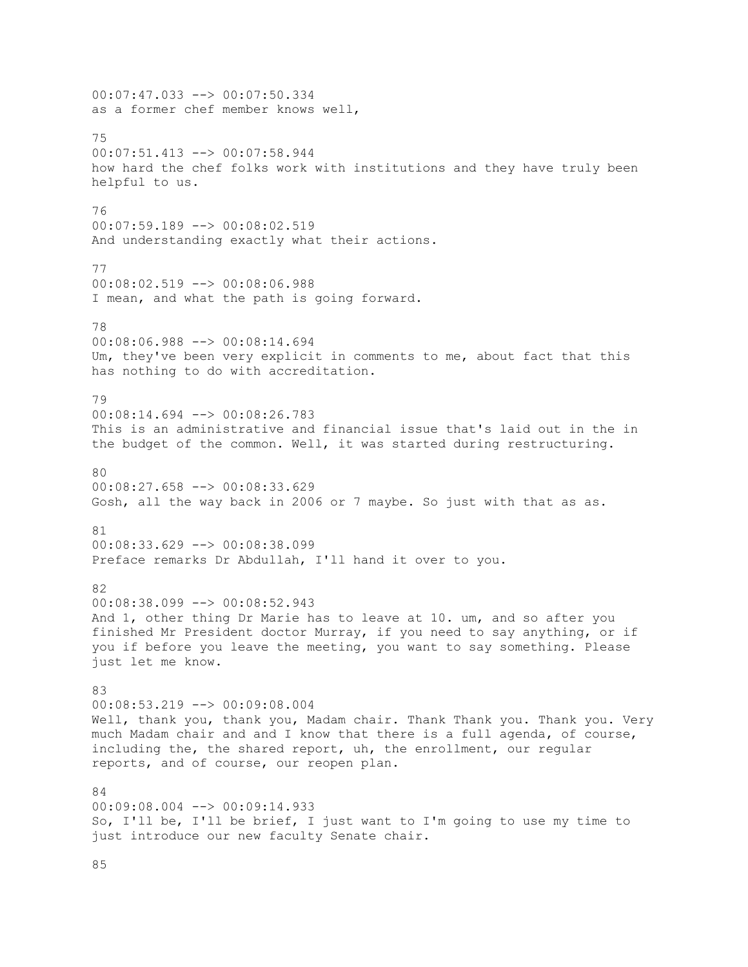00:07:47.033 --> 00:07:50.334 as a former chef member knows well, 75 00:07:51.413 --> 00:07:58.944 how hard the chef folks work with institutions and they have truly been helpful to us. 76 00:07:59.189 --> 00:08:02.519 And understanding exactly what their actions. 77 00:08:02.519 --> 00:08:06.988 I mean, and what the path is going forward. 78 00:08:06.988 --> 00:08:14.694 Um, they've been very explicit in comments to me, about fact that this has nothing to do with accreditation. 79 00:08:14.694 --> 00:08:26.783 This is an administrative and financial issue that's laid out in the in the budget of the common. Well, it was started during restructuring. 80 00:08:27.658 --> 00:08:33.629 Gosh, all the way back in 2006 or 7 maybe. So just with that as as. 81 00:08:33.629 --> 00:08:38.099 Preface remarks Dr Abdullah, I'll hand it over to you. 82 00:08:38.099 --> 00:08:52.943 And 1, other thing Dr Marie has to leave at 10. um, and so after you finished Mr President doctor Murray, if you need to say anything, or if you if before you leave the meeting, you want to say something. Please just let me know. 83 00:08:53.219 --> 00:09:08.004 Well, thank you, thank you, Madam chair. Thank Thank you. Thank you. Very much Madam chair and and I know that there is a full agenda, of course, including the, the shared report, uh, the enrollment, our regular reports, and of course, our reopen plan.  $91$ 00:09:08.004 --> 00:09:14.933 So, I'll be, I'll be brief, I just want to I'm going to use my time to just introduce our new faculty Senate chair.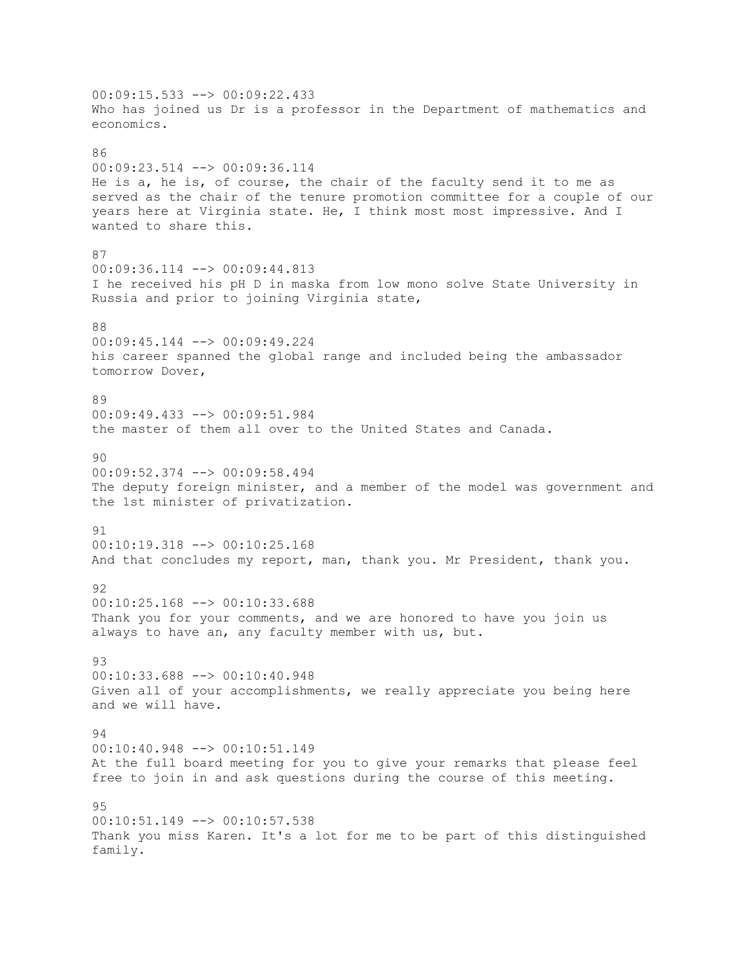00:09:15.533 --> 00:09:22.433 Who has joined us Dr is a professor in the Department of mathematics and economics.  $96$ 00:09:23.514 --> 00:09:36.114 He is a, he is, of course, the chair of the faculty send it to me as served as the chair of the tenure promotion committee for a couple of our years here at Virginia state. He, I think most most impressive. And I wanted to share this. 87 00:09:36.114 --> 00:09:44.813 I he received his pH D in maska from low mono solve State University in Russia and prior to joining Virginia state, 88 00:09:45.144 --> 00:09:49.224 his career spanned the global range and included being the ambassador tomorrow Dover, 89 00:09:49.433 --> 00:09:51.984 the master of them all over to the United States and Canada. 90 00:09:52.374 --> 00:09:58.494 The deputy foreign minister, and a member of the model was government and the 1st minister of privatization. 91 00:10:19.318 --> 00:10:25.168 And that concludes my report, man, thank you. Mr President, thank you.  $92$ 00:10:25.168 --> 00:10:33.688 Thank you for your comments, and we are honored to have you join us always to have an, any faculty member with us, but. 93 00:10:33.688 --> 00:10:40.948 Given all of your accomplishments, we really appreciate you being here and we will have. 94 00:10:40.948 --> 00:10:51.149 At the full board meeting for you to give your remarks that please feel free to join in and ask questions during the course of this meeting. 95 00:10:51.149 --> 00:10:57.538 Thank you miss Karen. It's a lot for me to be part of this distinguished family.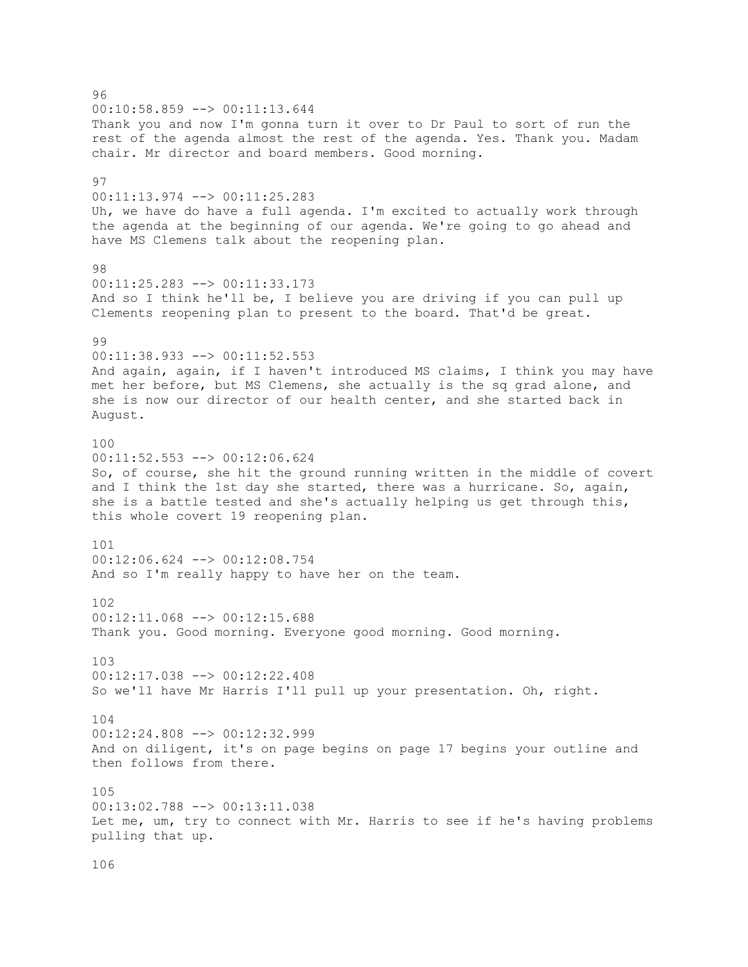96 00:10:58.859 --> 00:11:13.644 Thank you and now I'm gonna turn it over to Dr Paul to sort of run the rest of the agenda almost the rest of the agenda. Yes. Thank you. Madam chair. Mr director and board members. Good morning. 97 00:11:13.974 --> 00:11:25.283 Uh, we have do have a full agenda. I'm excited to actually work through the agenda at the beginning of our agenda. We're going to go ahead and have MS Clemens talk about the reopening plan. 98 00:11:25.283 --> 00:11:33.173 And so I think he'll be, I believe you are driving if you can pull up Clements reopening plan to present to the board. That'd be great. 99 00:11:38.933 --> 00:11:52.553 And again, again, if I haven't introduced MS claims, I think you may have met her before, but MS Clemens, she actually is the sq grad alone, and she is now our director of our health center, and she started back in August. 100 00:11:52.553 --> 00:12:06.624 So, of course, she hit the ground running written in the middle of covert and I think the 1st day she started, there was a hurricane. So, again, she is a battle tested and she's actually helping us get through this, this whole covert 19 reopening plan. 101 00:12:06.624 --> 00:12:08.754 And so I'm really happy to have her on the team. 102 00:12:11.068 --> 00:12:15.688 Thank you. Good morning. Everyone good morning. Good morning. 103 00:12:17.038 --> 00:12:22.408 So we'll have Mr Harris I'll pull up your presentation. Oh, right. 104 00:12:24.808 --> 00:12:32.999 And on diligent, it's on page begins on page 17 begins your outline and then follows from there. 105 00:13:02.788 --> 00:13:11.038 Let me, um, try to connect with Mr. Harris to see if he's having problems pulling that up.

106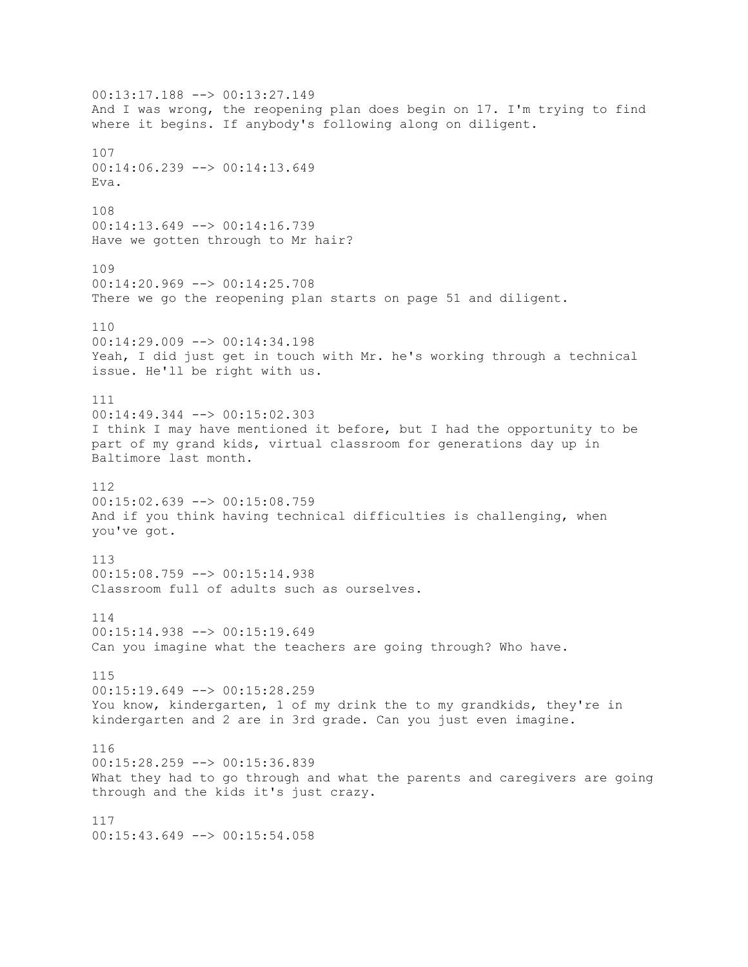00:13:17.188 --> 00:13:27.149 And I was wrong, the reopening plan does begin on 17. I'm trying to find where it begins. If anybody's following along on diligent. 107 00:14:06.239 --> 00:14:13.649 Eva. 108 00:14:13.649 --> 00:14:16.739 Have we gotten through to Mr hair? 109 00:14:20.969 --> 00:14:25.708 There we go the reopening plan starts on page 51 and diligent. 110 00:14:29.009 --> 00:14:34.198 Yeah, I did just get in touch with Mr. he's working through a technical issue. He'll be right with us. 111 00:14:49.344 --> 00:15:02.303 I think I may have mentioned it before, but I had the opportunity to be part of my grand kids, virtual classroom for generations day up in Baltimore last month. 112 00:15:02.639 --> 00:15:08.759 And if you think having technical difficulties is challenging, when you've got. 113  $00:15:08.759$  -->  $00:15:14.938$ Classroom full of adults such as ourselves. 114 00:15:14.938 --> 00:15:19.649 Can you imagine what the teachers are going through? Who have. 115 00:15:19.649 --> 00:15:28.259 You know, kindergarten, 1 of my drink the to my grandkids, they're in kindergarten and 2 are in 3rd grade. Can you just even imagine. 116 00:15:28.259 --> 00:15:36.839 What they had to go through and what the parents and caregivers are going through and the kids it's just crazy. 117 00:15:43.649 --> 00:15:54.058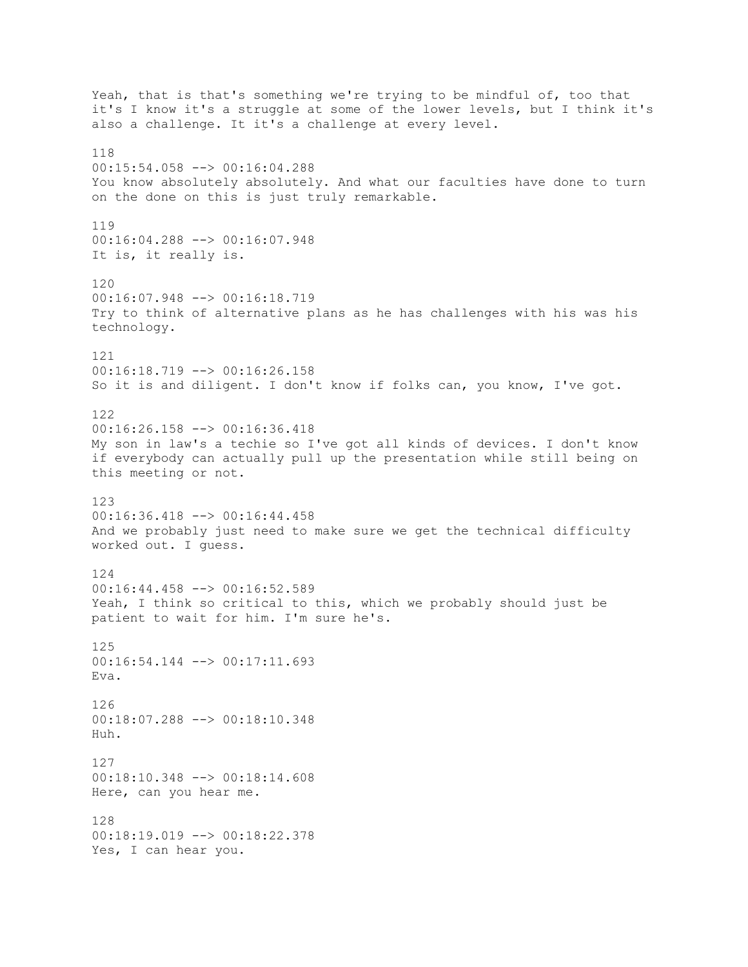Yeah, that is that's something we're trying to be mindful of, too that it's I know it's a struggle at some of the lower levels, but I think it's also a challenge. It it's a challenge at every level. 118 00:15:54.058 --> 00:16:04.288 You know absolutely absolutely. And what our faculties have done to turn on the done on this is just truly remarkable. 119 00:16:04.288 --> 00:16:07.948 It is, it really is. 120 00:16:07.948 --> 00:16:18.719 Try to think of alternative plans as he has challenges with his was his technology. 121 00:16:18.719 --> 00:16:26.158 So it is and diligent. I don't know if folks can, you know, I've got. 122 00:16:26.158 --> 00:16:36.418 My son in law's a techie so I've got all kinds of devices. I don't know if everybody can actually pull up the presentation while still being on this meeting or not. 123 00:16:36.418 --> 00:16:44.458 And we probably just need to make sure we get the technical difficulty worked out. I guess. 124 00:16:44.458 --> 00:16:52.589 Yeah, I think so critical to this, which we probably should just be patient to wait for him. I'm sure he's. 125 00:16:54.144 --> 00:17:11.693 Eva. 126 00:18:07.288 --> 00:18:10.348 Huh. 127 00:18:10.348 --> 00:18:14.608 Here, can you hear me. 128 00:18:19.019 --> 00:18:22.378 Yes, I can hear you.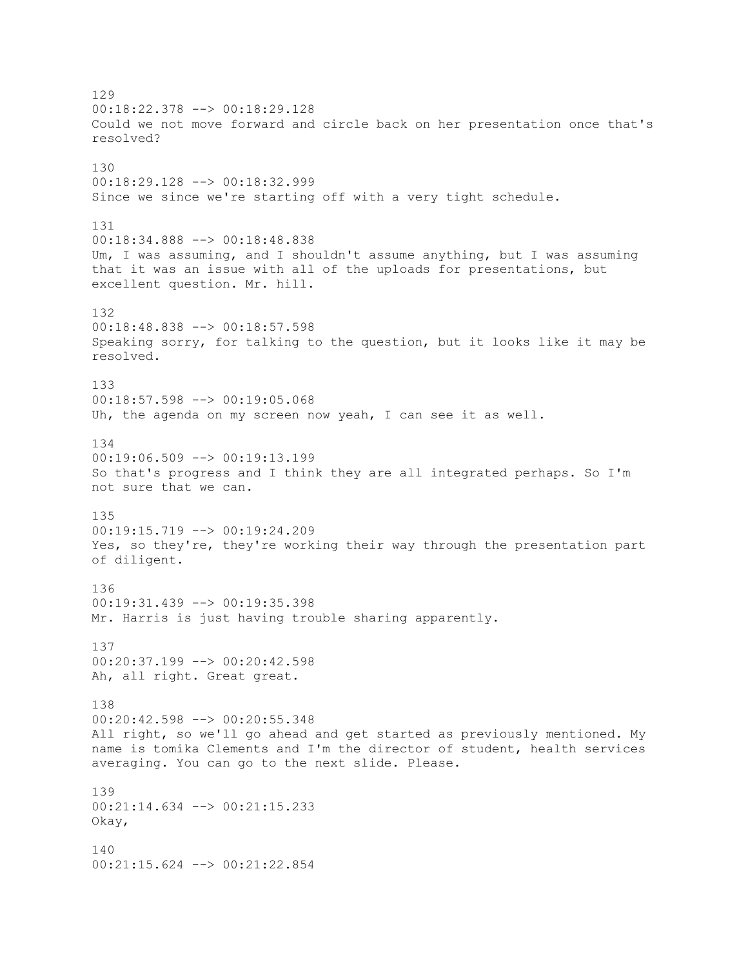129 00:18:22.378 --> 00:18:29.128 Could we not move forward and circle back on her presentation once that's resolved? 130 00:18:29.128 --> 00:18:32.999 Since we since we're starting off with a very tight schedule. 131 00:18:34.888 --> 00:18:48.838 Um, I was assuming, and I shouldn't assume anything, but I was assuming that it was an issue with all of the uploads for presentations, but excellent question. Mr. hill. 132 00:18:48.838 --> 00:18:57.598 Speaking sorry, for talking to the question, but it looks like it may be resolved. 133 00:18:57.598 --> 00:19:05.068 Uh, the agenda on my screen now yeah, I can see it as well. 134 00:19:06.509 --> 00:19:13.199 So that's progress and I think they are all integrated perhaps. So I'm not sure that we can. 135 00:19:15.719 --> 00:19:24.209 Yes, so they're, they're working their way through the presentation part of diligent. 136 00:19:31.439 --> 00:19:35.398 Mr. Harris is just having trouble sharing apparently. 137 00:20:37.199 --> 00:20:42.598 Ah, all right. Great great. 138 00:20:42.598 --> 00:20:55.348 All right, so we'll go ahead and get started as previously mentioned. My name is tomika Clements and I'm the director of student, health services averaging. You can go to the next slide. Please. 139 00:21:14.634 --> 00:21:15.233 Okay, 140 00:21:15.624 --> 00:21:22.854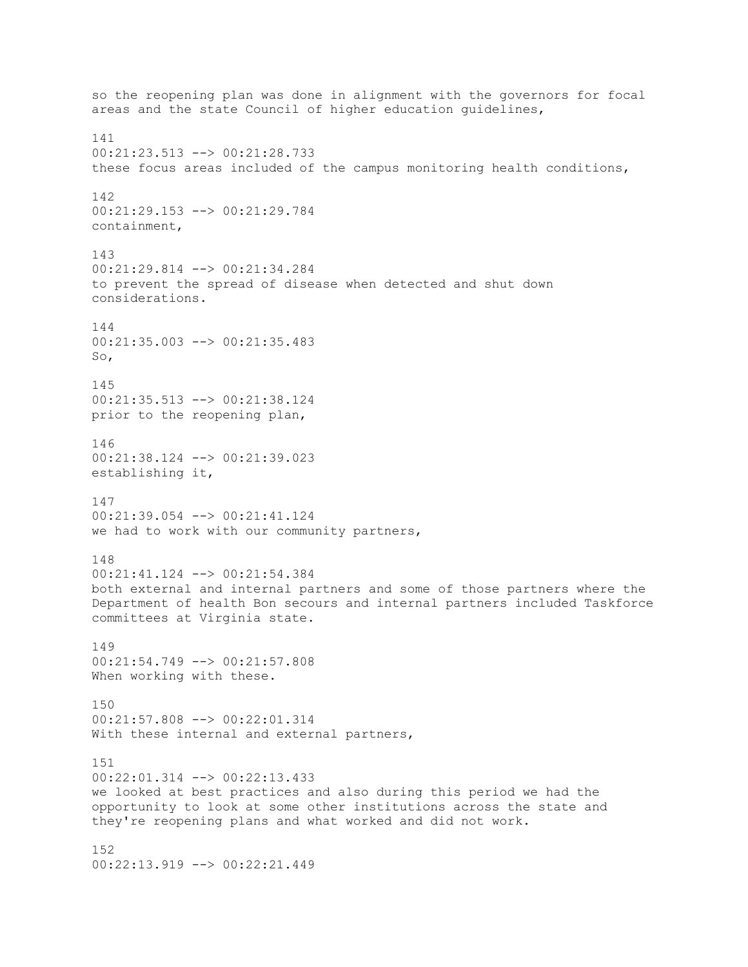so the reopening plan was done in alignment with the governors for focal areas and the state Council of higher education guidelines, 141 00:21:23.513 --> 00:21:28.733 these focus areas included of the campus monitoring health conditions, 142 00:21:29.153 --> 00:21:29.784 containment, 143 00:21:29.814 --> 00:21:34.284 to prevent the spread of disease when detected and shut down considerations. 144 00:21:35.003 --> 00:21:35.483 So, 145 00:21:35.513 --> 00:21:38.124 prior to the reopening plan, 146 00:21:38.124 --> 00:21:39.023 establishing it, 147 00:21:39.054 --> 00:21:41.124 we had to work with our community partners, 148  $00:21:41.124$  -->  $00:21:54.384$ both external and internal partners and some of those partners where the Department of health Bon secours and internal partners included Taskforce committees at Virginia state. 149 00:21:54.749 --> 00:21:57.808 When working with these. 150 00:21:57.808 --> 00:22:01.314 With these internal and external partners, 151 00:22:01.314 --> 00:22:13.433 we looked at best practices and also during this period we had the opportunity to look at some other institutions across the state and they're reopening plans and what worked and did not work. 152

00:22:13.919 --> 00:22:21.449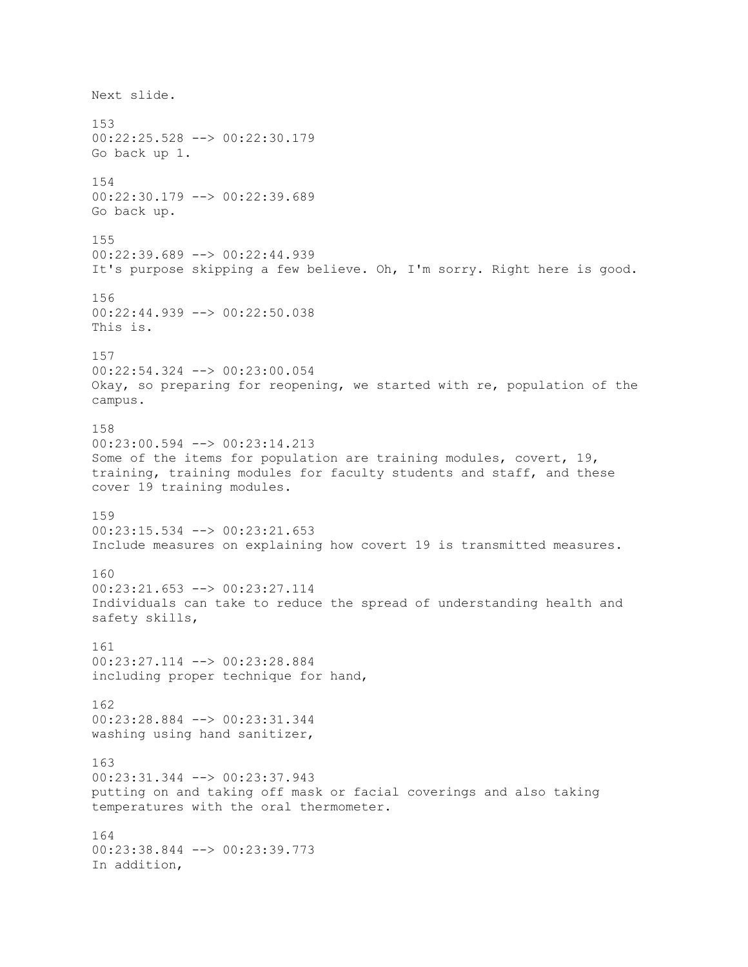Next slide. 153 00:22:25.528 --> 00:22:30.179 Go back up 1. 154 00:22:30.179 --> 00:22:39.689 Go back up. 155 00:22:39.689 --> 00:22:44.939 It's purpose skipping a few believe. Oh, I'm sorry. Right here is good. 156 00:22:44.939 --> 00:22:50.038 This is. 157 00:22:54.324 --> 00:23:00.054 Okay, so preparing for reopening, we started with re, population of the campus. 158 00:23:00.594 --> 00:23:14.213 Some of the items for population are training modules, covert, 19, training, training modules for faculty students and staff, and these cover 19 training modules. 159 00:23:15.534 --> 00:23:21.653 Include measures on explaining how covert 19 is transmitted measures. 160 00:23:21.653 --> 00:23:27.114 Individuals can take to reduce the spread of understanding health and safety skills, 161 00:23:27.114 --> 00:23:28.884 including proper technique for hand, 162 00:23:28.884 --> 00:23:31.344 washing using hand sanitizer, 163 00:23:31.344 --> 00:23:37.943 putting on and taking off mask or facial coverings and also taking temperatures with the oral thermometer. 164 00:23:38.844 --> 00:23:39.773 In addition,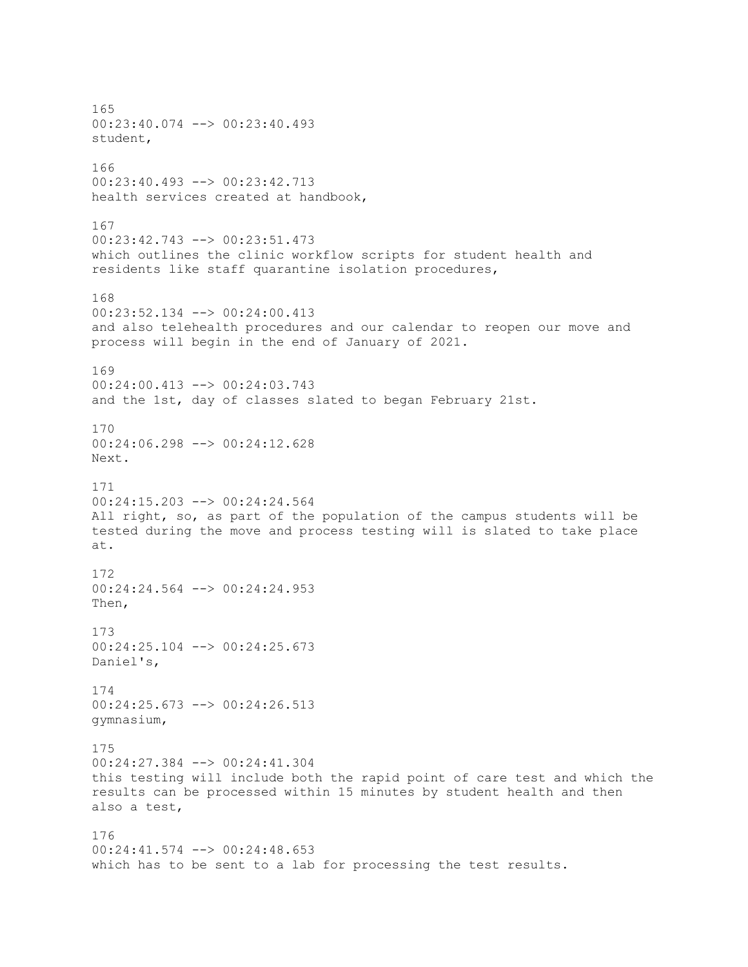165 00:23:40.074 --> 00:23:40.493 student, 166 00:23:40.493 --> 00:23:42.713 health services created at handbook, 167 00:23:42.743 --> 00:23:51.473 which outlines the clinic workflow scripts for student health and residents like staff quarantine isolation procedures, 168 00:23:52.134 --> 00:24:00.413 and also telehealth procedures and our calendar to reopen our move and process will begin in the end of January of 2021. 169 00:24:00.413 --> 00:24:03.743 and the 1st, day of classes slated to began February 21st. 170 00:24:06.298 --> 00:24:12.628 Next. 171 00:24:15.203 --> 00:24:24.564 All right, so, as part of the population of the campus students will be tested during the move and process testing will is slated to take place at. 172 00:24:24.564 --> 00:24:24.953 Then, 173 00:24:25.104 --> 00:24:25.673 Daniel's, 174 00:24:25.673 --> 00:24:26.513 gymnasium, 175 00:24:27.384 --> 00:24:41.304 this testing will include both the rapid point of care test and which the results can be processed within 15 minutes by student health and then also a test, 176 00:24:41.574 --> 00:24:48.653 which has to be sent to a lab for processing the test results.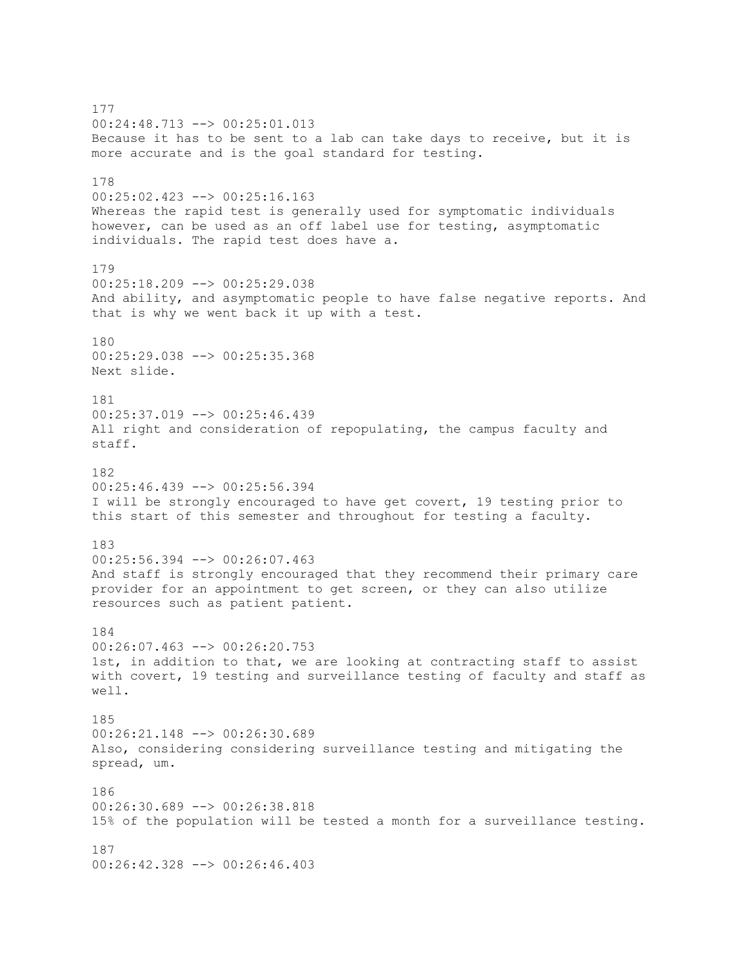177 00:24:48.713 --> 00:25:01.013 Because it has to be sent to a lab can take days to receive, but it is more accurate and is the goal standard for testing. 178 00:25:02.423 --> 00:25:16.163 Whereas the rapid test is generally used for symptomatic individuals however, can be used as an off label use for testing, asymptomatic individuals. The rapid test does have a. 179 00:25:18.209 --> 00:25:29.038 And ability, and asymptomatic people to have false negative reports. And that is why we went back it up with a test. 180 00:25:29.038 --> 00:25:35.368 Next slide. 181 00:25:37.019 --> 00:25:46.439 All right and consideration of repopulating, the campus faculty and staff. 182 00:25:46.439 --> 00:25:56.394 I will be strongly encouraged to have get covert, 19 testing prior to this start of this semester and throughout for testing a faculty. 183 00:25:56.394 --> 00:26:07.463 And staff is strongly encouraged that they recommend their primary care provider for an appointment to get screen, or they can also utilize resources such as patient patient. 184 00:26:07.463 --> 00:26:20.753 1st, in addition to that, we are looking at contracting staff to assist with covert, 19 testing and surveillance testing of faculty and staff as well. 185 00:26:21.148 --> 00:26:30.689 Also, considering considering surveillance testing and mitigating the spread, um. 186  $00:26:30.689$  -->  $00:26:38.818$ 15% of the population will be tested a month for a surveillance testing. 187 00:26:42.328 --> 00:26:46.403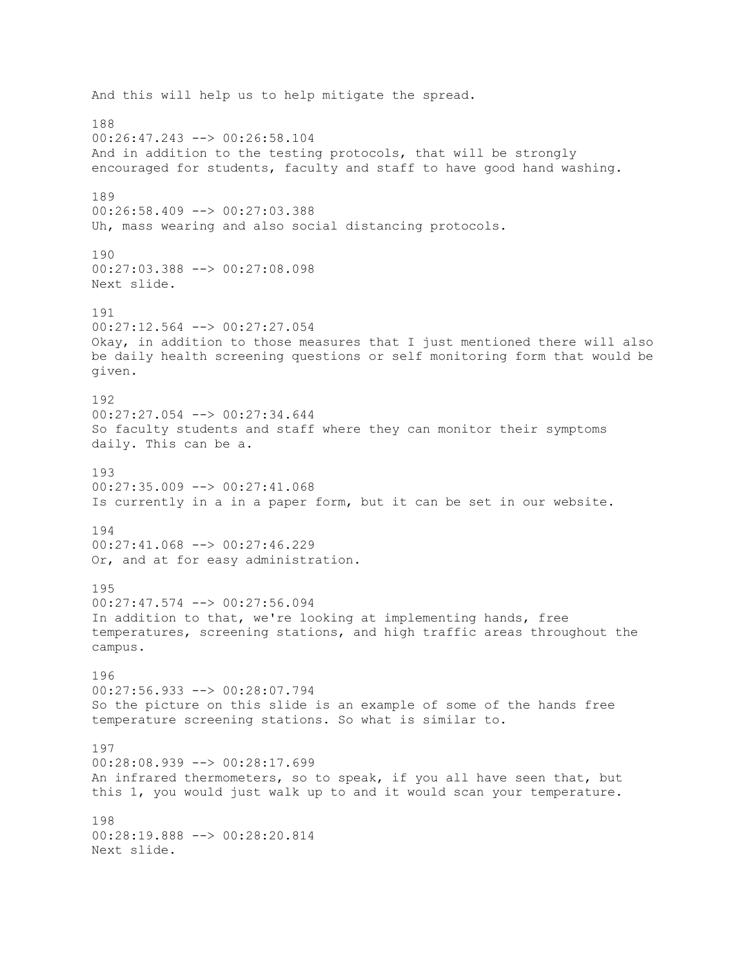And this will help us to help mitigate the spread. 188 00:26:47.243 --> 00:26:58.104 And in addition to the testing protocols, that will be strongly encouraged for students, faculty and staff to have good hand washing. 189 00:26:58.409 --> 00:27:03.388 Uh, mass wearing and also social distancing protocols. 190 00:27:03.388 --> 00:27:08.098 Next slide. 191 00:27:12.564 --> 00:27:27.054 Okay, in addition to those measures that I just mentioned there will also be daily health screening questions or self monitoring form that would be given. 192 00:27:27.054 --> 00:27:34.644 So faculty students and staff where they can monitor their symptoms daily. This can be a. 193  $00:27:35.009$   $\rightarrow$   $\rightarrow$  00:27:41.068 Is currently in a in a paper form, but it can be set in our website. 194 00:27:41.068 --> 00:27:46.229 Or, and at for easy administration. 195 00:27:47.574 --> 00:27:56.094 In addition to that, we're looking at implementing hands, free temperatures, screening stations, and high traffic areas throughout the campus. 196 00:27:56.933 --> 00:28:07.794 So the picture on this slide is an example of some of the hands free temperature screening stations. So what is similar to. 197 00:28:08.939 --> 00:28:17.699 An infrared thermometers, so to speak, if you all have seen that, but this 1, you would just walk up to and it would scan your temperature. 198 00:28:19.888 --> 00:28:20.814 Next slide.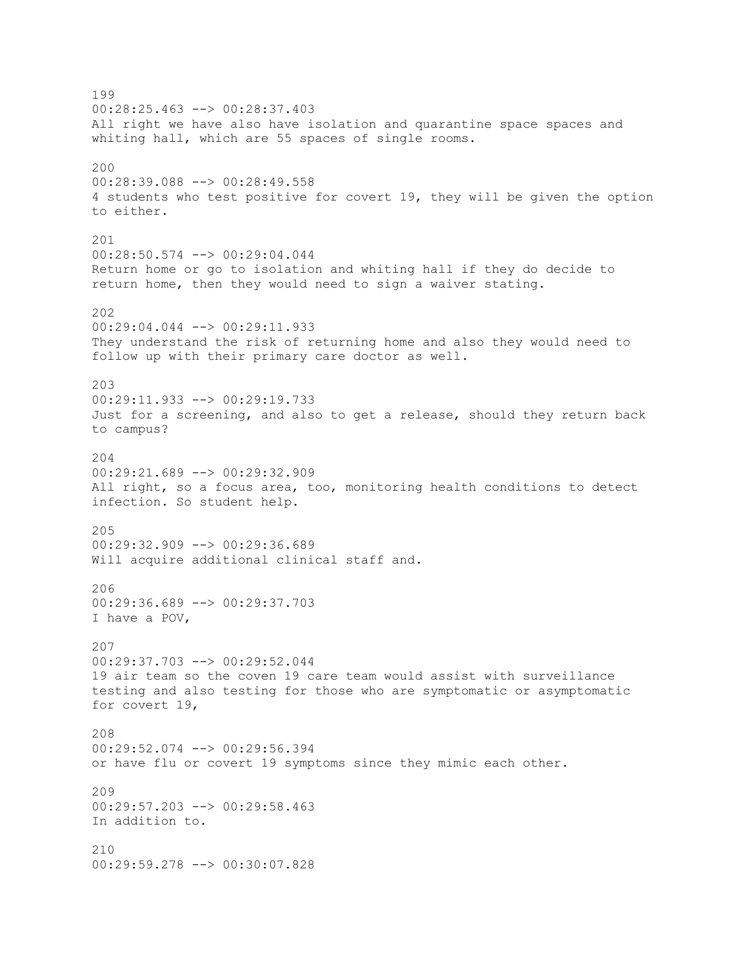199 00:28:25.463 --> 00:28:37.403 All right we have also have isolation and quarantine space spaces and whiting hall, which are 55 spaces of single rooms. 200 00:28:39.088 --> 00:28:49.558 4 students who test positive for covert 19, they will be given the option to either. 201 00:28:50.574 --> 00:29:04.044 Return home or go to isolation and whiting hall if they do decide to return home, then they would need to sign a waiver stating. 202 00:29:04.044 --> 00:29:11.933 They understand the risk of returning home and also they would need to follow up with their primary care doctor as well. 203 00:29:11.933 --> 00:29:19.733 Just for a screening, and also to get a release, should they return back to campus? 204  $00:29:21.689$  -->  $00:29:32.909$ All right, so a focus area, too, monitoring health conditions to detect infection. So student help. 205 00:29:32.909 --> 00:29:36.689 Will acquire additional clinical staff and. 206 00:29:36.689 --> 00:29:37.703 I have a POV, 207 00:29:37.703 --> 00:29:52.044 19 air team so the coven 19 care team would assist with surveillance testing and also testing for those who are symptomatic or asymptomatic for covert 19, 208 00:29:52.074 --> 00:29:56.394 or have flu or covert 19 symptoms since they mimic each other. 209  $00:29:57.203$  -->  $00:29:58.463$ In addition to. 210 00:29:59.278 --> 00:30:07.828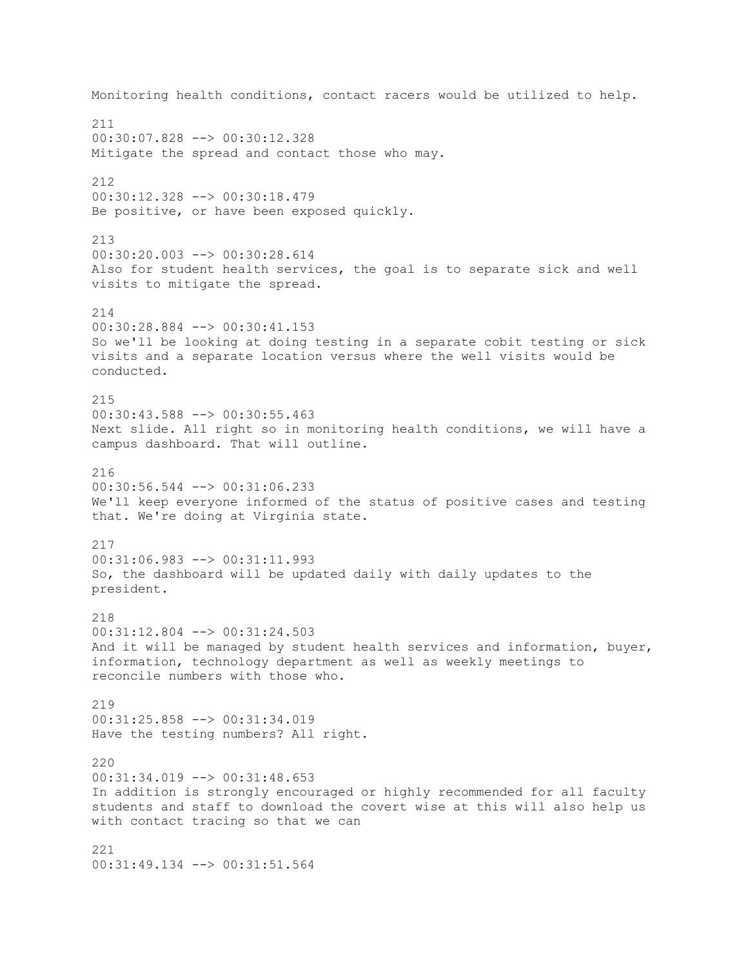Monitoring health conditions, contact racers would be utilized to help. 211 00:30:07.828 --> 00:30:12.328 Mitigate the spread and contact those who may. 212 00:30:12.328 --> 00:30:18.479 Be positive, or have been exposed quickly. 213 00:30:20.003 --> 00:30:28.614 Also for student health services, the goal is to separate sick and well visits to mitigate the spread. 214 00:30:28.884 --> 00:30:41.153 So we'll be looking at doing testing in a separate cobit testing or sick visits and a separate location versus where the well visits would be conducted. 215 00:30:43.588 --> 00:30:55.463 Next slide. All right so in monitoring health conditions, we will have a campus dashboard. That will outline. 216 00:30:56.544 --> 00:31:06.233 We'll keep everyone informed of the status of positive cases and testing that. We're doing at Virginia state. 217 00:31:06.983 --> 00:31:11.993 So, the dashboard will be updated daily with daily updates to the president. 218 00:31:12.804 --> 00:31:24.503 And it will be managed by student health services and information, buyer, information, technology department as well as weekly meetings to reconcile numbers with those who. 219 00:31:25.858 --> 00:31:34.019 Have the testing numbers? All right. 220 00:31:34.019 --> 00:31:48.653 In addition is strongly encouraged or highly recommended for all faculty students and staff to download the covert wise at this will also help us with contact tracing so that we can 221 00:31:49.134 --> 00:31:51.564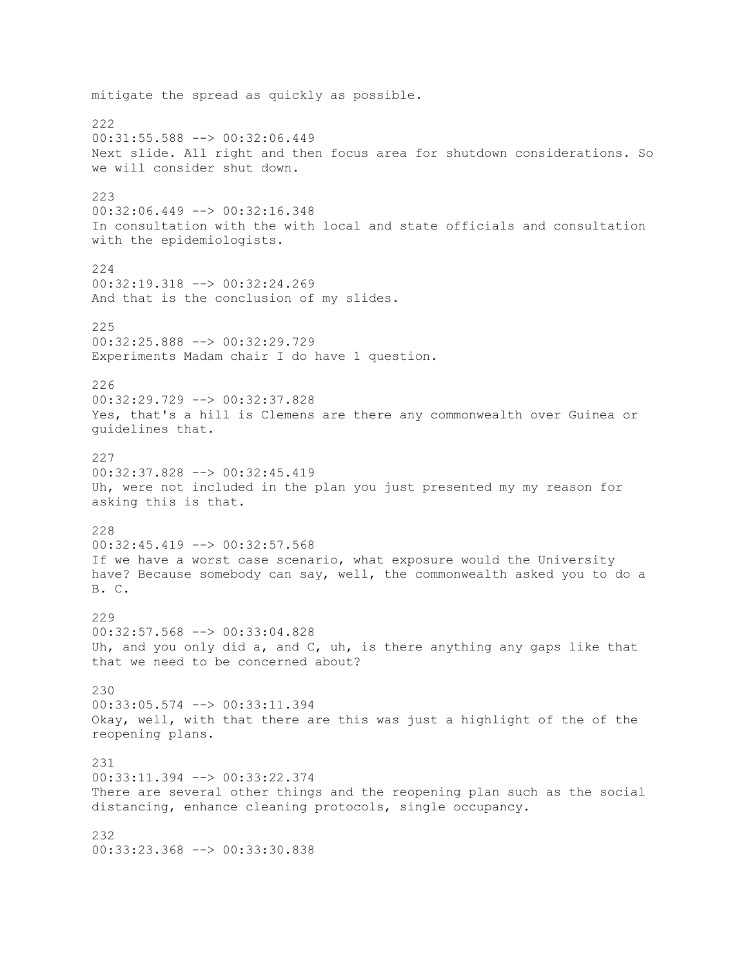mitigate the spread as quickly as possible. 222 00:31:55.588 --> 00:32:06.449 Next slide. All right and then focus area for shutdown considerations. So we will consider shut down. 223 00:32:06.449 --> 00:32:16.348 In consultation with the with local and state officials and consultation with the epidemiologists. 224 00:32:19.318 --> 00:32:24.269 And that is the conclusion of my slides. 225 00:32:25.888 --> 00:32:29.729 Experiments Madam chair I do have 1 question. 226 00:32:29.729 --> 00:32:37.828 Yes, that's a hill is Clemens are there any commonwealth over Guinea or guidelines that. 227  $00:32:37.828$  -->  $00:32:45.419$ Uh, were not included in the plan you just presented my my reason for asking this is that. 228 00:32:45.419 --> 00:32:57.568 If we have a worst case scenario, what exposure would the University have? Because somebody can say, well, the commonwealth asked you to do a B. C. 229 00:32:57.568 --> 00:33:04.828 Uh, and you only did a, and C, uh, is there anything any gaps like that that we need to be concerned about? 230 00:33:05.574 --> 00:33:11.394 Okay, well, with that there are this was just a highlight of the of the reopening plans. 231 00:33:11.394 --> 00:33:22.374 There are several other things and the reopening plan such as the social distancing, enhance cleaning protocols, single occupancy. 232 00:33:23.368 --> 00:33:30.838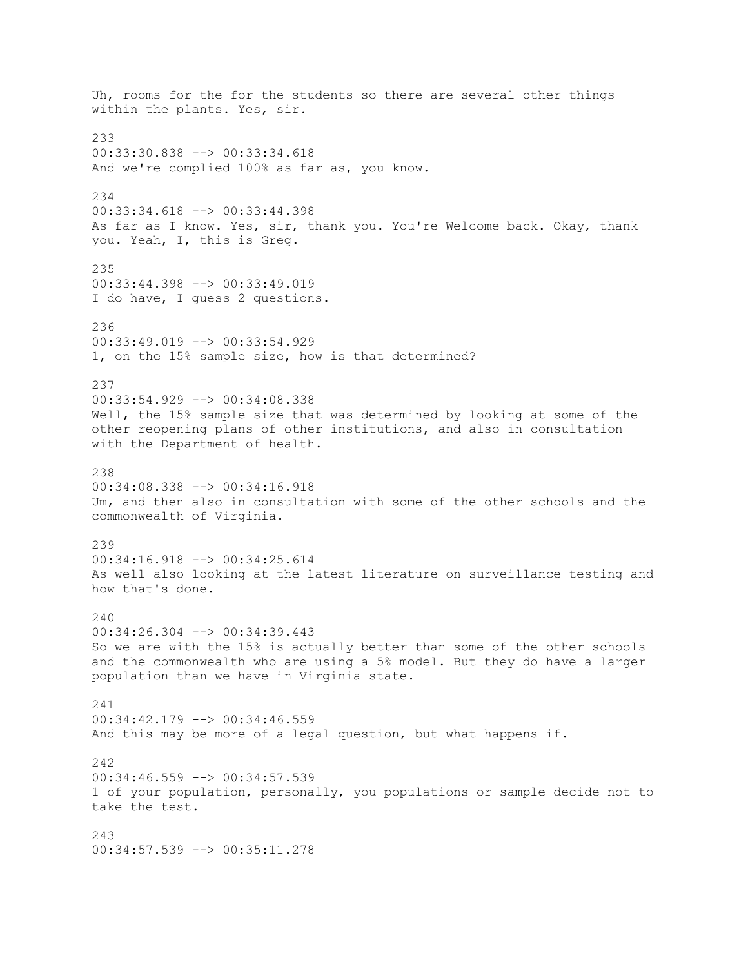Uh, rooms for the for the students so there are several other things within the plants. Yes, sir. 233 00:33:30.838 --> 00:33:34.618 And we're complied 100% as far as, you know. 234 00:33:34.618 --> 00:33:44.398 As far as I know. Yes, sir, thank you. You're Welcome back. Okay, thank you. Yeah, I, this is Greg. 235 00:33:44.398 --> 00:33:49.019 I do have, I guess 2 questions. 236 00:33:49.019 --> 00:33:54.929 1, on the 15% sample size, how is that determined? 237 00:33:54.929 --> 00:34:08.338 Well, the 15% sample size that was determined by looking at some of the other reopening plans of other institutions, and also in consultation with the Department of health. 238 00:34:08.338 --> 00:34:16.918 Um, and then also in consultation with some of the other schools and the commonwealth of Virginia. 239 00:34:16.918 --> 00:34:25.614 As well also looking at the latest literature on surveillance testing and how that's done.  $240$ 00:34:26.304 --> 00:34:39.443 So we are with the 15% is actually better than some of the other schools and the commonwealth who are using a 5% model. But they do have a larger population than we have in Virginia state. 241 00:34:42.179 --> 00:34:46.559 And this may be more of a legal question, but what happens if. 242 00:34:46.559 --> 00:34:57.539 1 of your population, personally, you populations or sample decide not to take the test. 243 00:34:57.539 --> 00:35:11.278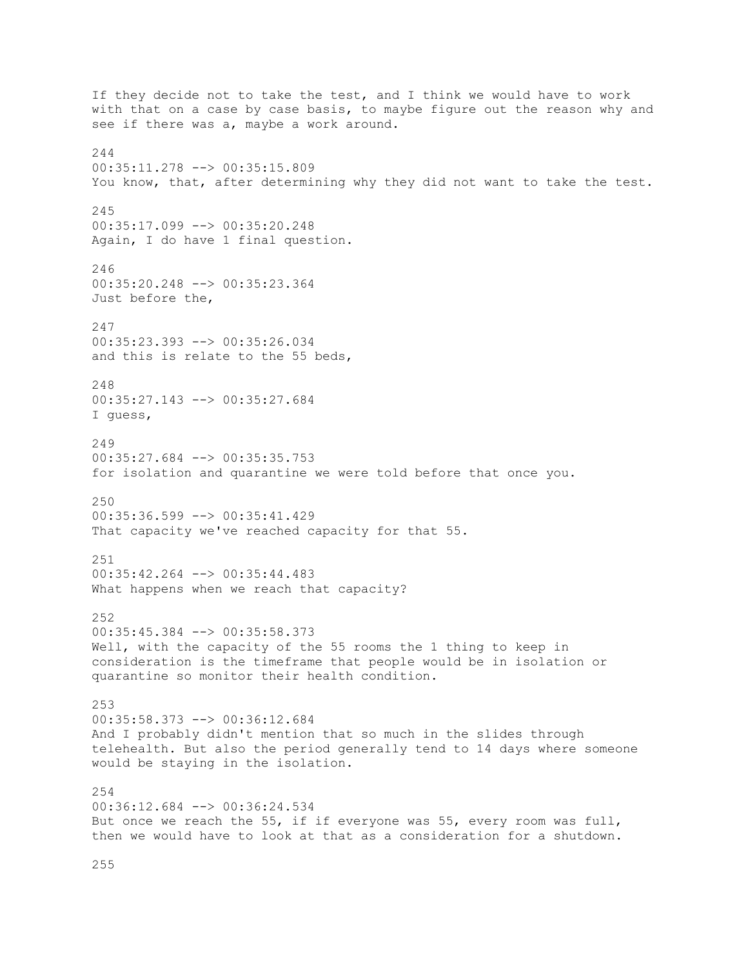If they decide not to take the test, and I think we would have to work with that on a case by case basis, to maybe figure out the reason why and see if there was a, maybe a work around. 244 00:35:11.278 --> 00:35:15.809 You know, that, after determining why they did not want to take the test. 245 00:35:17.099 --> 00:35:20.248 Again, I do have 1 final question. 246 00:35:20.248 --> 00:35:23.364 Just before the, 247 00:35:23.393 --> 00:35:26.034 and this is relate to the 55 beds, 248 00:35:27.143 --> 00:35:27.684 I guess, 249 00:35:27.684 --> 00:35:35.753 for isolation and quarantine we were told before that once you. 250 00:35:36.599 --> 00:35:41.429 That capacity we've reached capacity for that 55. 251  $00:35:42.264$  -->  $00:35:44.483$ What happens when we reach that capacity? 252 00:35:45.384 --> 00:35:58.373 Well, with the capacity of the 55 rooms the 1 thing to keep in consideration is the timeframe that people would be in isolation or quarantine so monitor their health condition. 253 00:35:58.373 --> 00:36:12.684 And I probably didn't mention that so much in the slides through telehealth. But also the period generally tend to 14 days where someone would be staying in the isolation. 254 00:36:12.684 --> 00:36:24.534 But once we reach the 55, if if everyone was 55, every room was full, then we would have to look at that as a consideration for a shutdown.

255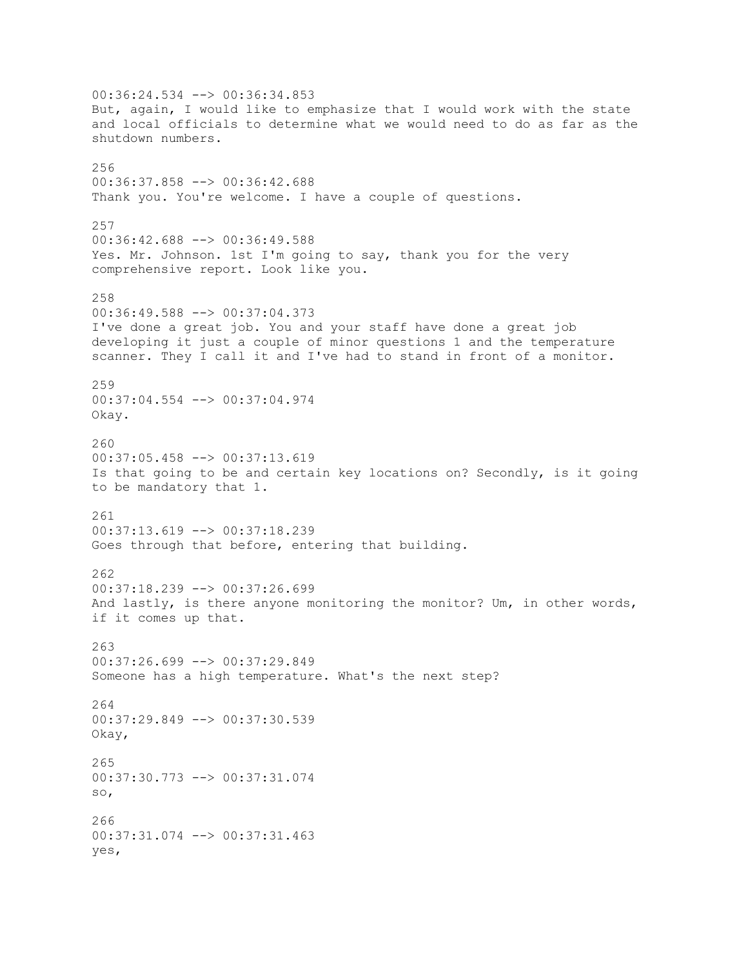00:36:24.534 --> 00:36:34.853 But, again, I would like to emphasize that I would work with the state and local officials to determine what we would need to do as far as the shutdown numbers. 256 00:36:37.858 --> 00:36:42.688 Thank you. You're welcome. I have a couple of questions. 257 00:36:42.688 --> 00:36:49.588 Yes. Mr. Johnson. 1st I'm going to say, thank you for the very comprehensive report. Look like you. 258 00:36:49.588 --> 00:37:04.373 I've done a great job. You and your staff have done a great job developing it just a couple of minor questions 1 and the temperature scanner. They I call it and I've had to stand in front of a monitor. 259 00:37:04.554 --> 00:37:04.974 Okay. 260 00:37:05.458 --> 00:37:13.619 Is that going to be and certain key locations on? Secondly, is it going to be mandatory that 1. 261 00:37:13.619 --> 00:37:18.239 Goes through that before, entering that building. 262 00:37:18.239 --> 00:37:26.699 And lastly, is there anyone monitoring the monitor? Um, in other words, if it comes up that. 263 00:37:26.699 --> 00:37:29.849 Someone has a high temperature. What's the next step? 264 00:37:29.849 --> 00:37:30.539 Okay, 265 00:37:30.773 --> 00:37:31.074 so, 266 00:37:31.074 --> 00:37:31.463 yes,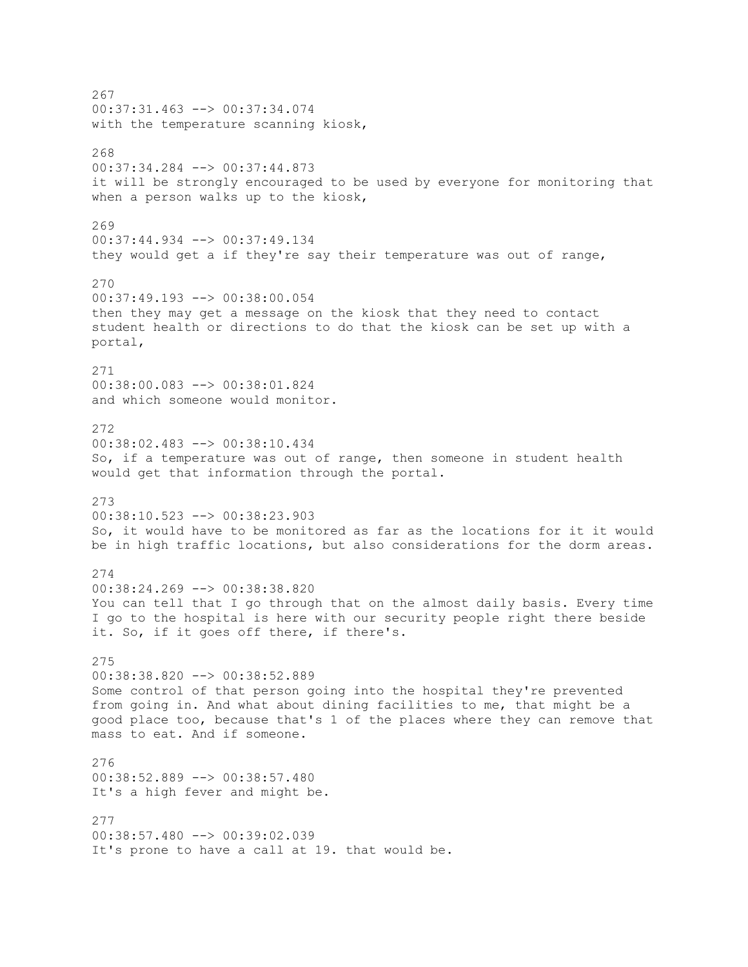267 00:37:31.463 --> 00:37:34.074 with the temperature scanning kiosk, 268 00:37:34.284 --> 00:37:44.873 it will be strongly encouraged to be used by everyone for monitoring that when a person walks up to the kiosk, 269 00:37:44.934 --> 00:37:49.134 they would get a if they're say their temperature was out of range, 270 00:37:49.193 --> 00:38:00.054 then they may get a message on the kiosk that they need to contact student health or directions to do that the kiosk can be set up with a portal, 271 00:38:00.083 --> 00:38:01.824 and which someone would monitor. 272 00:38:02.483 --> 00:38:10.434 So, if a temperature was out of range, then someone in student health would get that information through the portal. 273 00:38:10.523 --> 00:38:23.903 So, it would have to be monitored as far as the locations for it it would be in high traffic locations, but also considerations for the dorm areas. 274 00:38:24.269 --> 00:38:38.820 You can tell that I go through that on the almost daily basis. Every time I go to the hospital is here with our security people right there beside it. So, if it goes off there, if there's. 275 00:38:38.820 --> 00:38:52.889 Some control of that person going into the hospital they're prevented from going in. And what about dining facilities to me, that might be a good place too, because that's 1 of the places where they can remove that mass to eat. And if someone. 276 00:38:52.889 --> 00:38:57.480 It's a high fever and might be. 277 00:38:57.480 --> 00:39:02.039 It's prone to have a call at 19. that would be.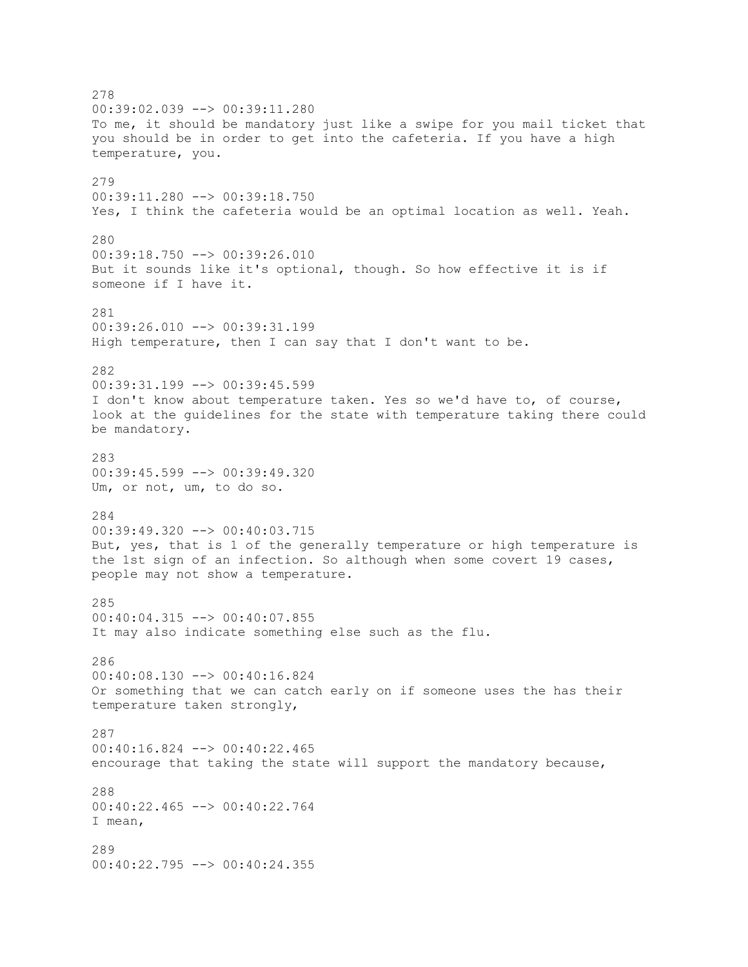278 00:39:02.039 --> 00:39:11.280 To me, it should be mandatory just like a swipe for you mail ticket that you should be in order to get into the cafeteria. If you have a high temperature, you. 279 00:39:11.280 --> 00:39:18.750 Yes, I think the cafeteria would be an optimal location as well. Yeah. 280 00:39:18.750 --> 00:39:26.010 But it sounds like it's optional, though. So how effective it is if someone if I have it. 281 00:39:26.010 --> 00:39:31.199 High temperature, then I can say that I don't want to be. 282 00:39:31.199 --> 00:39:45.599 I don't know about temperature taken. Yes so we'd have to, of course, look at the guidelines for the state with temperature taking there could be mandatory. 283 00:39:45.599 --> 00:39:49.320 Um, or not, um, to do so. 284 00:39:49.320 --> 00:40:03.715 But, yes, that is 1 of the generally temperature or high temperature is the 1st sign of an infection. So although when some covert 19 cases, people may not show a temperature. 285 00:40:04.315 --> 00:40:07.855 It may also indicate something else such as the flu. 286 00:40:08.130 --> 00:40:16.824 Or something that we can catch early on if someone uses the has their temperature taken strongly, 287 00:40:16.824 --> 00:40:22.465 encourage that taking the state will support the mandatory because, 288 00:40:22.465 --> 00:40:22.764 I mean, 289 00:40:22.795 --> 00:40:24.355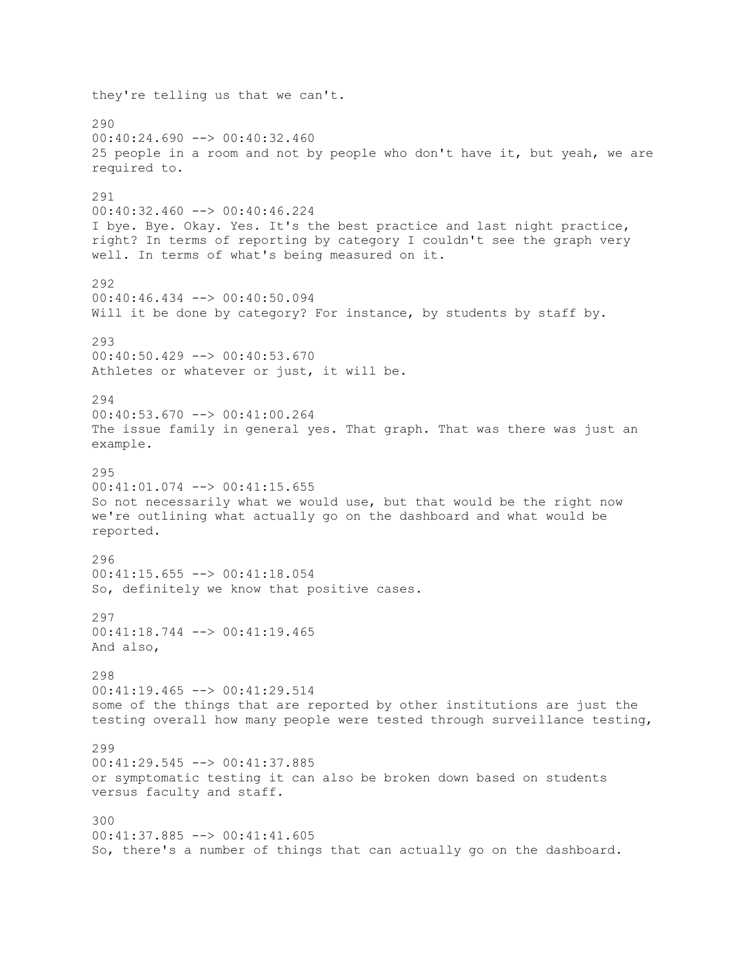they're telling us that we can't. 290  $00:40:24.690$  -->  $00:40:32.460$ 25 people in a room and not by people who don't have it, but yeah, we are required to. 291 00:40:32.460 --> 00:40:46.224 I bye. Bye. Okay. Yes. It's the best practice and last night practice, right? In terms of reporting by category I couldn't see the graph very well. In terms of what's being measured on it. 292 00:40:46.434 --> 00:40:50.094 Will it be done by category? For instance, by students by staff by. 293 00:40:50.429 --> 00:40:53.670 Athletes or whatever or just, it will be. 294 00:40:53.670 --> 00:41:00.264 The issue family in general yes. That graph. That was there was just an example. 295 00:41:01.074 --> 00:41:15.655 So not necessarily what we would use, but that would be the right now we're outlining what actually go on the dashboard and what would be reported. 296  $00:41:15.655$  -->  $00:41:18.054$ So, definitely we know that positive cases. 297 00:41:18.744 --> 00:41:19.465 And also, 298 00:41:19.465 --> 00:41:29.514 some of the things that are reported by other institutions are just the testing overall how many people were tested through surveillance testing, 299 00:41:29.545 --> 00:41:37.885 or symptomatic testing it can also be broken down based on students versus faculty and staff. 300  $00:41:37.885$   $\leftarrow$   $>$  00:41:41.605 So, there's a number of things that can actually go on the dashboard.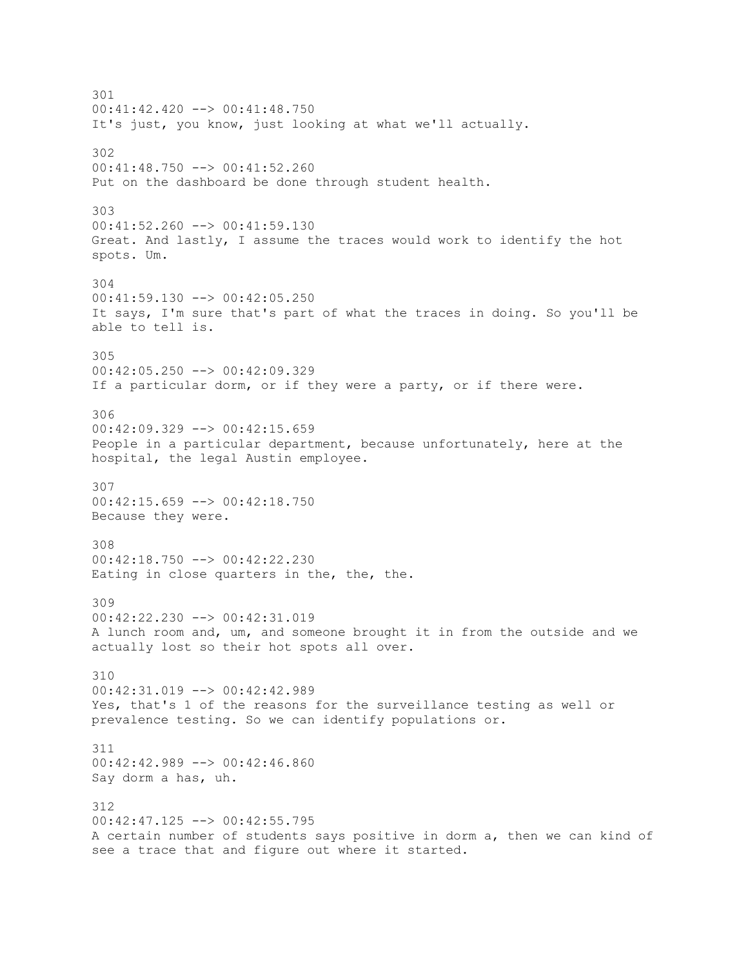301  $00:41:42.420$  -->  $00:41:48.750$ It's just, you know, just looking at what we'll actually. 302 00:41:48.750 --> 00:41:52.260 Put on the dashboard be done through student health. 303 00:41:52.260 --> 00:41:59.130 Great. And lastly, I assume the traces would work to identify the hot spots. Um. 304 00:41:59.130 --> 00:42:05.250 It says, I'm sure that's part of what the traces in doing. So you'll be able to tell is. 305 00:42:05.250 --> 00:42:09.329 If a particular dorm, or if they were a party, or if there were. 306  $00:42:09.329$  -->  $00:42:15.659$ People in a particular department, because unfortunately, here at the hospital, the legal Austin employee. 307 00:42:15.659 --> 00:42:18.750 Because they were. 308 00:42:18.750 --> 00:42:22.230 Eating in close quarters in the, the, the. 309 00:42:22.230 --> 00:42:31.019 A lunch room and, um, and someone brought it in from the outside and we actually lost so their hot spots all over. 310 00:42:31.019 --> 00:42:42.989 Yes, that's 1 of the reasons for the surveillance testing as well or prevalence testing. So we can identify populations or. 311 00:42:42.989 --> 00:42:46.860 Say dorm a has, uh. 312 00:42:47.125 --> 00:42:55.795 A certain number of students says positive in dorm a, then we can kind of see a trace that and figure out where it started.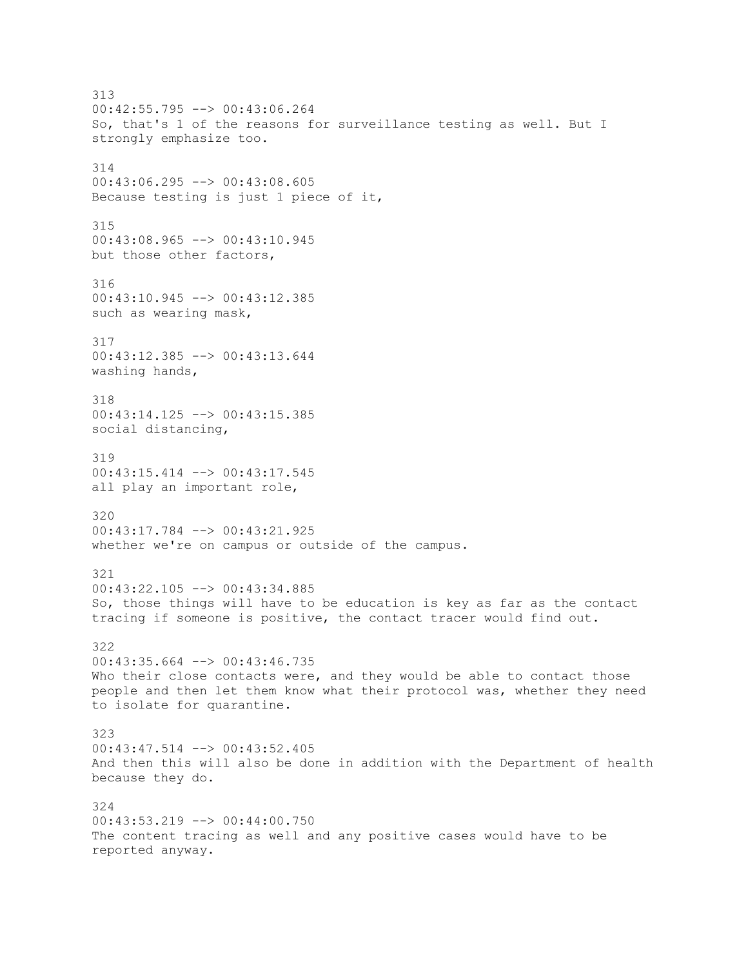313 00:42:55.795 --> 00:43:06.264 So, that's 1 of the reasons for surveillance testing as well. But I strongly emphasize too. 314 00:43:06.295 --> 00:43:08.605 Because testing is just 1 piece of it, 315 00:43:08.965 --> 00:43:10.945 but those other factors, 316 00:43:10.945 --> 00:43:12.385 such as wearing mask, 317 00:43:12.385 --> 00:43:13.644 washing hands, 318 00:43:14.125 --> 00:43:15.385 social distancing, 319  $00:43:15.414$  -->  $00:43:17.545$ all play an important role, 320 00:43:17.784 --> 00:43:21.925 whether we're on campus or outside of the campus. 321 00:43:22.105 --> 00:43:34.885 So, those things will have to be education is key as far as the contact tracing if someone is positive, the contact tracer would find out. 322 00:43:35.664 --> 00:43:46.735 Who their close contacts were, and they would be able to contact those people and then let them know what their protocol was, whether they need to isolate for quarantine. 323 00:43:47.514 --> 00:43:52.405 And then this will also be done in addition with the Department of health because they do. 324 00:43:53.219 --> 00:44:00.750 The content tracing as well and any positive cases would have to be reported anyway.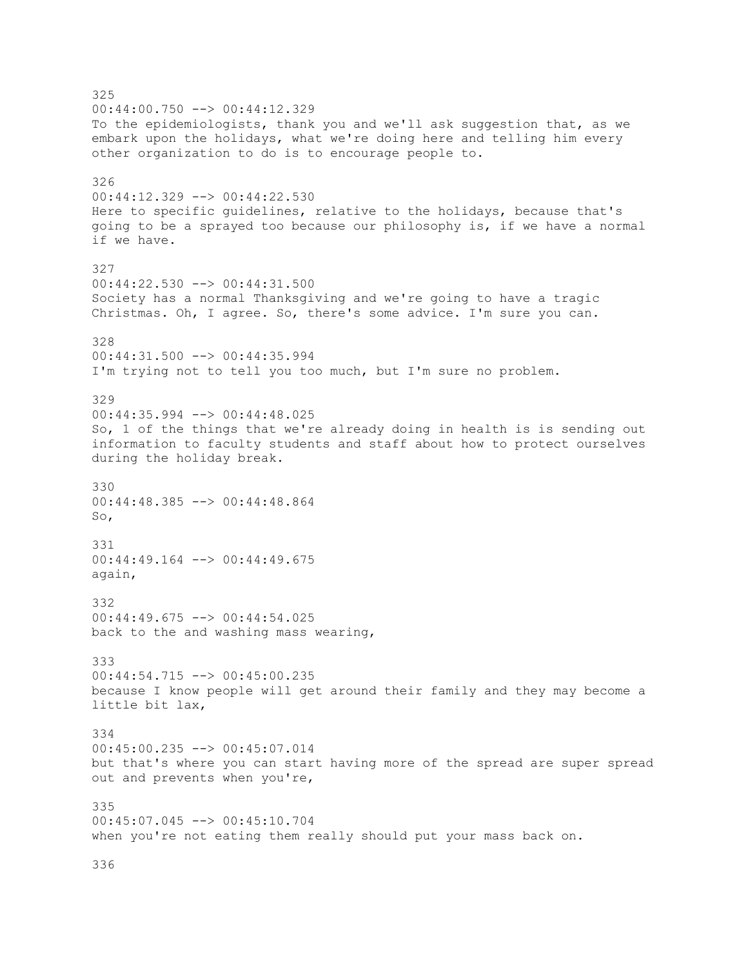325 00:44:00.750 --> 00:44:12.329 To the epidemiologists, thank you and we'll ask suggestion that, as we embark upon the holidays, what we're doing here and telling him every other organization to do is to encourage people to. 326 00:44:12.329 --> 00:44:22.530 Here to specific guidelines, relative to the holidays, because that's going to be a sprayed too because our philosophy is, if we have a normal if we have. 327 00:44:22.530 --> 00:44:31.500 Society has a normal Thanksgiving and we're going to have a tragic Christmas. Oh, I agree. So, there's some advice. I'm sure you can. 328 00:44:31.500 --> 00:44:35.994 I'm trying not to tell you too much, but I'm sure no problem. 329 00:44:35.994 --> 00:44:48.025 So, 1 of the things that we're already doing in health is is sending out information to faculty students and staff about how to protect ourselves during the holiday break. 330 00:44:48.385 --> 00:44:48.864 So, 331 00:44:49.164 --> 00:44:49.675 again, 332 00:44:49.675 --> 00:44:54.025 back to the and washing mass wearing, 333 00:44:54.715 --> 00:45:00.235 because I know people will get around their family and they may become a little bit lax, 334 00:45:00.235 --> 00:45:07.014 but that's where you can start having more of the spread are super spread out and prevents when you're, 335 00:45:07.045 --> 00:45:10.704 when you're not eating them really should put your mass back on.

336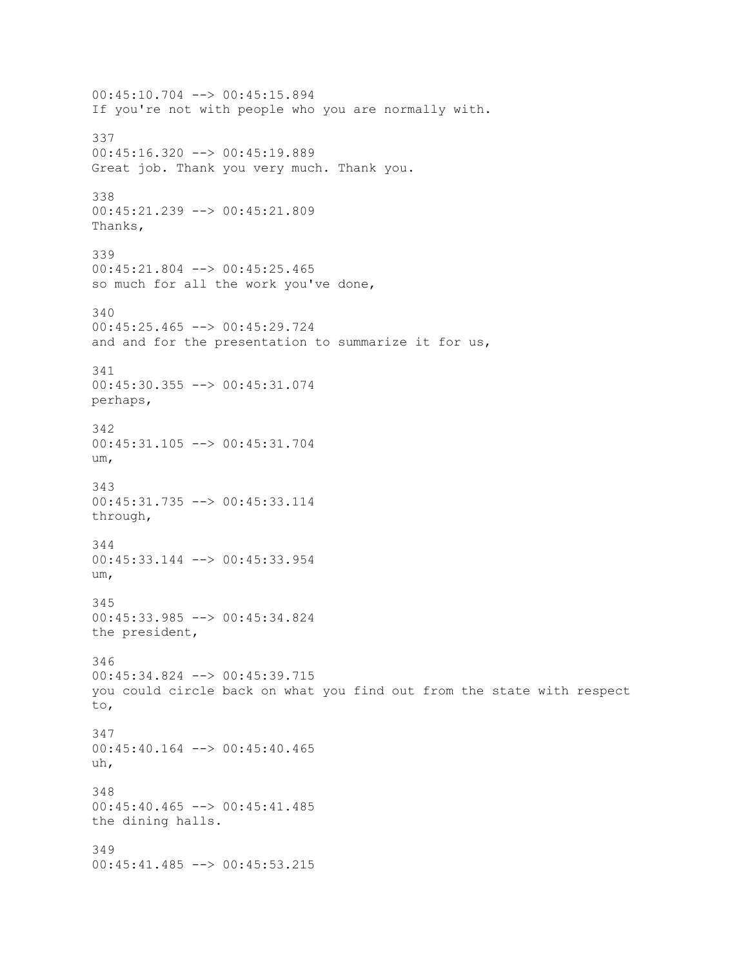00:45:10.704 --> 00:45:15.894 If you're not with people who you are normally with. 337 00:45:16.320 --> 00:45:19.889 Great job. Thank you very much. Thank you. 338 00:45:21.239 --> 00:45:21.809 Thanks, 339 00:45:21.804 --> 00:45:25.465 so much for all the work you've done, 340 00:45:25.465 --> 00:45:29.724 and and for the presentation to summarize it for us, 341 00:45:30.355 --> 00:45:31.074 perhaps, 342 00:45:31.105 --> 00:45:31.704 um, 343 00:45:31.735 --> 00:45:33.114 through, 344 00:45:33.144 --> 00:45:33.954 um, 345 00:45:33.985 --> 00:45:34.824 the president, 346 00:45:34.824 --> 00:45:39.715 you could circle back on what you find out from the state with respect to, 347 00:45:40.164 --> 00:45:40.465 uh, 348 00:45:40.465 --> 00:45:41.485 the dining halls. 349 00:45:41.485 --> 00:45:53.215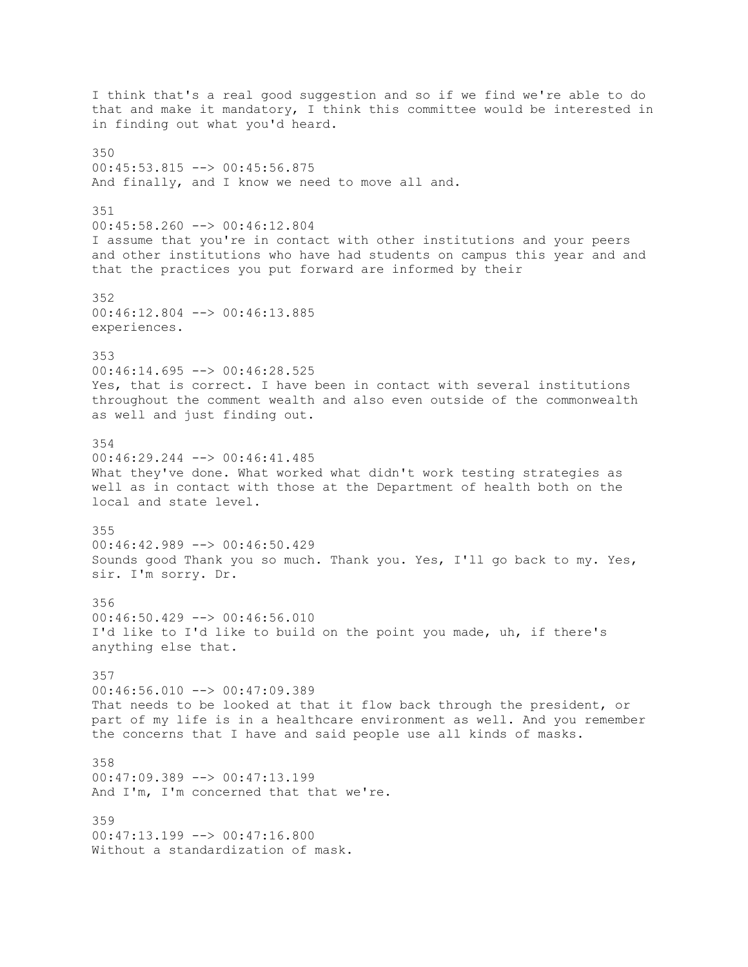I think that's a real good suggestion and so if we find we're able to do that and make it mandatory, I think this committee would be interested in in finding out what you'd heard. 350 00:45:53.815 --> 00:45:56.875 And finally, and I know we need to move all and. 351 00:45:58.260 --> 00:46:12.804 I assume that you're in contact with other institutions and your peers and other institutions who have had students on campus this year and and that the practices you put forward are informed by their 352 00:46:12.804 --> 00:46:13.885 experiences. 353  $00:46:14.695$  -->  $00:46:28.525$ Yes, that is correct. I have been in contact with several institutions throughout the comment wealth and also even outside of the commonwealth as well and just finding out. 354 00:46:29.244 --> 00:46:41.485 What they've done. What worked what didn't work testing strategies as well as in contact with those at the Department of health both on the local and state level. 355 00:46:42.989 --> 00:46:50.429 Sounds good Thank you so much. Thank you. Yes, I'll go back to my. Yes, sir. I'm sorry. Dr. 356 00:46:50.429 --> 00:46:56.010 I'd like to I'd like to build on the point you made, uh, if there's anything else that. 357  $00:46:56.010$  -->  $00:47:09.389$ That needs to be looked at that it flow back through the president, or part of my life is in a healthcare environment as well. And you remember the concerns that I have and said people use all kinds of masks. 358 00:47:09.389 --> 00:47:13.199 And I'm, I'm concerned that that we're. 359 00:47:13.199 --> 00:47:16.800 Without a standardization of mask.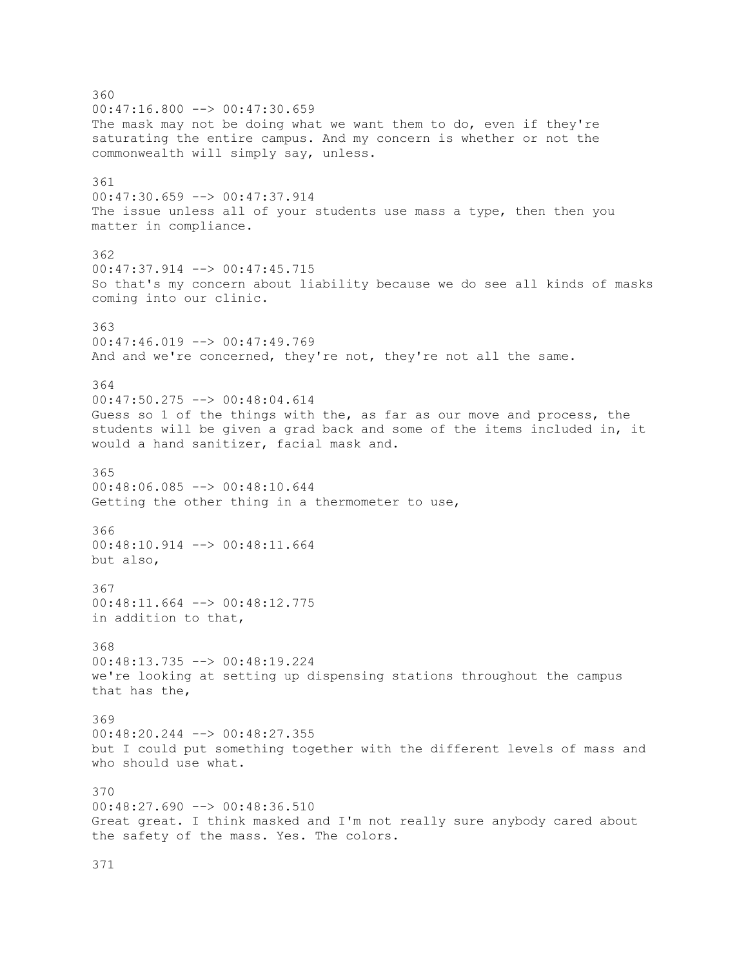360  $00:47:16.800$  -->  $00:47:30.659$ The mask may not be doing what we want them to do, even if they're saturating the entire campus. And my concern is whether or not the commonwealth will simply say, unless. 361 00:47:30.659 --> 00:47:37.914 The issue unless all of your students use mass a type, then then you matter in compliance. 362 00:47:37.914 --> 00:47:45.715 So that's my concern about liability because we do see all kinds of masks coming into our clinic. 363 00:47:46.019 --> 00:47:49.769 And and we're concerned, they're not, they're not all the same. 364 00:47:50.275 --> 00:48:04.614 Guess so 1 of the things with the, as far as our move and process, the students will be given a grad back and some of the items included in, it would a hand sanitizer, facial mask and. 365 00:48:06.085 --> 00:48:10.644 Getting the other thing in a thermometer to use, 366 00:48:10.914 --> 00:48:11.664 but also, 367 00:48:11.664 --> 00:48:12.775 in addition to that, 368 00:48:13.735 --> 00:48:19.224 we're looking at setting up dispensing stations throughout the campus that has the, 369 00:48:20.244 --> 00:48:27.355 but I could put something together with the different levels of mass and who should use what. 370 00:48:27.690 --> 00:48:36.510 Great great. I think masked and I'm not really sure anybody cared about the safety of the mass. Yes. The colors.

371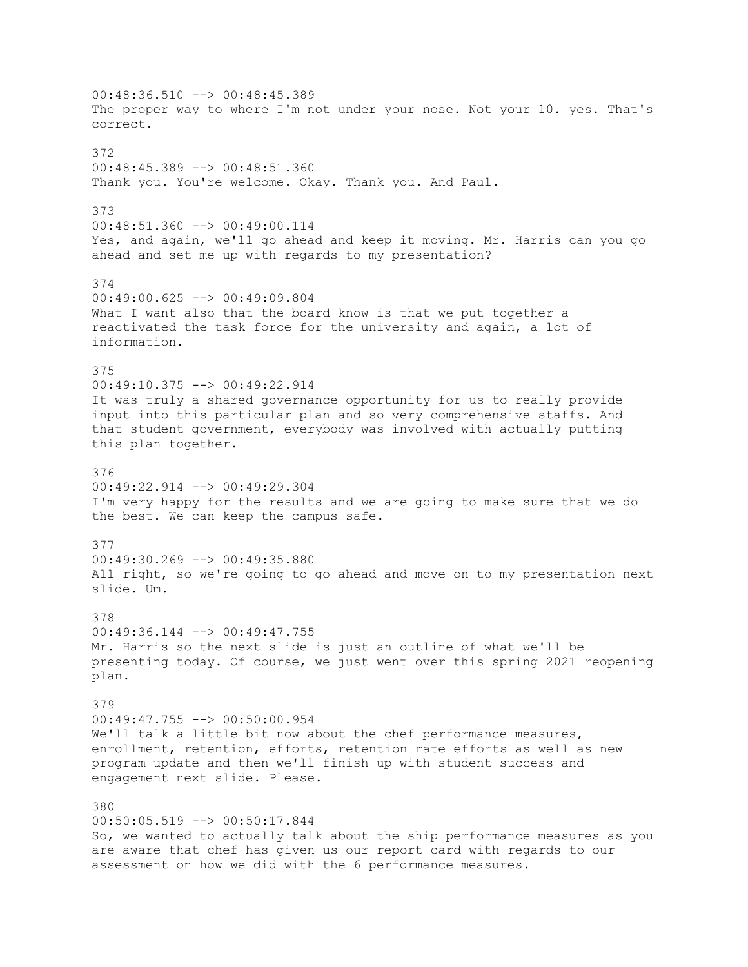00:48:36.510 --> 00:48:45.389 The proper way to where I'm not under your nose. Not your 10. yes. That's correct. 372 00:48:45.389 --> 00:48:51.360 Thank you. You're welcome. Okay. Thank you. And Paul. 373 00:48:51.360 --> 00:49:00.114 Yes, and again, we'll go ahead and keep it moving. Mr. Harris can you go ahead and set me up with regards to my presentation? 374 00:49:00.625 --> 00:49:09.804 What I want also that the board know is that we put together a reactivated the task force for the university and again, a lot of information. 375 00:49:10.375 --> 00:49:22.914 It was truly a shared governance opportunity for us to really provide input into this particular plan and so very comprehensive staffs. And that student government, everybody was involved with actually putting this plan together. 376 00:49:22.914 --> 00:49:29.304 I'm very happy for the results and we are going to make sure that we do the best. We can keep the campus safe. 377 00:49:30.269 --> 00:49:35.880 All right, so we're going to go ahead and move on to my presentation next slide. Um. 378 00:49:36.144 --> 00:49:47.755 Mr. Harris so the next slide is just an outline of what we'll be presenting today. Of course, we just went over this spring 2021 reopening plan. 379 00:49:47.755 --> 00:50:00.954 We'll talk a little bit now about the chef performance measures, enrollment, retention, efforts, retention rate efforts as well as new program update and then we'll finish up with student success and engagement next slide. Please. 380 00:50:05.519 --> 00:50:17.844 So, we wanted to actually talk about the ship performance measures as you are aware that chef has given us our report card with regards to our assessment on how we did with the 6 performance measures.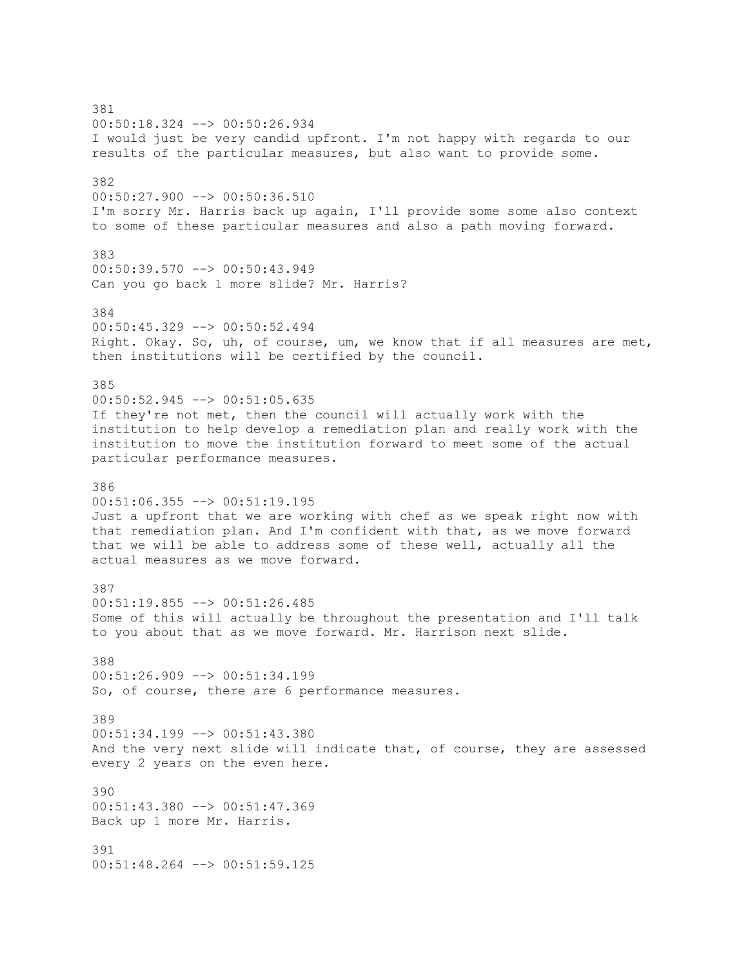381 00:50:18.324 --> 00:50:26.934 I would just be very candid upfront. I'm not happy with regards to our results of the particular measures, but also want to provide some. 382 00:50:27.900 --> 00:50:36.510 I'm sorry Mr. Harris back up again, I'll provide some some also context to some of these particular measures and also a path moving forward. 383 00:50:39.570 --> 00:50:43.949 Can you go back 1 more slide? Mr. Harris? 384 00:50:45.329 --> 00:50:52.494 Right. Okay. So, uh, of course, um, we know that if all measures are met, then institutions will be certified by the council. 385 00:50:52.945 --> 00:51:05.635 If they're not met, then the council will actually work with the institution to help develop a remediation plan and really work with the institution to move the institution forward to meet some of the actual particular performance measures. 386 00:51:06.355 --> 00:51:19.195 Just a upfront that we are working with chef as we speak right now with that remediation plan. And I'm confident with that, as we move forward that we will be able to address some of these well, actually all the actual measures as we move forward. 387 00:51:19.855 --> 00:51:26.485 Some of this will actually be throughout the presentation and I'll talk to you about that as we move forward. Mr. Harrison next slide. 388 00:51:26.909 --> 00:51:34.199 So, of course, there are 6 performance measures. 389 00:51:34.199 --> 00:51:43.380 And the very next slide will indicate that, of course, they are assessed every 2 years on the even here.  $390$ 00:51:43.380 --> 00:51:47.369 Back up 1 more Mr. Harris. 391 00:51:48.264 --> 00:51:59.125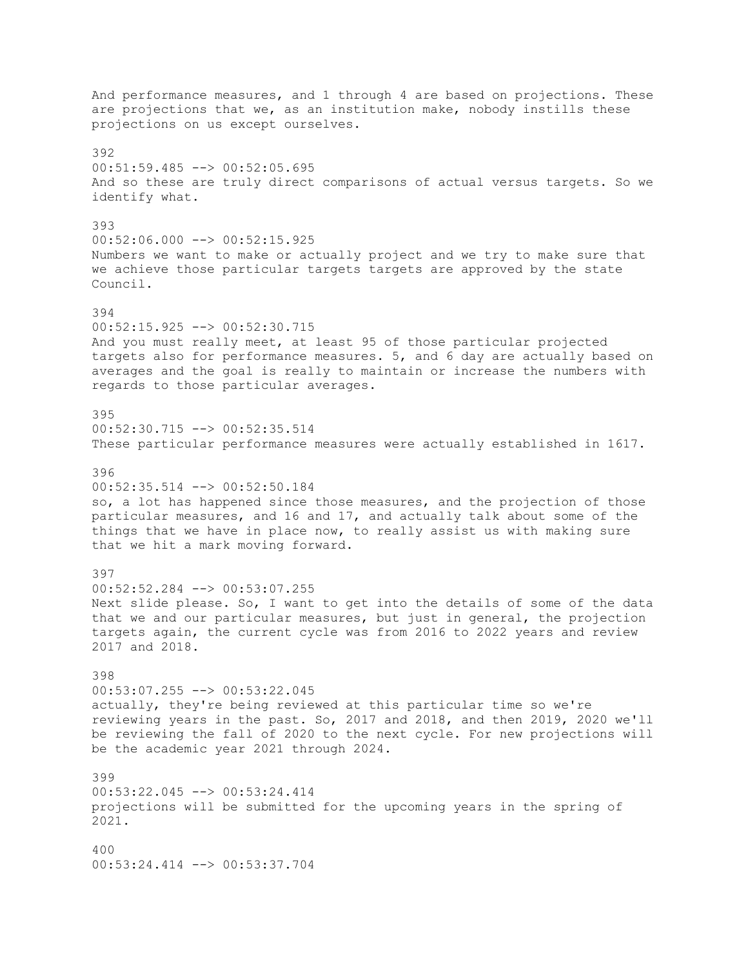And performance measures, and 1 through 4 are based on projections. These are projections that we, as an institution make, nobody instills these projections on us except ourselves. 392 00:51:59.485 --> 00:52:05.695 And so these are truly direct comparisons of actual versus targets. So we identify what. 393 00:52:06.000 --> 00:52:15.925 Numbers we want to make or actually project and we try to make sure that we achieve those particular targets targets are approved by the state Council. 394 00:52:15.925 --> 00:52:30.715 And you must really meet, at least 95 of those particular projected targets also for performance measures. 5, and 6 day are actually based on averages and the goal is really to maintain or increase the numbers with regards to those particular averages. 395 00:52:30.715 --> 00:52:35.514 These particular performance measures were actually established in 1617. 396 00:52:35.514 --> 00:52:50.184 so, a lot has happened since those measures, and the projection of those particular measures, and 16 and 17, and actually talk about some of the things that we have in place now, to really assist us with making sure that we hit a mark moving forward. 397 00:52:52.284 --> 00:53:07.255 Next slide please. So, I want to get into the details of some of the data that we and our particular measures, but just in general, the projection targets again, the current cycle was from 2016 to 2022 years and review 2017 and 2018. 398 00:53:07.255 --> 00:53:22.045 actually, they're being reviewed at this particular time so we're reviewing years in the past. So, 2017 and 2018, and then 2019, 2020 we'll be reviewing the fall of 2020 to the next cycle. For new projections will be the academic year 2021 through 2024. 399 00:53:22.045 --> 00:53:24.414 projections will be submitted for the upcoming years in the spring of 2021. 400 00:53:24.414 --> 00:53:37.704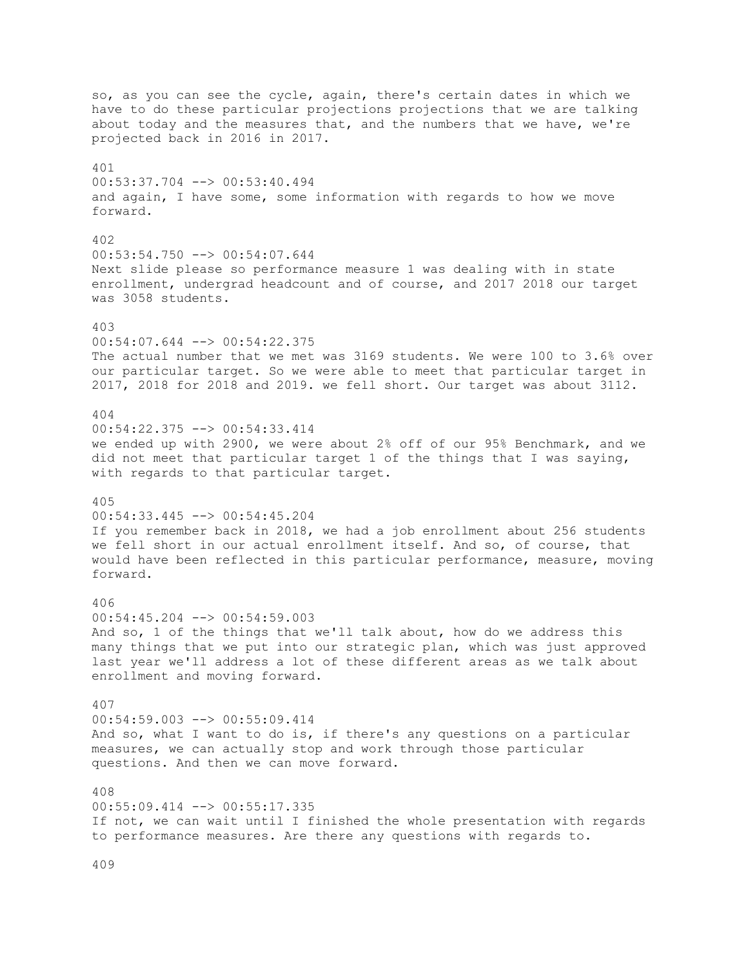so, as you can see the cycle, again, there's certain dates in which we have to do these particular projections projections that we are talking about today and the measures that, and the numbers that we have, we're projected back in 2016 in 2017. 401 00:53:37.704 --> 00:53:40.494 and again, I have some, some information with regards to how we move forward. 402 00:53:54.750 --> 00:54:07.644 Next slide please so performance measure 1 was dealing with in state enrollment, undergrad headcount and of course, and 2017 2018 our target was 3058 students. 403 00:54:07.644 --> 00:54:22.375 The actual number that we met was 3169 students. We were 100 to 3.6% over our particular target. So we were able to meet that particular target in 2017, 2018 for 2018 and 2019. we fell short. Our target was about 3112. 404 00:54:22.375 --> 00:54:33.414 we ended up with 2900, we were about 2% off of our 95% Benchmark, and we did not meet that particular target 1 of the things that I was saying, with regards to that particular target. 405 00:54:33.445 --> 00:54:45.204 If you remember back in 2018, we had a job enrollment about 256 students we fell short in our actual enrollment itself. And so, of course, that would have been reflected in this particular performance, measure, moving forward. 406 00:54:45.204 --> 00:54:59.003 And so, 1 of the things that we'll talk about, how do we address this many things that we put into our strategic plan, which was just approved last year we'll address a lot of these different areas as we talk about enrollment and moving forward. 407 00:54:59.003 --> 00:55:09.414 And so, what I want to do is, if there's any questions on a particular measures, we can actually stop and work through those particular questions. And then we can move forward. 408  $00:55:09.414$  -->  $00:55:17.335$ If not, we can wait until I finished the whole presentation with regards to performance measures. Are there any questions with regards to.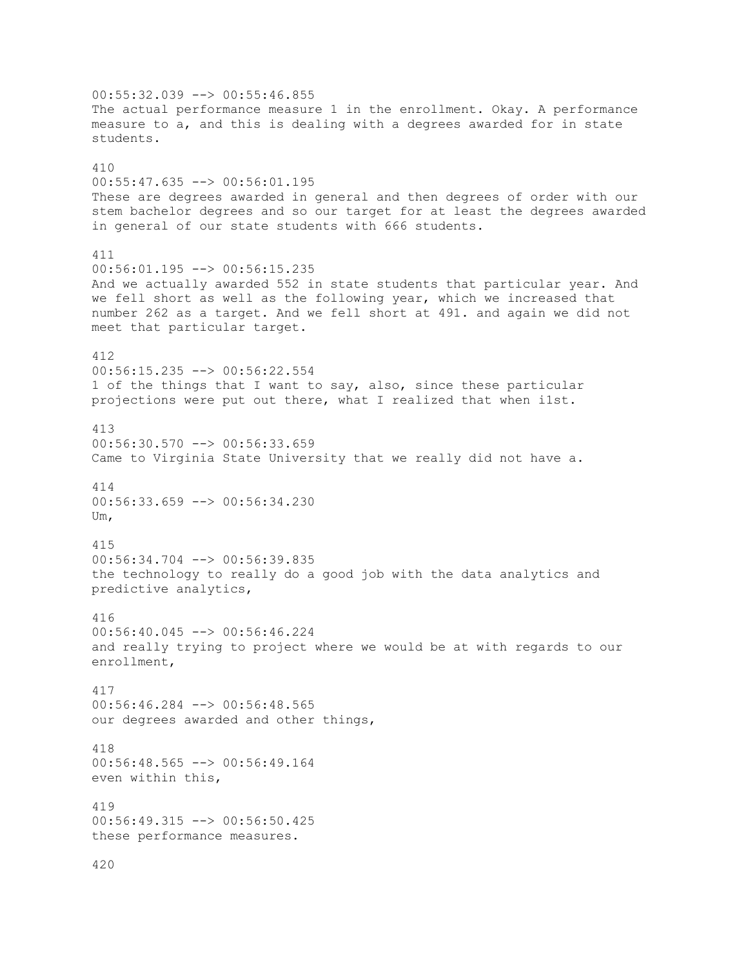00:55:32.039 --> 00:55:46.855 The actual performance measure 1 in the enrollment. Okay. A performance measure to a, and this is dealing with a degrees awarded for in state students. 410 00:55:47.635 --> 00:56:01.195 These are degrees awarded in general and then degrees of order with our stem bachelor degrees and so our target for at least the degrees awarded in general of our state students with 666 students. 411 00:56:01.195 --> 00:56:15.235 And we actually awarded 552 in state students that particular year. And we fell short as well as the following year, which we increased that number 262 as a target. And we fell short at 491. and again we did not meet that particular target. 412 00:56:15.235 --> 00:56:22.554 1 of the things that I want to say, also, since these particular projections were put out there, what I realized that when i1st. 413 00:56:30.570 --> 00:56:33.659 Came to Virginia State University that we really did not have a. 414 00:56:33.659 --> 00:56:34.230 Um, 415 00:56:34.704 --> 00:56:39.835 the technology to really do a good job with the data analytics and predictive analytics, 416 00:56:40.045 --> 00:56:46.224 and really trying to project where we would be at with regards to our enrollment, 417 00:56:46.284 --> 00:56:48.565 our degrees awarded and other things, 418 00:56:48.565 --> 00:56:49.164 even within this, 419 00:56:49.315 --> 00:56:50.425 these performance measures. 420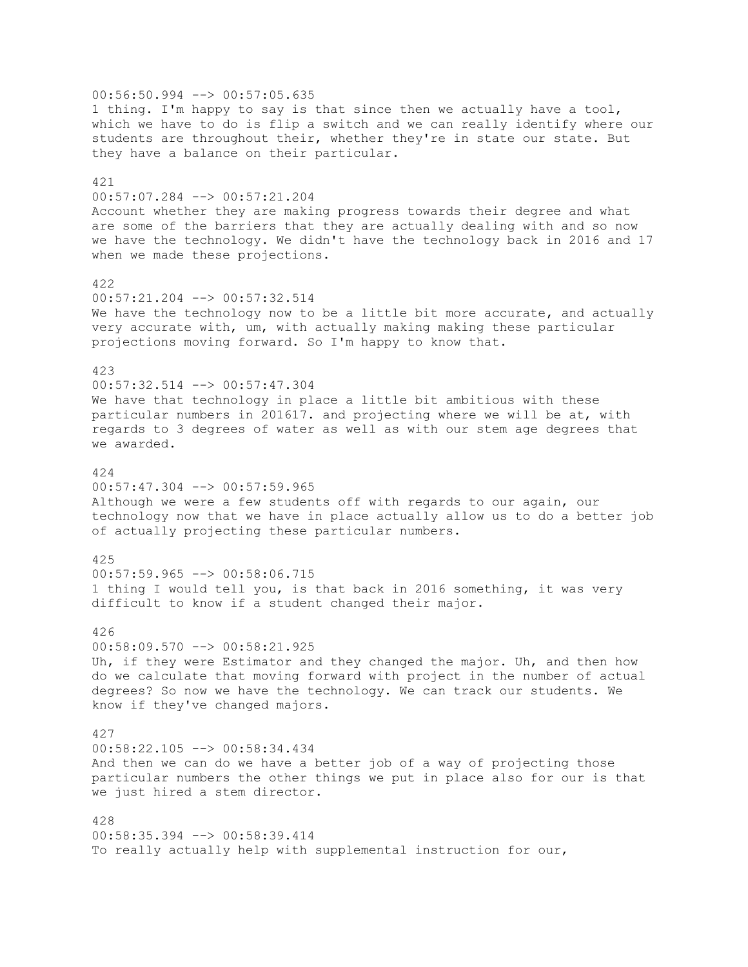00:56:50.994 --> 00:57:05.635 1 thing. I'm happy to say is that since then we actually have a tool, which we have to do is flip a switch and we can really identify where our students are throughout their, whether they're in state our state. But they have a balance on their particular. 421 00:57:07.284 --> 00:57:21.204 Account whether they are making progress towards their degree and what are some of the barriers that they are actually dealing with and so now we have the technology. We didn't have the technology back in 2016 and 17 when we made these projections. 422 00:57:21.204 --> 00:57:32.514 We have the technology now to be a little bit more accurate, and actually very accurate with, um, with actually making making these particular projections moving forward. So I'm happy to know that. 423 00:57:32.514 --> 00:57:47.304 We have that technology in place a little bit ambitious with these particular numbers in 201617. and projecting where we will be at, with regards to 3 degrees of water as well as with our stem age degrees that we awarded. 424  $00:57:47.304$   $\leftarrow$   $>$  00:57:59.965 Although we were a few students off with regards to our again, our technology now that we have in place actually allow us to do a better job of actually projecting these particular numbers. 425  $00:57:59.965$   $\longrightarrow$   $00:58:06.715$ 1 thing I would tell you, is that back in 2016 something, it was very difficult to know if a student changed their major. 426 00:58:09.570 --> 00:58:21.925 Uh, if they were Estimator and they changed the major. Uh, and then how do we calculate that moving forward with project in the number of actual degrees? So now we have the technology. We can track our students. We know if they've changed majors. 427 00:58:22.105 --> 00:58:34.434 And then we can do we have a better job of a way of projecting those particular numbers the other things we put in place also for our is that we just hired a stem director. 428  $00:58:35.394$  -->  $00:58:39.414$ To really actually help with supplemental instruction for our,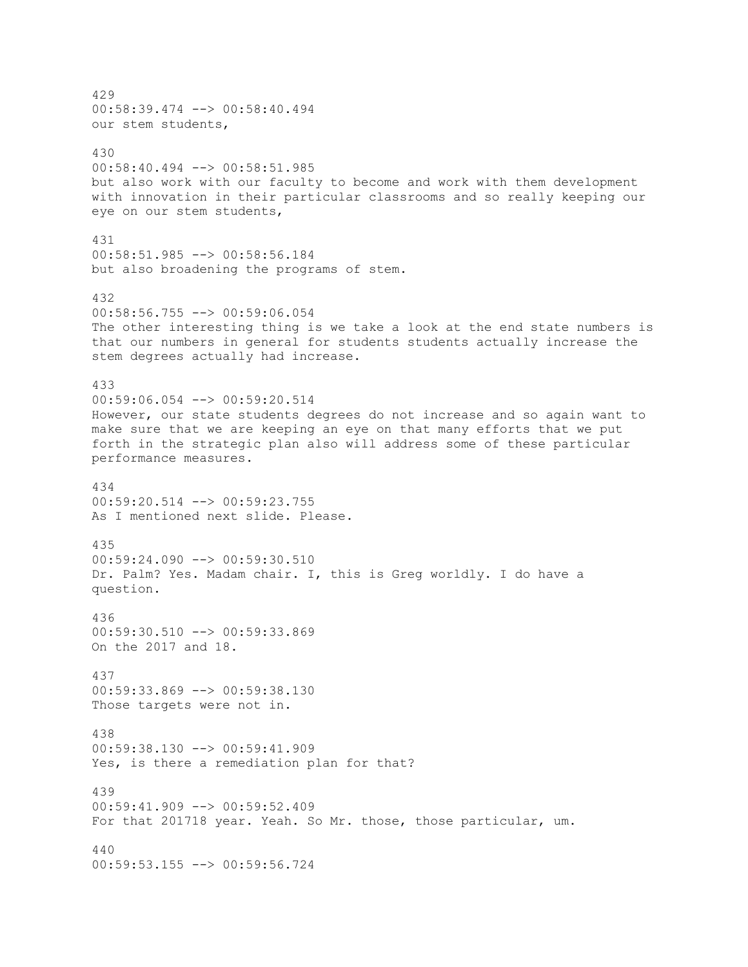429 00:58:39.474 --> 00:58:40.494 our stem students, 430 00:58:40.494 --> 00:58:51.985 but also work with our faculty to become and work with them development with innovation in their particular classrooms and so really keeping our eye on our stem students, 431 00:58:51.985 --> 00:58:56.184 but also broadening the programs of stem. 432 00:58:56.755 --> 00:59:06.054 The other interesting thing is we take a look at the end state numbers is that our numbers in general for students students actually increase the stem degrees actually had increase. 433 00:59:06.054 --> 00:59:20.514 However, our state students degrees do not increase and so again want to make sure that we are keeping an eye on that many efforts that we put forth in the strategic plan also will address some of these particular performance measures. 434 00:59:20.514 --> 00:59:23.755 As I mentioned next slide. Please. 435 00:59:24.090 --> 00:59:30.510 Dr. Palm? Yes. Madam chair. I, this is Greg worldly. I do have a question. 436 00:59:30.510 --> 00:59:33.869 On the 2017 and 18. 437 00:59:33.869 --> 00:59:38.130 Those targets were not in. 438 00:59:38.130 --> 00:59:41.909 Yes, is there a remediation plan for that? 439 00:59:41.909 --> 00:59:52.409 For that 201718 year. Yeah. So Mr. those, those particular, um. 440 00:59:53.155 --> 00:59:56.724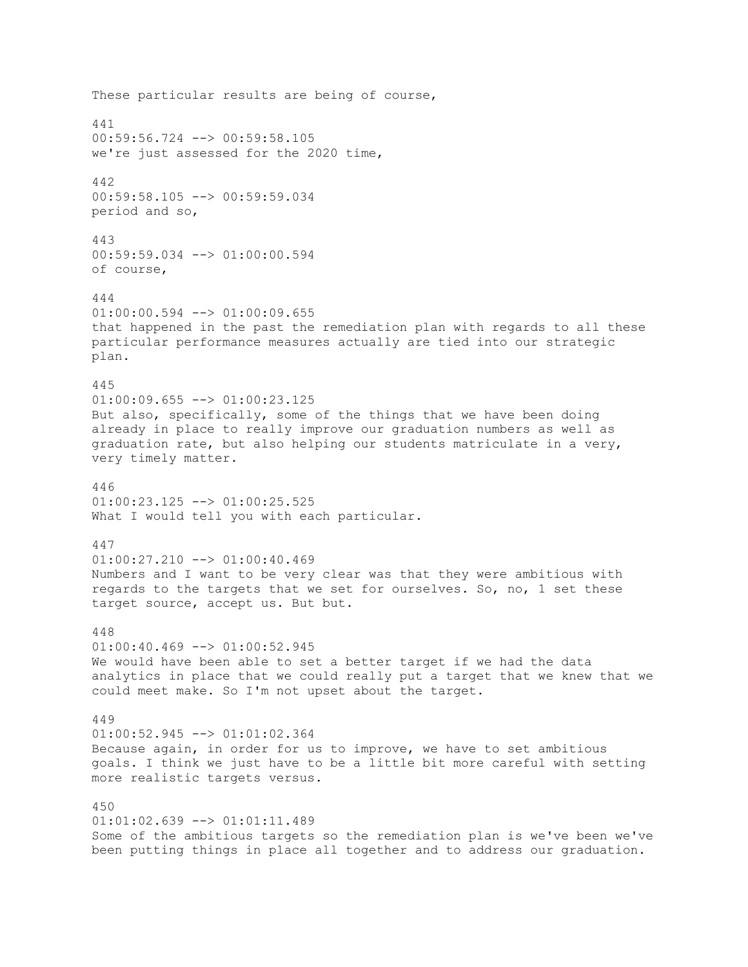These particular results are being of course, 441 00:59:56.724 --> 00:59:58.105 we're just assessed for the 2020 time, 442 00:59:58.105 --> 00:59:59.034 period and so, 443 00:59:59.034 --> 01:00:00.594 of course, 444  $01:00:00.594$   $\leftarrow$   $>$  01:00:09.655 that happened in the past the remediation plan with regards to all these particular performance measures actually are tied into our strategic plan. 445  $01:00:09.655$   $\longrightarrow$   $01:00:23.125$ But also, specifically, some of the things that we have been doing already in place to really improve our graduation numbers as well as graduation rate, but also helping our students matriculate in a very, very timely matter. 446 01:00:23.125 --> 01:00:25.525 What I would tell you with each particular. 447  $01:00:27.210$  -->  $01:00:40.469$ Numbers and I want to be very clear was that they were ambitious with regards to the targets that we set for ourselves. So, no, 1 set these target source, accept us. But but. 448  $01:00:40.469$  -->  $01:00:52.945$ We would have been able to set a better target if we had the data analytics in place that we could really put a target that we knew that we could meet make. So I'm not upset about the target. 449  $01:00:52.945$   $\leftarrow$   $>$   $01:01:02.364$ Because again, in order for us to improve, we have to set ambitious goals. I think we just have to be a little bit more careful with setting more realistic targets versus. 450 01:01:02.639 --> 01:01:11.489 Some of the ambitious targets so the remediation plan is we've been we've been putting things in place all together and to address our graduation.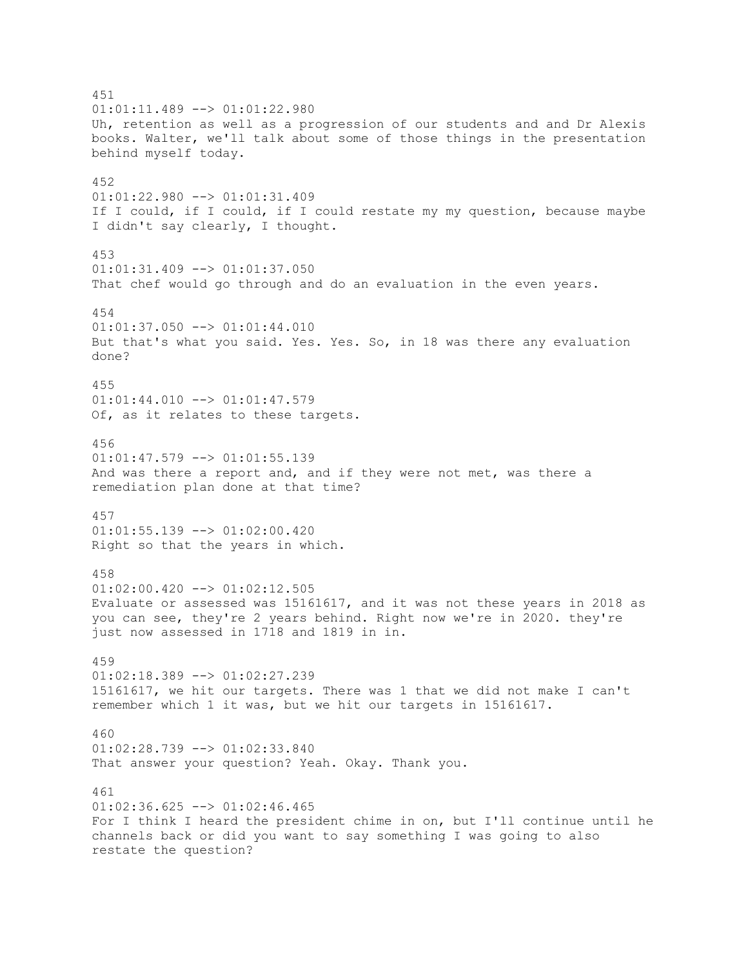451  $01:01:11.489$  -->  $01:01:22.980$ Uh, retention as well as a progression of our students and and Dr Alexis books. Walter, we'll talk about some of those things in the presentation behind myself today. 452 01:01:22.980 --> 01:01:31.409 If I could, if I could, if I could restate my my question, because maybe I didn't say clearly, I thought. 453  $01:01:31.409$  -->  $01:01:37.050$ That chef would go through and do an evaluation in the even years. 454 01:01:37.050 --> 01:01:44.010 But that's what you said. Yes. Yes. So, in 18 was there any evaluation done? 455  $01:01:44.010$   $\leftarrow$   $>$   $01:01:47.579$ Of, as it relates to these targets. 456 01:01:47.579 --> 01:01:55.139 And was there a report and, and if they were not met, was there a remediation plan done at that time? 457 01:01:55.139 --> 01:02:00.420 Right so that the years in which. 458  $01:02:00.420$  -->  $01:02:12.505$ Evaluate or assessed was 15161617, and it was not these years in 2018 as you can see, they're 2 years behind. Right now we're in 2020. they're just now assessed in 1718 and 1819 in in. 459 01:02:18.389 --> 01:02:27.239 15161617, we hit our targets. There was 1 that we did not make I can't remember which 1 it was, but we hit our targets in 15161617. 460 01:02:28.739 --> 01:02:33.840 That answer your question? Yeah. Okay. Thank you. 461  $01:02:36.625$  -->  $01:02:46.465$ For I think I heard the president chime in on, but I'll continue until he channels back or did you want to say something I was going to also restate the question?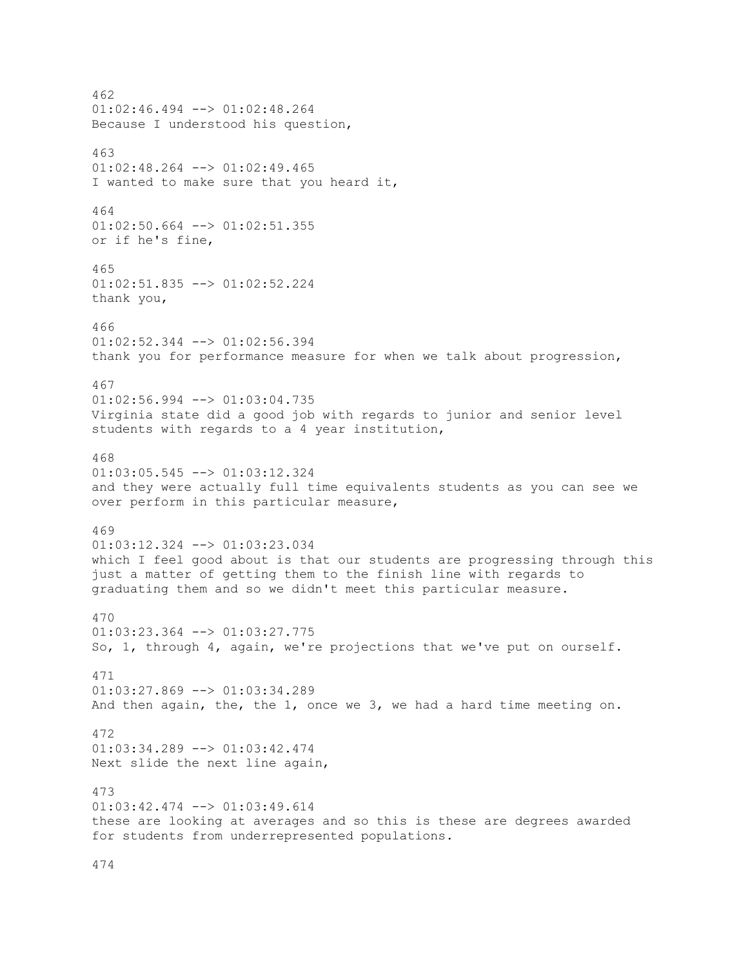462  $01:02:46.494$   $\leftarrow$   $>$   $01:02:48.264$ Because I understood his question, 463  $01:02:48.264$  -->  $01:02:49.465$ I wanted to make sure that you heard it, 464 01:02:50.664 --> 01:02:51.355 or if he's fine, 465 01:02:51.835 --> 01:02:52.224 thank you, 466 01:02:52.344 --> 01:02:56.394 thank you for performance measure for when we talk about progression, 467  $01:02:56.994$  -->  $01:03:04.735$ Virginia state did a good job with regards to junior and senior level students with regards to a 4 year institution, 468  $01:03:05.545$   $\leftarrow$   $>$   $01:03:12.324$ and they were actually full time equivalents students as you can see we over perform in this particular measure, 469 01:03:12.324 --> 01:03:23.034 which I feel good about is that our students are progressing through this just a matter of getting them to the finish line with regards to graduating them and so we didn't meet this particular measure. 470  $01:03:23.364$  -->  $01:03:27.775$ So, 1, through 4, again, we're projections that we've put on ourself. 471 01:03:27.869 --> 01:03:34.289 And then again, the, the 1, once we 3, we had a hard time meeting on. 472 01:03:34.289 --> 01:03:42.474 Next slide the next line again, 473 01:03:42.474 --> 01:03:49.614 these are looking at averages and so this is these are degrees awarded for students from underrepresented populations.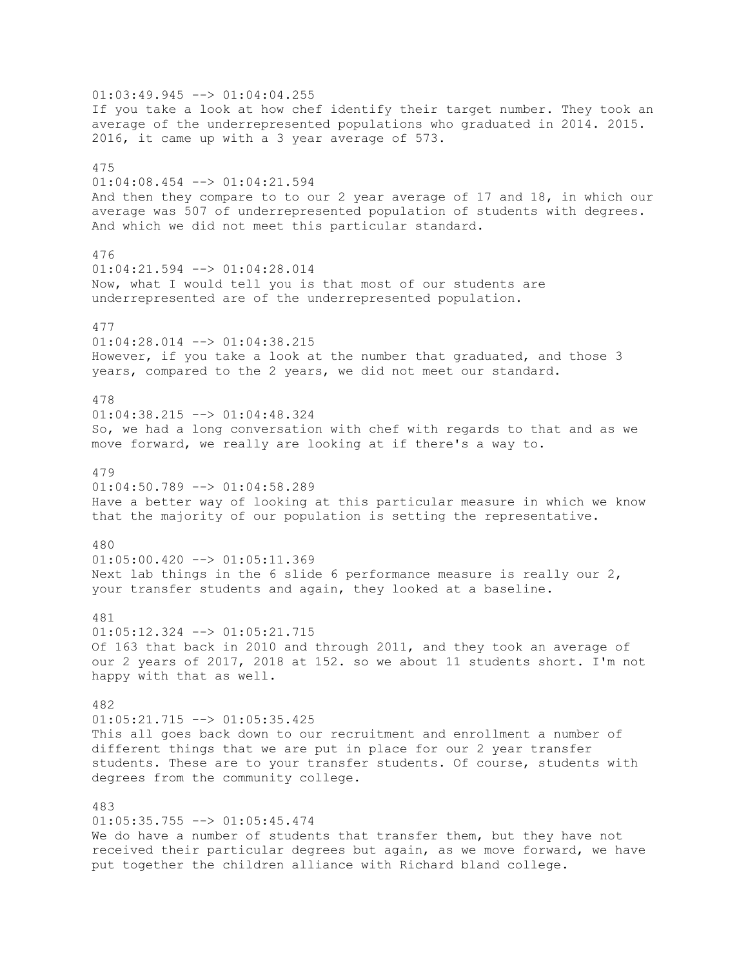$01:03:49.945$   $\leftarrow$   $>$   $01:04:04.255$ If you take a look at how chef identify their target number. They took an average of the underrepresented populations who graduated in 2014. 2015. 2016, it came up with a 3 year average of 573. 475 01:04:08.454 --> 01:04:21.594 And then they compare to to our 2 year average of 17 and 18, in which our average was 507 of underrepresented population of students with degrees. And which we did not meet this particular standard. 476 01:04:21.594 --> 01:04:28.014 Now, what I would tell you is that most of our students are underrepresented are of the underrepresented population. 477 01:04:28.014 --> 01:04:38.215 However, if you take a look at the number that graduated, and those 3 years, compared to the 2 years, we did not meet our standard. 478 01:04:38.215 --> 01:04:48.324 So, we had a long conversation with chef with regards to that and as we move forward, we really are looking at if there's a way to. 479  $01:04:50.789$   $\longrightarrow$   $01:04:58.289$ Have a better way of looking at this particular measure in which we know that the majority of our population is setting the representative. 480  $01:05:00.420$  -->  $01:05:11.369$ Next lab things in the 6 slide 6 performance measure is really our  $2$ , your transfer students and again, they looked at a baseline. 481 01:05:12.324 --> 01:05:21.715 Of 163 that back in 2010 and through 2011, and they took an average of our 2 years of 2017, 2018 at 152. so we about 11 students short. I'm not happy with that as well. 482 01:05:21.715 --> 01:05:35.425 This all goes back down to our recruitment and enrollment a number of different things that we are put in place for our 2 year transfer students. These are to your transfer students. Of course, students with degrees from the community college. 483 01:05:35.755 --> 01:05:45.474 We do have a number of students that transfer them, but they have not received their particular degrees but again, as we move forward, we have put together the children alliance with Richard bland college.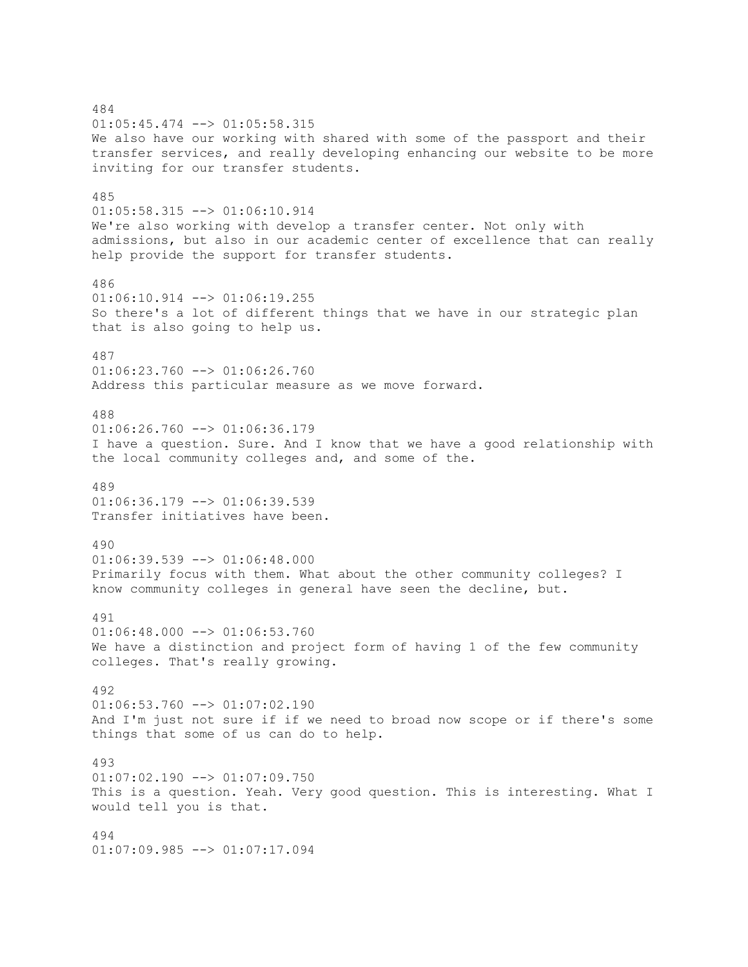484 01:05:45.474 --> 01:05:58.315 We also have our working with shared with some of the passport and their transfer services, and really developing enhancing our website to be more inviting for our transfer students. 485 01:05:58.315 --> 01:06:10.914 We're also working with develop a transfer center. Not only with admissions, but also in our academic center of excellence that can really help provide the support for transfer students. 486 01:06:10.914 --> 01:06:19.255 So there's a lot of different things that we have in our strategic plan that is also going to help us. 487  $01:06:23.760$  -->  $01:06:26.760$ Address this particular measure as we move forward. 488  $01:06:26.760$  -->  $01:06:36.179$ I have a question. Sure. And I know that we have a good relationship with the local community colleges and, and some of the. 489  $01:06:36.179$  -->  $01:06:39.539$ Transfer initiatives have been. 490  $01:06:39.539$  -->  $01:06:48.000$ Primarily focus with them. What about the other community colleges? I know community colleges in general have seen the decline, but. 491  $01:06:48.000$  -->  $01:06:53.760$ We have a distinction and project form of having 1 of the few community colleges. That's really growing. 492  $01:06:53.760$  -->  $01:07:02.190$ And I'm just not sure if if we need to broad now scope or if there's some things that some of us can do to help. 493 01:07:02.190 --> 01:07:09.750 This is a question. Yeah. Very good question. This is interesting. What I would tell you is that. 494 01:07:09.985 --> 01:07:17.094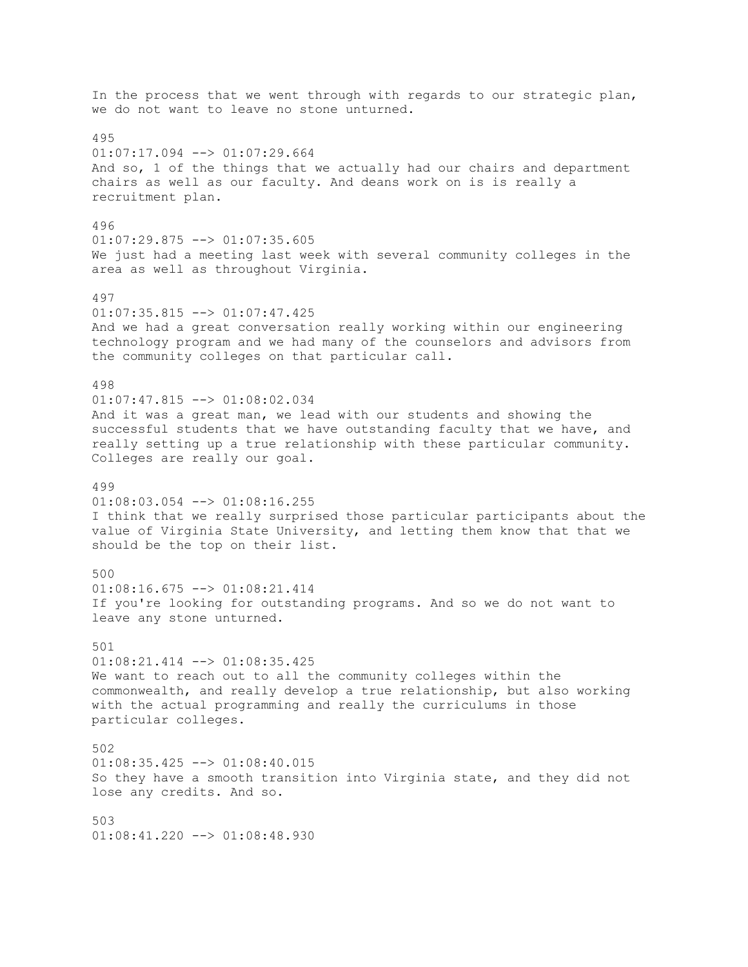In the process that we went through with regards to our strategic plan, we do not want to leave no stone unturned. 495  $01:07:17.094$  -->  $01:07:29.664$ And so, 1 of the things that we actually had our chairs and department chairs as well as our faculty. And deans work on is is really a recruitment plan. 496 01:07:29.875 --> 01:07:35.605 We just had a meeting last week with several community colleges in the area as well as throughout Virginia. 497  $01:07:35.815$   $\leftarrow$   $>$   $01:07:47.425$ And we had a great conversation really working within our engineering technology program and we had many of the counselors and advisors from the community colleges on that particular call. 498  $01:07:47.815$   $\leftarrow$   $>$   $01:08:02.034$ And it was a great man, we lead with our students and showing the successful students that we have outstanding faculty that we have, and really setting up a true relationship with these particular community. Colleges are really our goal. 499 01:08:03.054 --> 01:08:16.255 I think that we really surprised those particular participants about the value of Virginia State University, and letting them know that that we should be the top on their list. 500 01:08:16.675 --> 01:08:21.414 If you're looking for outstanding programs. And so we do not want to leave any stone unturned. 501 01:08:21.414 --> 01:08:35.425 We want to reach out to all the community colleges within the commonwealth, and really develop a true relationship, but also working with the actual programming and really the curriculums in those particular colleges. 502  $01:08:35.425$   $\leftarrow$   $>$   $01:08:40.015$ So they have a smooth transition into Virginia state, and they did not lose any credits. And so. 503  $01:08:41.220$  -->  $01:08:48.930$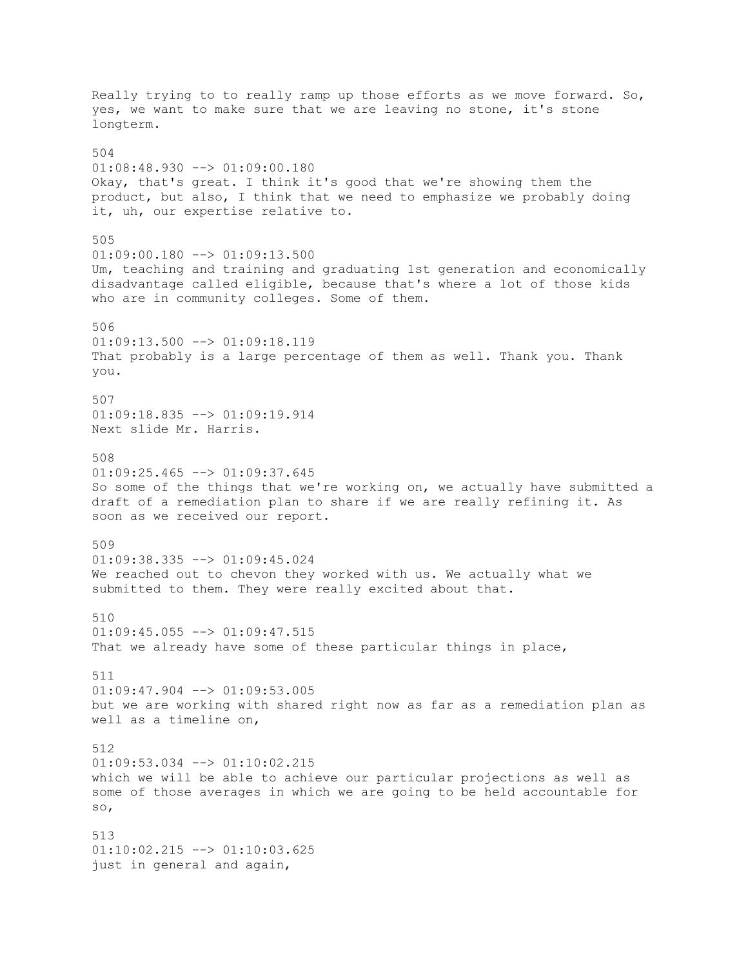Really trying to to really ramp up those efforts as we move forward. So, yes, we want to make sure that we are leaving no stone, it's stone longterm. 504  $01:08:48.930$  -->  $01:09:00.180$ Okay, that's great. I think it's good that we're showing them the product, but also, I think that we need to emphasize we probably doing it, uh, our expertise relative to. 505  $01:09:00.180$  -->  $01:09:13.500$ Um, teaching and training and graduating 1st generation and economically disadvantage called eligible, because that's where a lot of those kids who are in community colleges. Some of them. 506  $01:09:13.500$  -->  $01:09:18.119$ That probably is a large percentage of them as well. Thank you. Thank you. 507 01:09:18.835 --> 01:09:19.914 Next slide Mr. Harris. 508  $01:09:25.465$  -->  $01:09:37.645$ So some of the things that we're working on, we actually have submitted a draft of a remediation plan to share if we are really refining it. As soon as we received our report. 509 01:09:38.335 --> 01:09:45.024 We reached out to chevon they worked with us. We actually what we submitted to them. They were really excited about that. 510  $01:09:45.055$   $\leftarrow$  >  $01:09:47.515$ That we already have some of these particular things in place, 511  $01:09:47.904$   $\leftarrow$   $>$  01:09:53.005 but we are working with shared right now as far as a remediation plan as well as a timeline on, 512 01:09:53.034 --> 01:10:02.215 which we will be able to achieve our particular projections as well as some of those averages in which we are going to be held accountable for so, 513 01:10:02.215 --> 01:10:03.625 just in general and again,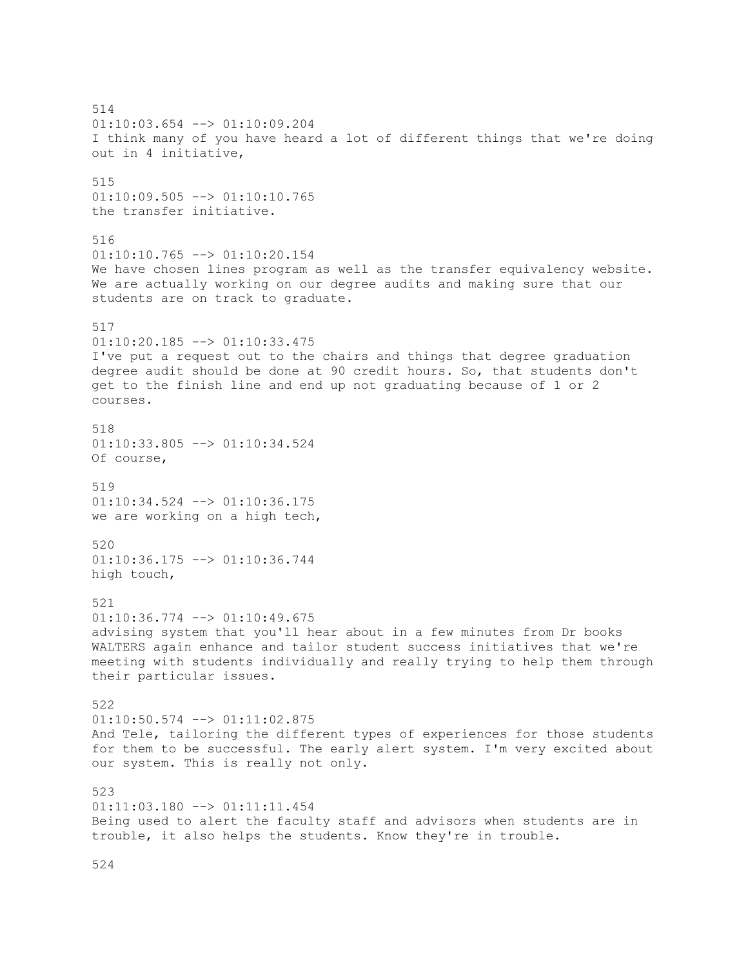514 01:10:03.654 --> 01:10:09.204 I think many of you have heard a lot of different things that we're doing out in 4 initiative, 515 01:10:09.505 --> 01:10:10.765 the transfer initiative. 516  $01:10:10.765$   $\leftarrow$   $>$   $01:10:20.154$ We have chosen lines program as well as the transfer equivalency website. We are actually working on our degree audits and making sure that our students are on track to graduate. 517  $01:10:20.185$  -->  $01:10:33.475$ I've put a request out to the chairs and things that degree graduation degree audit should be done at 90 credit hours. So, that students don't get to the finish line and end up not graduating because of 1 or 2 courses. 518 01:10:33.805 --> 01:10:34.524 Of course, 519 01:10:34.524 --> 01:10:36.175 we are working on a high tech, 520 01:10:36.175 --> 01:10:36.744 high touch, 521 01:10:36.774 --> 01:10:49.675 advising system that you'll hear about in a few minutes from Dr books WALTERS again enhance and tailor student success initiatives that we're meeting with students individually and really trying to help them through their particular issues. 522 01:10:50.574 --> 01:11:02.875 And Tele, tailoring the different types of experiences for those students for them to be successful. The early alert system. I'm very excited about our system. This is really not only. 523  $01:11:03.180$  -->  $01:11:11.454$ Being used to alert the faculty staff and advisors when students are in trouble, it also helps the students. Know they're in trouble.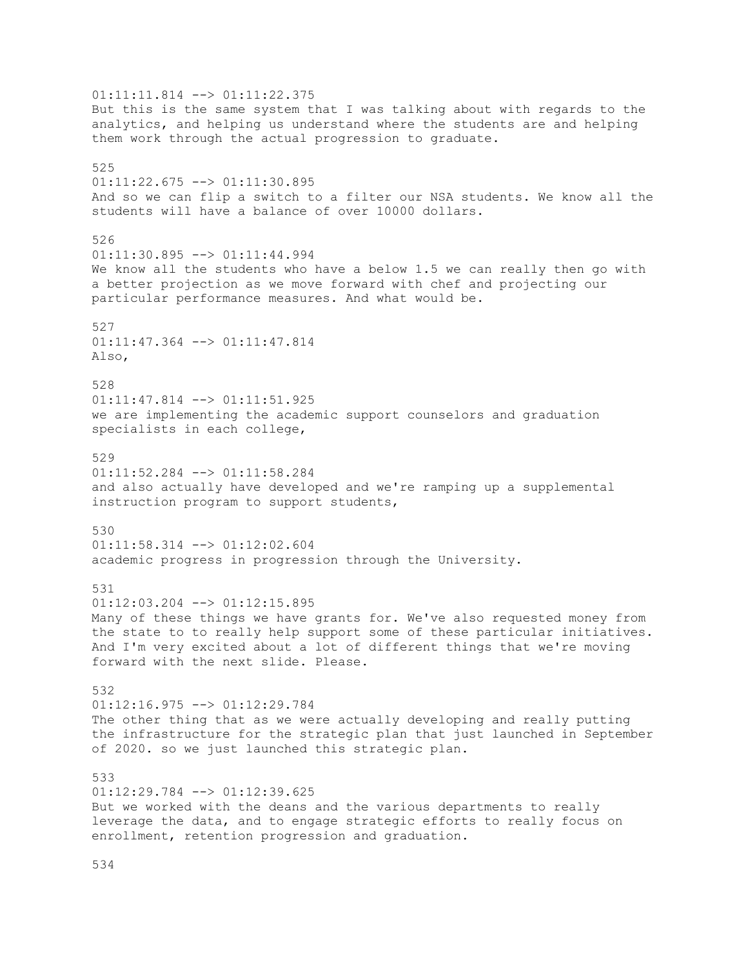01:11:11.814 --> 01:11:22.375 But this is the same system that I was talking about with regards to the analytics, and helping us understand where the students are and helping them work through the actual progression to graduate. 525 01:11:22.675 --> 01:11:30.895 And so we can flip a switch to a filter our NSA students. We know all the students will have a balance of over 10000 dollars. 526 01:11:30.895 --> 01:11:44.994 We know all the students who have a below 1.5 we can really then go with a better projection as we move forward with chef and projecting our particular performance measures. And what would be. 527 01:11:47.364 --> 01:11:47.814 Also, 528  $01:11:47.814$   $\leftarrow$   $>$   $01:11:51.925$ we are implementing the academic support counselors and graduation specialists in each college, 529  $01:11:52.284$  -->  $01:11:58.284$ and also actually have developed and we're ramping up a supplemental instruction program to support students, 530 01:11:58.314 --> 01:12:02.604 academic progress in progression through the University. 531  $01:12:03.204$  -->  $01:12:15.895$ Many of these things we have grants for. We've also requested money from the state to to really help support some of these particular initiatives. And I'm very excited about a lot of different things that we're moving forward with the next slide. Please. 532 01:12:16.975 --> 01:12:29.784 The other thing that as we were actually developing and really putting the infrastructure for the strategic plan that just launched in September of 2020. so we just launched this strategic plan. 533  $01:12:29.784$  -->  $01:12:39.625$ But we worked with the deans and the various departments to really leverage the data, and to engage strategic efforts to really focus on enrollment, retention progression and graduation.

534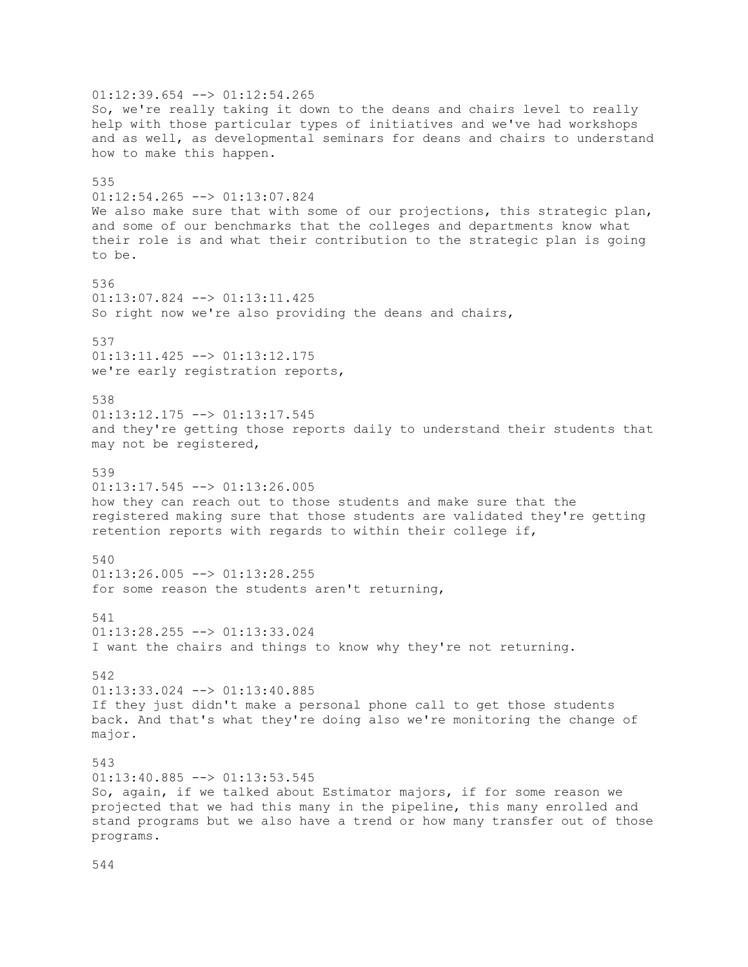$01:12:39.654$  -->  $01:12:54.265$ So, we're really taking it down to the deans and chairs level to really help with those particular types of initiatives and we've had workshops and as well, as developmental seminars for deans and chairs to understand how to make this happen. 535 01:12:54.265 --> 01:13:07.824 We also make sure that with some of our projections, this strategic plan, and some of our benchmarks that the colleges and departments know what their role is and what their contribution to the strategic plan is going to be. 536 01:13:07.824 --> 01:13:11.425 So right now we're also providing the deans and chairs, 537 01:13:11.425 --> 01:13:12.175 we're early registration reports, 538 01:13:12.175 --> 01:13:17.545 and they're getting those reports daily to understand their students that may not be registered, 539 01:13:17.545 --> 01:13:26.005 how they can reach out to those students and make sure that the registered making sure that those students are validated they're getting retention reports with regards to within their college if, 540  $01:13:26.005$  -->  $01:13:28.255$ for some reason the students aren't returning, 541 01:13:28.255 --> 01:13:33.024 I want the chairs and things to know why they're not returning. 542 01:13:33.024 --> 01:13:40.885 If they just didn't make a personal phone call to get those students back. And that's what they're doing also we're monitoring the change of major. 543 01:13:40.885 --> 01:13:53.545 So, again, if we talked about Estimator majors, if for some reason we projected that we had this many in the pipeline, this many enrolled and stand programs but we also have a trend or how many transfer out of those programs.

544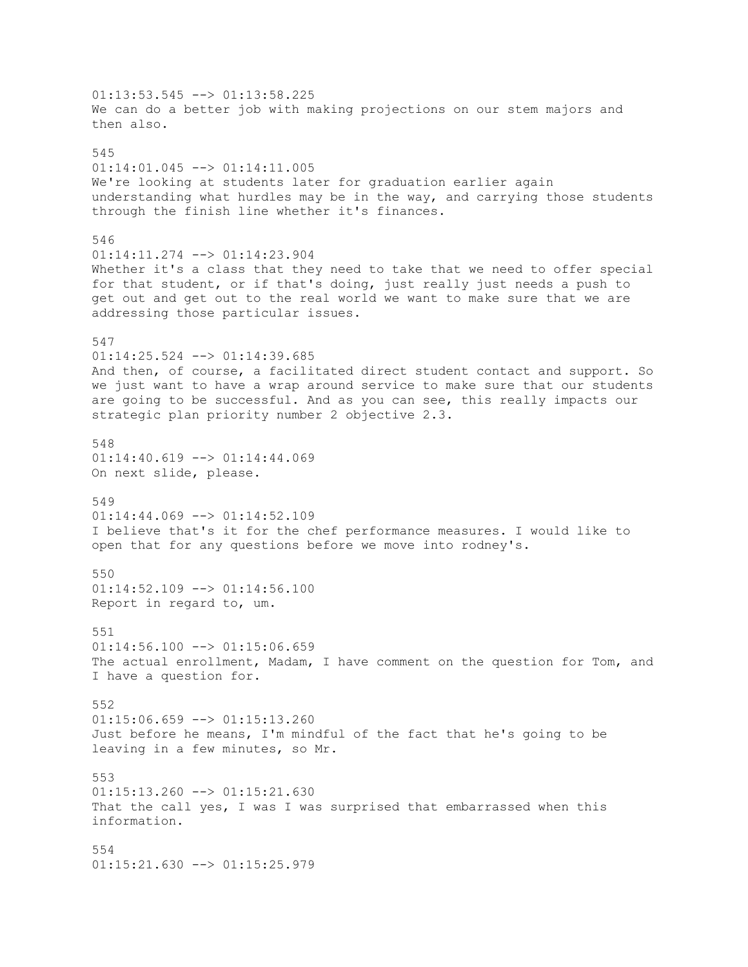01:13:53.545 --> 01:13:58.225 We can do a better job with making projections on our stem majors and then also. 545  $01:14:01.045$   $\leftarrow$   $>$   $01:14:11.005$ We're looking at students later for graduation earlier again understanding what hurdles may be in the way, and carrying those students through the finish line whether it's finances. 546 01:14:11.274 --> 01:14:23.904 Whether it's a class that they need to take that we need to offer special for that student, or if that's doing, just really just needs a push to get out and get out to the real world we want to make sure that we are addressing those particular issues. 547 01:14:25.524 --> 01:14:39.685 And then, of course, a facilitated direct student contact and support. So we just want to have a wrap around service to make sure that our students are going to be successful. And as you can see, this really impacts our strategic plan priority number 2 objective 2.3. 548  $01:14:40.619$  -->  $01:14:44.069$ On next slide, please. 549  $01:14:44.069$  -->  $01:14:52.109$ I believe that's it for the chef performance measures. I would like to open that for any questions before we move into rodney's. 550 01:14:52.109 --> 01:14:56.100 Report in regard to, um. 551  $01:14:56.100$  -->  $01:15:06.659$ The actual enrollment, Madam, I have comment on the question for Tom, and I have a question for. 552  $01:15:06.659$  -->  $01:15:13.260$ Just before he means, I'm mindful of the fact that he's going to be leaving in a few minutes, so Mr. 553  $01:15:13.260$  -->  $01:15:21.630$ That the call yes, I was I was surprised that embarrassed when this information. 554 01:15:21.630 --> 01:15:25.979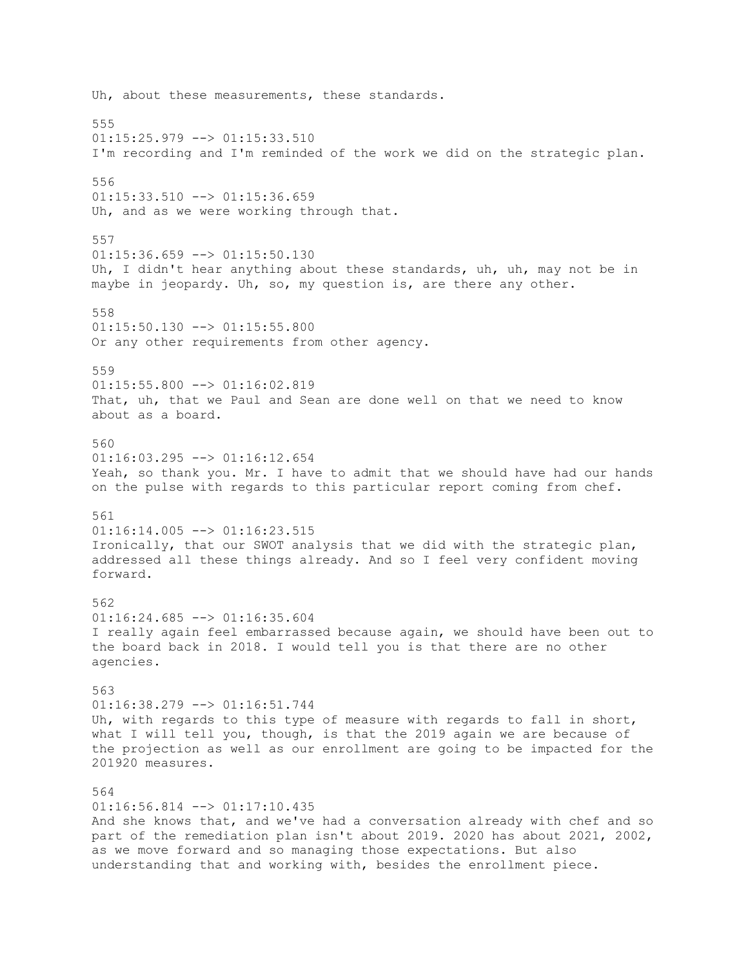Uh, about these measurements, these standards. 555  $01:15:25.979$  -->  $01:15:33.510$ I'm recording and I'm reminded of the work we did on the strategic plan. 556  $01:15:33.510$  -->  $01:15:36.659$ Uh, and as we were working through that. 557  $01:15:36.659$  -->  $01:15:50.130$ Uh, I didn't hear anything about these standards, uh, uh, may not be in maybe in jeopardy. Uh, so, my question is, are there any other. 558 01:15:50.130 --> 01:15:55.800 Or any other requirements from other agency. 559  $01:15:55.800$  -->  $01:16:02.819$ That, uh, that we Paul and Sean are done well on that we need to know about as a board. 560 01:16:03.295 --> 01:16:12.654 Yeah, so thank you. Mr. I have to admit that we should have had our hands on the pulse with regards to this particular report coming from chef. 561  $01:16:14.005$  -->  $01:16:23.515$ Ironically, that our SWOT analysis that we did with the strategic plan, addressed all these things already. And so I feel very confident moving forward. 562  $01:16:24.685$  -->  $01:16:35.604$ I really again feel embarrassed because again, we should have been out to the board back in 2018. I would tell you is that there are no other agencies. 563 01:16:38.279 --> 01:16:51.744 Uh, with regards to this type of measure with regards to fall in short, what I will tell you, though, is that the 2019 again we are because of the projection as well as our enrollment are going to be impacted for the 201920 measures. 564  $01:16:56.814$  -->  $01:17:10.435$ And she knows that, and we've had a conversation already with chef and so part of the remediation plan isn't about 2019. 2020 has about 2021, 2002, as we move forward and so managing those expectations. But also understanding that and working with, besides the enrollment piece.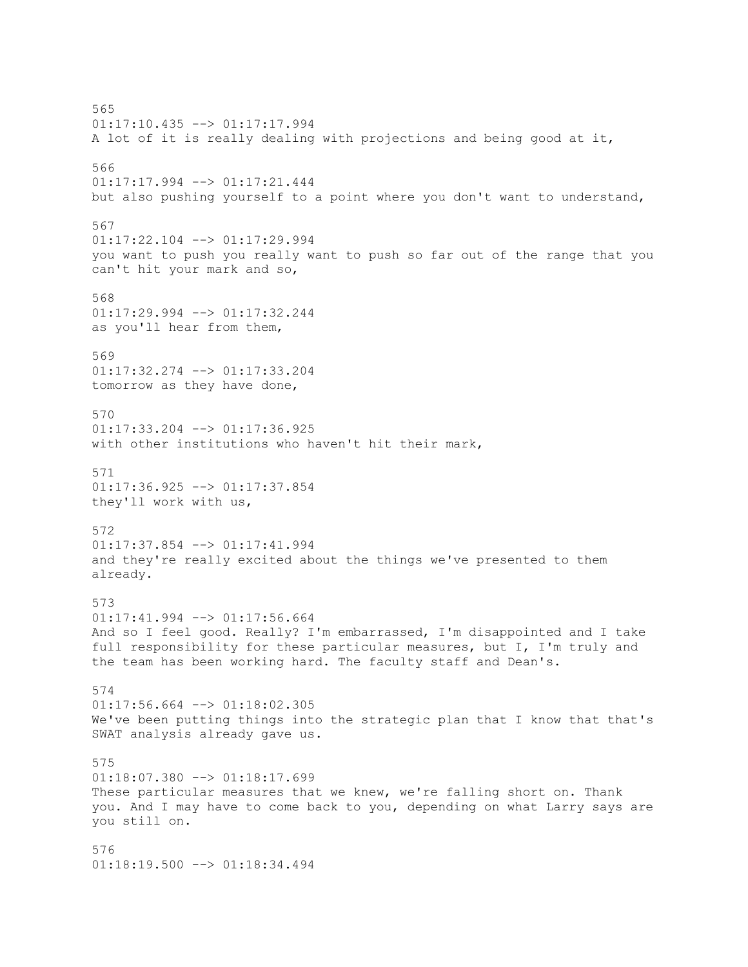565 01:17:10.435 --> 01:17:17.994 A lot of it is really dealing with projections and being good at it, 566 01:17:17.994 --> 01:17:21.444 but also pushing yourself to a point where you don't want to understand, 567 01:17:22.104 --> 01:17:29.994 you want to push you really want to push so far out of the range that you can't hit your mark and so, 568 01:17:29.994 --> 01:17:32.244 as you'll hear from them, 569 01:17:32.274 --> 01:17:33.204 tomorrow as they have done, 570  $01:17:33.204$  -->  $01:17:36.925$ with other institutions who haven't hit their mark, 571 01:17:36.925 --> 01:17:37.854 they'll work with us, 572 01:17:37.854 --> 01:17:41.994 and they're really excited about the things we've presented to them already. 573 01:17:41.994 --> 01:17:56.664 And so I feel good. Really? I'm embarrassed, I'm disappointed and I take full responsibility for these particular measures, but I, I'm truly and the team has been working hard. The faculty staff and Dean's. 574  $01:17:56.664$  -->  $01:18:02.305$ We've been putting things into the strategic plan that I know that that's SWAT analysis already gave us. 575 01:18:07.380 --> 01:18:17.699 These particular measures that we knew, we're falling short on. Thank you. And I may have to come back to you, depending on what Larry says are you still on. 576 01:18:19.500 --> 01:18:34.494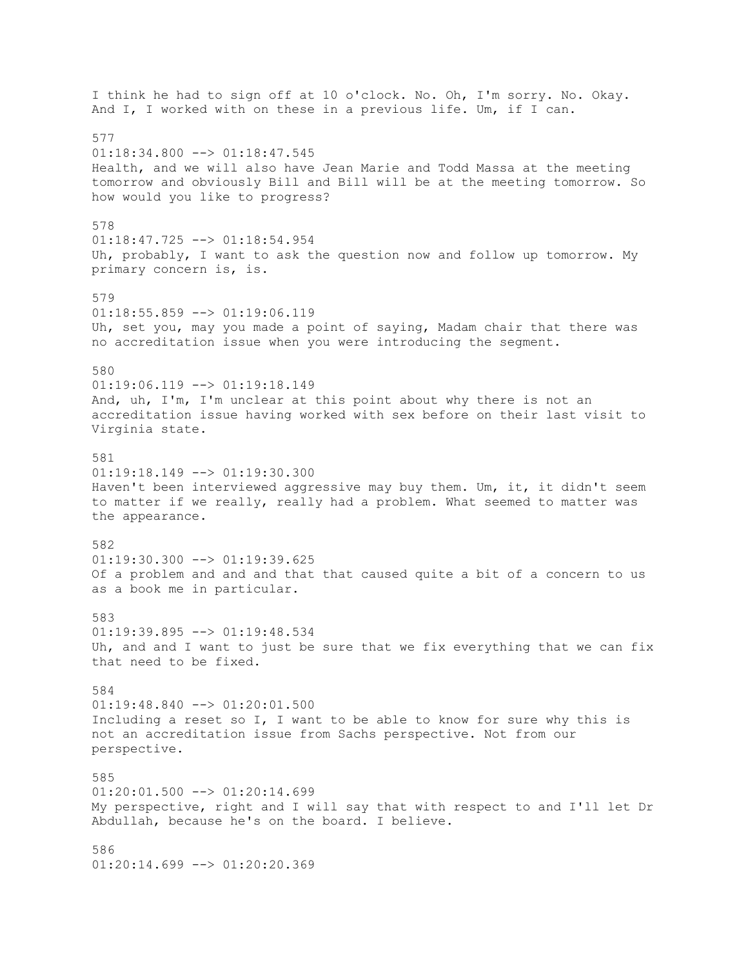I think he had to sign off at 10 o'clock. No. Oh, I'm sorry. No. Okay. And I, I worked with on these in a previous life. Um, if I can. 577  $01:18:34.800$  -->  $01:18:47.545$ Health, and we will also have Jean Marie and Todd Massa at the meeting tomorrow and obviously Bill and Bill will be at the meeting tomorrow. So how would you like to progress? 578 01:18:47.725 --> 01:18:54.954 Uh, probably, I want to ask the question now and follow up tomorrow. My primary concern is, is. 579 01:18:55.859 --> 01:19:06.119 Uh, set you, may you made a point of saying, Madam chair that there was no accreditation issue when you were introducing the segment. 580 01:19:06.119 --> 01:19:18.149 And, uh, I'm, I'm unclear at this point about why there is not an accreditation issue having worked with sex before on their last visit to Virginia state. 581  $01:19:18.149$  -->  $01:19:30.300$ Haven't been interviewed aggressive may buy them. Um, it, it didn't seem to matter if we really, really had a problem. What seemed to matter was the appearance. 582  $01:19:30.300$  -->  $01:19:39.625$ Of a problem and and and that that caused quite a bit of a concern to us as a book me in particular. 583 01:19:39.895 --> 01:19:48.534 Uh, and and I want to just be sure that we fix everything that we can fix that need to be fixed. 584 01:19:48.840 --> 01:20:01.500 Including a reset so I, I want to be able to know for sure why this is not an accreditation issue from Sachs perspective. Not from our perspective. 585  $01:20:01.500$  -->  $01:20:14.699$ My perspective, right and I will say that with respect to and I'll let Dr Abdullah, because he's on the board. I believe. 586 01:20:14.699 --> 01:20:20.369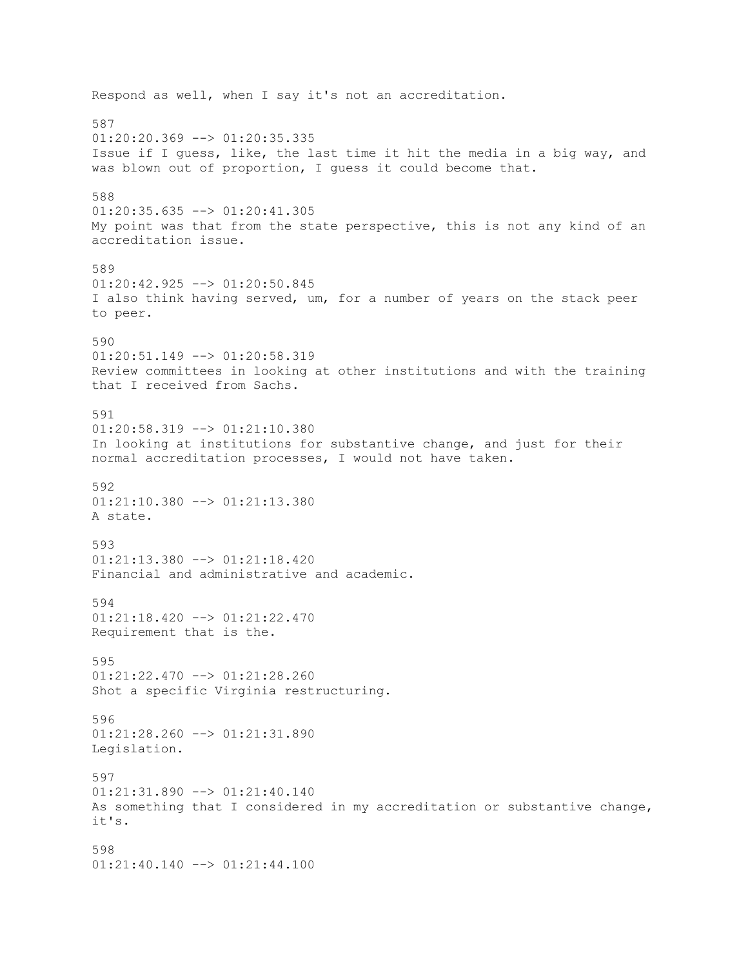Respond as well, when I say it's not an accreditation. 587  $01:20:20.369$  -->  $01:20:35.335$ Issue if I guess, like, the last time it hit the media in a big way, and was blown out of proportion, I guess it could become that. 588 01:20:35.635 --> 01:20:41.305 My point was that from the state perspective, this is not any kind of an accreditation issue. 589 01:20:42.925 --> 01:20:50.845 I also think having served, um, for a number of years on the stack peer to peer. 590 01:20:51.149 --> 01:20:58.319 Review committees in looking at other institutions and with the training that I received from Sachs. 591  $01:20:58.319$  -->  $01:21:10.380$ In looking at institutions for substantive change, and just for their normal accreditation processes, I would not have taken. 592 01:21:10.380 --> 01:21:13.380 A state. 593 01:21:13.380 --> 01:21:18.420 Financial and administrative and academic. 594 01:21:18.420 --> 01:21:22.470 Requirement that is the. 595 01:21:22.470 --> 01:21:28.260 Shot a specific Virginia restructuring. 596 01:21:28.260 --> 01:21:31.890 Legislation. 597 01:21:31.890 --> 01:21:40.140 As something that I considered in my accreditation or substantive change, it's. 598 01:21:40.140 --> 01:21:44.100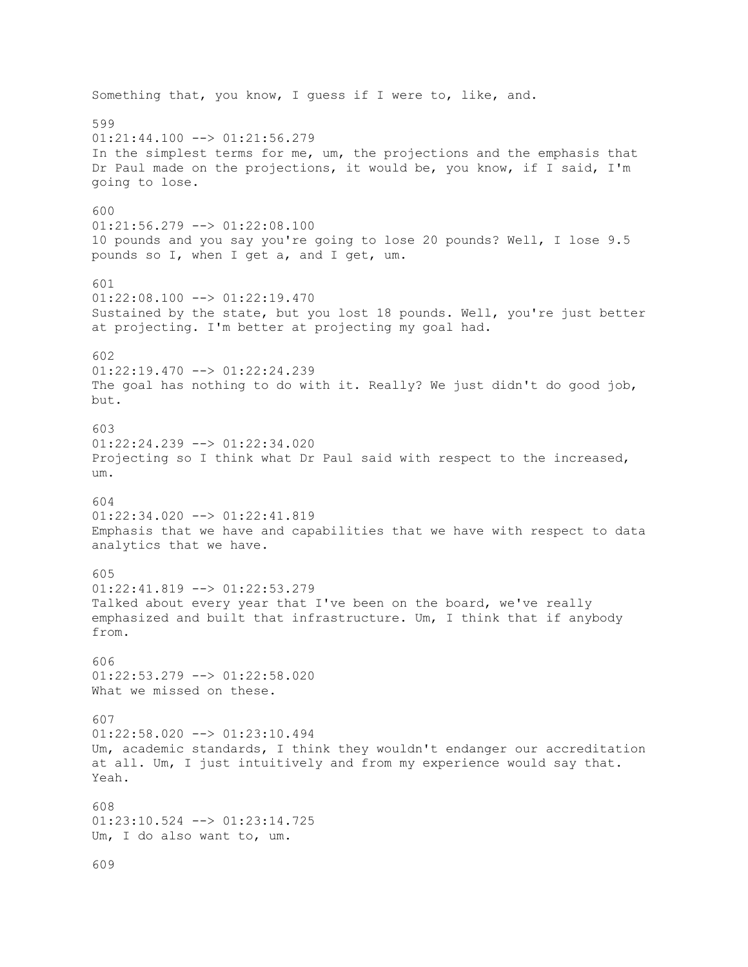Something that, you know, I guess if I were to, like, and. 599  $01:21:44.100$  -->  $01:21:56.279$ In the simplest terms for me, um, the projections and the emphasis that Dr Paul made on the projections, it would be, you know, if I said, I'm going to lose. 600 01:21:56.279 --> 01:22:08.100 10 pounds and you say you're going to lose 20 pounds? Well, I lose 9.5 pounds so I, when I get a, and I get, um. 601  $01:22:08.100$  -->  $01:22:19.470$ Sustained by the state, but you lost 18 pounds. Well, you're just better at projecting. I'm better at projecting my goal had. 602  $01:22:19.470$  -->  $01:22:24.239$ The goal has nothing to do with it. Really? We just didn't do good job, but. 603 01:22:24.239 --> 01:22:34.020 Projecting so I think what Dr Paul said with respect to the increased, um. 604 01:22:34.020 --> 01:22:41.819 Emphasis that we have and capabilities that we have with respect to data analytics that we have. 605 01:22:41.819 --> 01:22:53.279 Talked about every year that I've been on the board, we've really emphasized and built that infrastructure. Um, I think that if anybody from. 606 01:22:53.279 --> 01:22:58.020 What we missed on these. 607 01:22:58.020 --> 01:23:10.494 Um, academic standards, I think they wouldn't endanger our accreditation at all. Um, I just intuitively and from my experience would say that. Yeah. 608 01:23:10.524 --> 01:23:14.725 Um, I do also want to, um. 609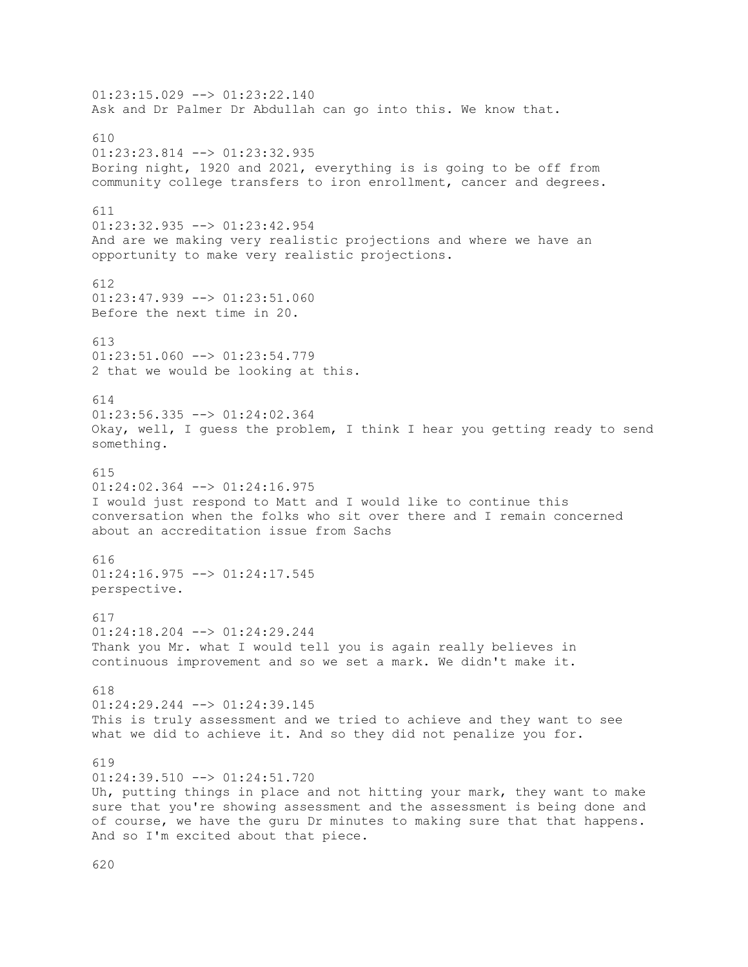$01:23:15.029$  -->  $01:23:22.140$ Ask and Dr Palmer Dr Abdullah can go into this. We know that. 610 01:23:23.814 --> 01:23:32.935 Boring night, 1920 and 2021, everything is is going to be off from community college transfers to iron enrollment, cancer and degrees. 611 01:23:32.935 --> 01:23:42.954 And are we making very realistic projections and where we have an opportunity to make very realistic projections. 612 01:23:47.939 --> 01:23:51.060 Before the next time in 20. 613 01:23:51.060 --> 01:23:54.779 2 that we would be looking at this. 614 01:23:56.335 --> 01:24:02.364 Okay, well, I guess the problem, I think I hear you getting ready to send something. 615 01:24:02.364 --> 01:24:16.975 I would just respond to Matt and I would like to continue this conversation when the folks who sit over there and I remain concerned about an accreditation issue from Sachs 616  $01:24:16.975$  -->  $01:24:17.545$ perspective. 617 01:24:18.204 --> 01:24:29.244 Thank you Mr. what I would tell you is again really believes in continuous improvement and so we set a mark. We didn't make it. 618 01:24:29.244 --> 01:24:39.145 This is truly assessment and we tried to achieve and they want to see what we did to achieve it. And so they did not penalize you for. 619 01:24:39.510 --> 01:24:51.720 Uh, putting things in place and not hitting your mark, they want to make sure that you're showing assessment and the assessment is being done and of course, we have the guru Dr minutes to making sure that that happens. And so I'm excited about that piece.

620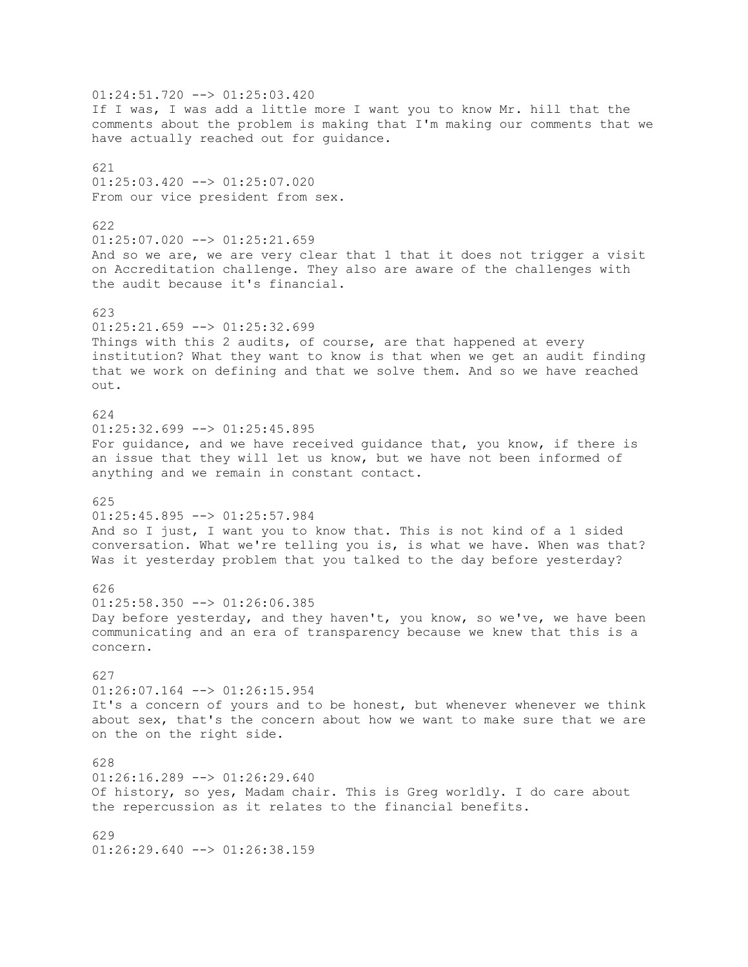$01:24:51.720$  -->  $01:25:03.420$ If I was, I was add a little more I want you to know Mr. hill that the comments about the problem is making that I'm making our comments that we have actually reached out for guidance. 621 01:25:03.420 --> 01:25:07.020 From our vice president from sex. 622 01:25:07.020 --> 01:25:21.659 And so we are, we are very clear that 1 that it does not trigger a visit on Accreditation challenge. They also are aware of the challenges with the audit because it's financial. 623 01:25:21.659 --> 01:25:32.699 Things with this 2 audits, of course, are that happened at every institution? What they want to know is that when we get an audit finding that we work on defining and that we solve them. And so we have reached out. 624  $01:25:32.699$  -->  $01:25:45.895$ For guidance, and we have received guidance that, you know, if there is an issue that they will let us know, but we have not been informed of anything and we remain in constant contact. 625  $01:25:45.895$  -->  $01:25:57.984$ And so I just, I want you to know that. This is not kind of a 1 sided conversation. What we're telling you is, is what we have. When was that? Was it yesterday problem that you talked to the day before yesterday? 626  $01:25:58.350$  -->  $01:26:06.385$ Day before yesterday, and they haven't, you know, so we've, we have been communicating and an era of transparency because we knew that this is a concern. 627 01:26:07.164 --> 01:26:15.954 It's a concern of yours and to be honest, but whenever whenever we think about sex, that's the concern about how we want to make sure that we are on the on the right side. 628 01:26:16.289 --> 01:26:29.640 Of history, so yes, Madam chair. This is Greg worldly. I do care about the repercussion as it relates to the financial benefits. 629 01:26:29.640 --> 01:26:38.159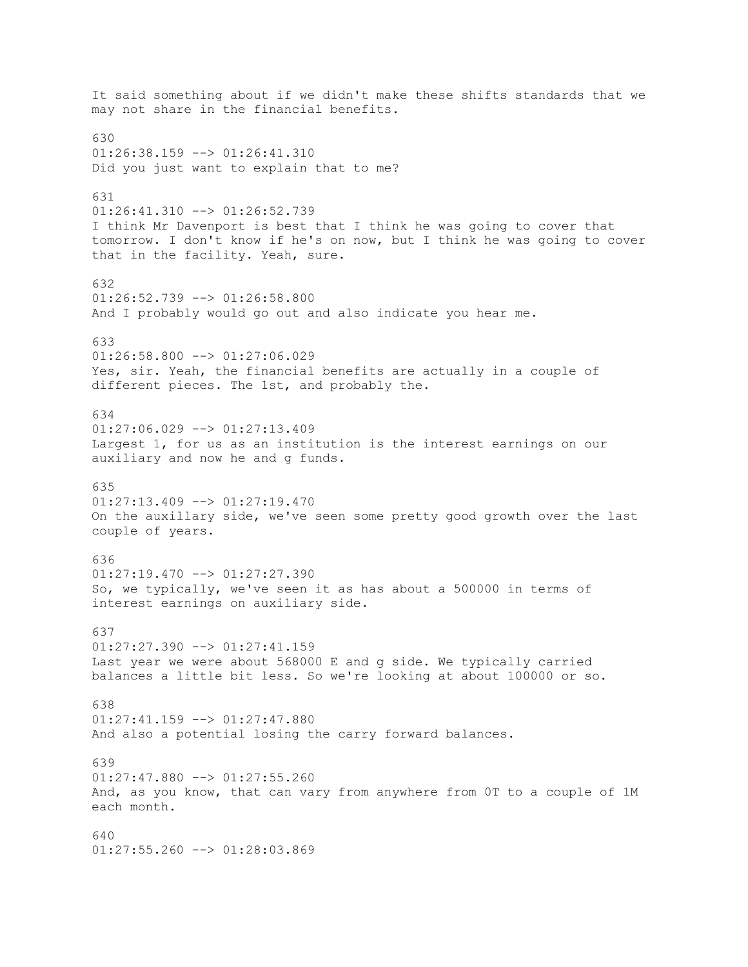It said something about if we didn't make these shifts standards that we may not share in the financial benefits. 630 01:26:38.159 --> 01:26:41.310 Did you just want to explain that to me? 631 01:26:41.310 --> 01:26:52.739 I think Mr Davenport is best that I think he was going to cover that tomorrow. I don't know if he's on now, but I think he was going to cover that in the facility. Yeah, sure. 632  $01:26:52.739$  -->  $01:26:58.800$ And I probably would go out and also indicate you hear me. 633 01:26:58.800 --> 01:27:06.029 Yes, sir. Yeah, the financial benefits are actually in a couple of different pieces. The 1st, and probably the. 634  $01:27:06.029$  -->  $01:27:13.409$ Largest 1, for us as an institution is the interest earnings on our auxiliary and now he and g funds. 635 01:27:13.409 --> 01:27:19.470 On the auxillary side, we've seen some pretty good growth over the last couple of years. 636  $01:27:19.470$   $\longrightarrow$   $01:27:27.390$ So, we typically, we've seen it as has about a 500000 in terms of interest earnings on auxiliary side. 637  $01:27:27.390$  -->  $01:27:41.159$ Last year we were about 568000 E and g side. We typically carried balances a little bit less. So we're looking at about 100000 or so. 638 01:27:41.159 --> 01:27:47.880 And also a potential losing the carry forward balances. 639 01:27:47.880 --> 01:27:55.260 And, as you know, that can vary from anywhere from 0T to a couple of 1M each month. 640 01:27:55.260 --> 01:28:03.869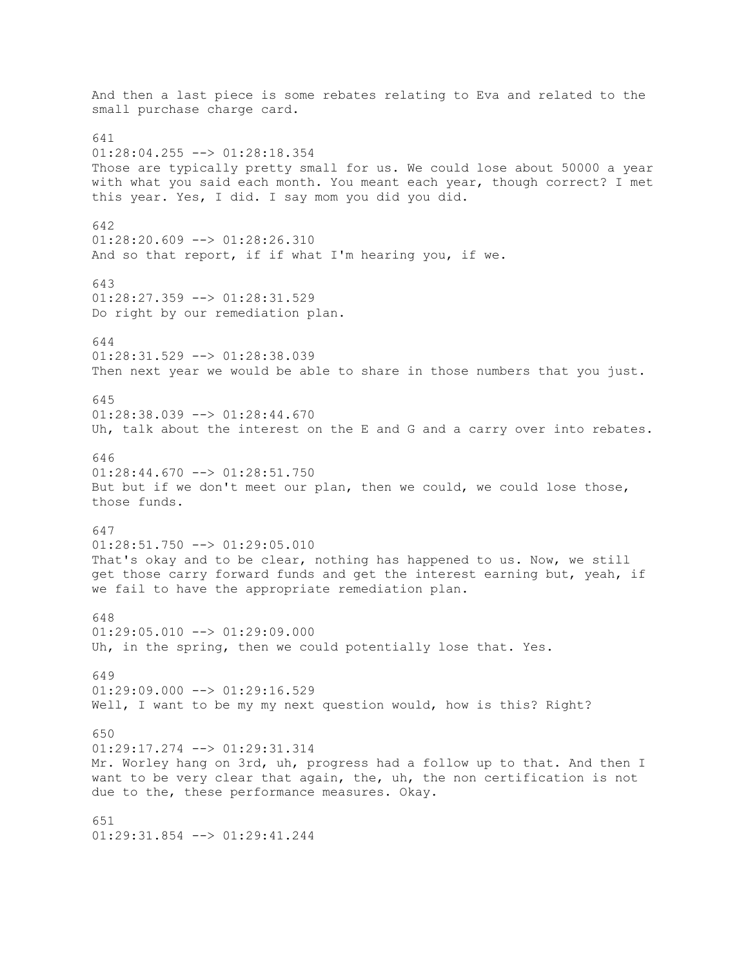And then a last piece is some rebates relating to Eva and related to the small purchase charge card. 641 01:28:04.255 --> 01:28:18.354 Those are typically pretty small for us. We could lose about 50000 a year with what you said each month. You meant each year, though correct? I met this year. Yes, I did. I say mom you did you did. 642 01:28:20.609 --> 01:28:26.310 And so that report, if if what I'm hearing you, if we. 643 01:28:27.359 --> 01:28:31.529 Do right by our remediation plan. 644 01:28:31.529 --> 01:28:38.039 Then next year we would be able to share in those numbers that you just. 645 01:28:38.039 --> 01:28:44.670 Uh, talk about the interest on the E and G and a carry over into rebates. 646  $01:28:44.670$  -->  $01:28:51.750$ But but if we don't meet our plan, then we could, we could lose those, those funds. 647 01:28:51.750 --> 01:29:05.010 That's okay and to be clear, nothing has happened to us. Now, we still get those carry forward funds and get the interest earning but, yeah, if we fail to have the appropriate remediation plan. 648  $01:29:05.010$  -->  $01:29:09.000$ Uh, in the spring, then we could potentially lose that. Yes. 649  $01:29:09.000$  -->  $01:29:16.529$ Well, I want to be my my next question would, how is this? Right? 650 01:29:17.274 --> 01:29:31.314 Mr. Worley hang on 3rd, uh, progress had a follow up to that. And then I want to be very clear that again, the, uh, the non certification is not due to the, these performance measures. Okay. 651 01:29:31.854 --> 01:29:41.244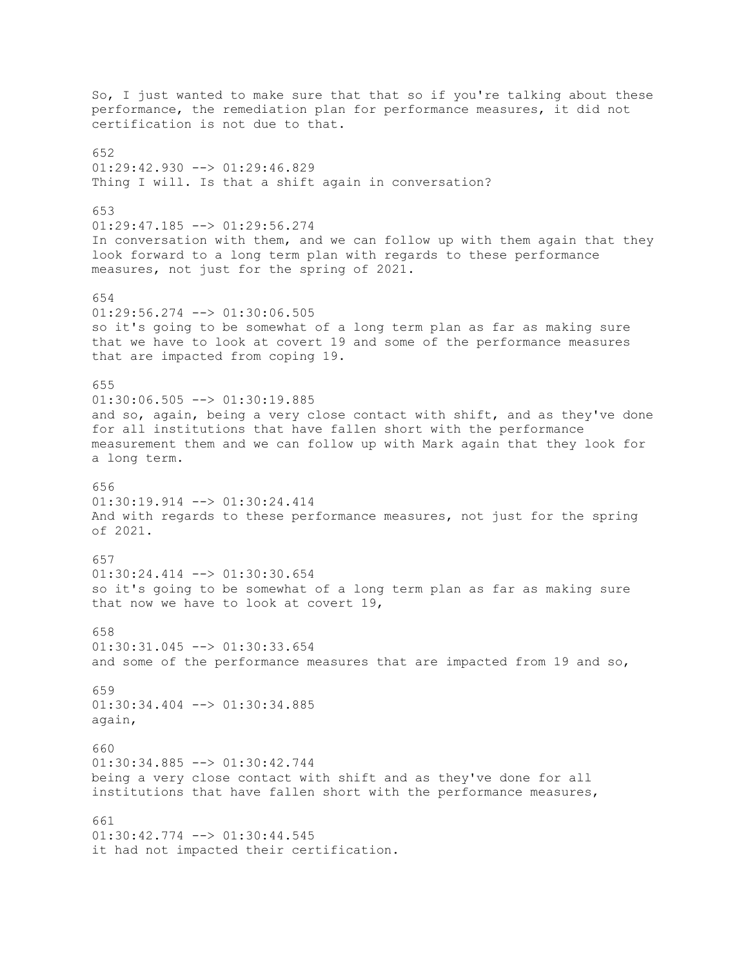So, I just wanted to make sure that that so if you're talking about these performance, the remediation plan for performance measures, it did not certification is not due to that.  $652$  $01:29:42.930$  -->  $01:29:46.829$ Thing I will. Is that a shift again in conversation? 653 01:29:47.185 --> 01:29:56.274 In conversation with them, and we can follow up with them again that they look forward to a long term plan with regards to these performance measures, not just for the spring of 2021. 654 01:29:56.274 --> 01:30:06.505 so it's going to be somewhat of a long term plan as far as making sure that we have to look at covert 19 and some of the performance measures that are impacted from coping 19. 655  $01:30:06.505$   $\leftarrow$   $>$   $01:30:19.885$ and so, again, being a very close contact with shift, and as they've done for all institutions that have fallen short with the performance measurement them and we can follow up with Mark again that they look for a long term. 656 01:30:19.914 --> 01:30:24.414 And with regards to these performance measures, not just for the spring of 2021. 657  $01:30:24.414$   $\leftarrow$   $>$   $01:30:30.654$ so it's going to be somewhat of a long term plan as far as making sure that now we have to look at covert 19, 658  $01:30:31.045$   $\leftarrow$   $>$   $01:30:33.654$ and some of the performance measures that are impacted from 19 and so, 659 01:30:34.404 --> 01:30:34.885 again, 660 01:30:34.885 --> 01:30:42.744 being a very close contact with shift and as they've done for all institutions that have fallen short with the performance measures, 661  $01:30:42.774$   $\leftarrow$   $>$  01:30:44.545 it had not impacted their certification.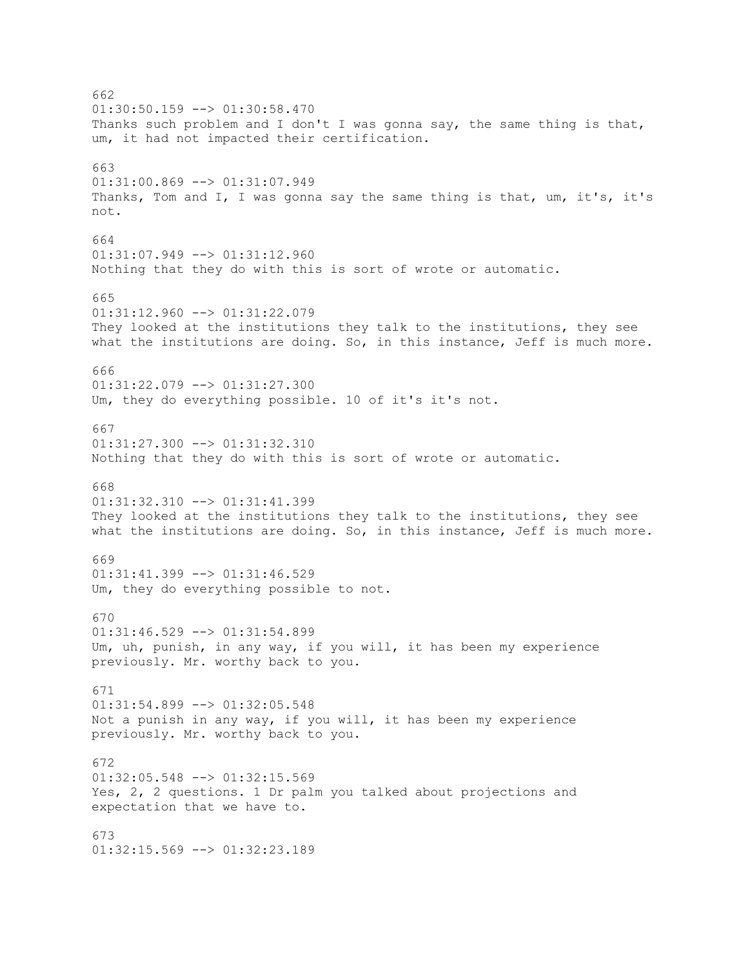662  $01:30:50.159$  -->  $01:30:58.470$ Thanks such problem and I don't I was gonna say, the same thing is that, um, it had not impacted their certification. 663 01:31:00.869 --> 01:31:07.949 Thanks, Tom and I, I was gonna say the same thing is that, um, it's, it's not. 664 01:31:07.949 --> 01:31:12.960 Nothing that they do with this is sort of wrote or automatic. 665  $01:31:12.960$  -->  $01:31:22.079$ They looked at the institutions they talk to the institutions, they see what the institutions are doing. So, in this instance, Jeff is much more. 666  $01:31:22.079$  -->  $01:31:27.300$ Um, they do everything possible. 10 of it's it's not. 667 01:31:27.300 --> 01:31:32.310 Nothing that they do with this is sort of wrote or automatic. 668 01:31:32.310 --> 01:31:41.399 They looked at the institutions they talk to the institutions, they see what the institutions are doing. So, in this instance, Jeff is much more. 669  $01:31:41.399$  -->  $01:31:46.529$ Um, they do everything possible to not. 670  $01:31:46.529$  -->  $01:31:54.899$ Um, uh, punish, in any way, if you will, it has been my experience previously. Mr. worthy back to you. 671 01:31:54.899 --> 01:32:05.548 Not a punish in any way, if you will, it has been my experience previously. Mr. worthy back to you. 672 01:32:05.548 --> 01:32:15.569 Yes, 2, 2 questions. 1 Dr palm you talked about projections and expectation that we have to. 673 01:32:15.569 --> 01:32:23.189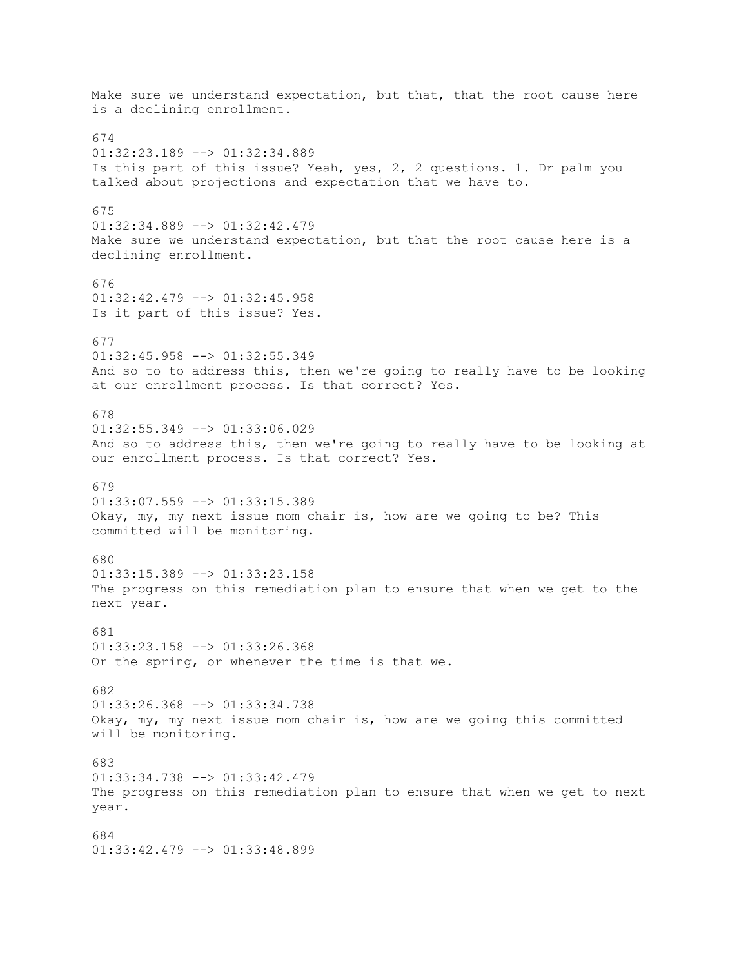Make sure we understand expectation, but that, that the root cause here is a declining enrollment. 674 01:32:23.189 --> 01:32:34.889 Is this part of this issue? Yeah, yes, 2, 2 questions. 1. Dr palm you talked about projections and expectation that we have to. 675 01:32:34.889 --> 01:32:42.479 Make sure we understand expectation, but that the root cause here is a declining enrollment. 676 01:32:42.479 --> 01:32:45.958 Is it part of this issue? Yes. 677 01:32:45.958 --> 01:32:55.349 And so to to address this, then we're going to really have to be looking at our enrollment process. Is that correct? Yes. 678  $01:32:55.349$  -->  $01:33:06.029$ And so to address this, then we're going to really have to be looking at our enrollment process. Is that correct? Yes. 679 01:33:07.559 --> 01:33:15.389 Okay, my, my next issue mom chair is, how are we going to be? This committed will be monitoring. 680  $01:33:15.389$  -->  $01:33:23.158$ The progress on this remediation plan to ensure that when we get to the next year. 681  $01:33:23.158$  -->  $01:33:26.368$ Or the spring, or whenever the time is that we. 682 01:33:26.368 --> 01:33:34.738 Okay, my, my next issue mom chair is, how are we going this committed will be monitoring. 683 01:33:34.738 --> 01:33:42.479 The progress on this remediation plan to ensure that when we get to next year. 684 01:33:42.479 --> 01:33:48.899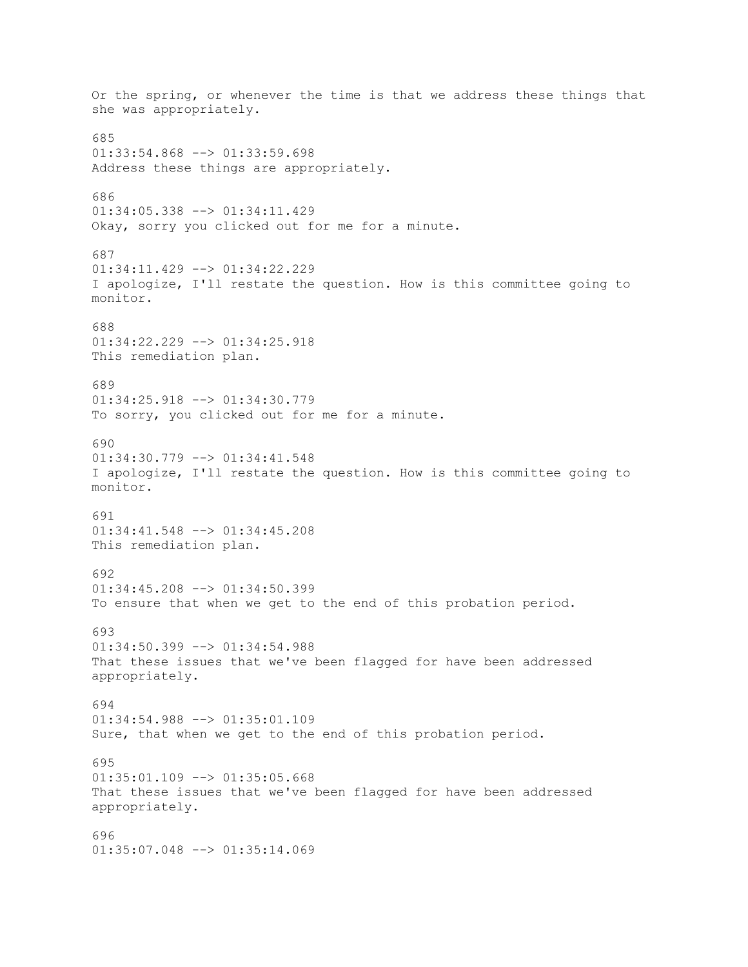Or the spring, or whenever the time is that we address these things that she was appropriately. 685 01:33:54.868 --> 01:33:59.698 Address these things are appropriately. 686 01:34:05.338 --> 01:34:11.429 Okay, sorry you clicked out for me for a minute. 687 01:34:11.429 --> 01:34:22.229 I apologize, I'll restate the question. How is this committee going to monitor. 688 01:34:22.229 --> 01:34:25.918 This remediation plan. 689 01:34:25.918 --> 01:34:30.779 To sorry, you clicked out for me for a minute. 690 01:34:30.779 --> 01:34:41.548 I apologize, I'll restate the question. How is this committee going to monitor. 691 01:34:41.548 --> 01:34:45.208 This remediation plan. 692 01:34:45.208 --> 01:34:50.399 To ensure that when we get to the end of this probation period. 693  $01:34:50.399$  -->  $01:34:54.988$ That these issues that we've been flagged for have been addressed appropriately. 694 01:34:54.988 --> 01:35:01.109 Sure, that when we get to the end of this probation period. 695  $01:35:01.109$  -->  $01:35:05.668$ That these issues that we've been flagged for have been addressed appropriately. 696 01:35:07.048 --> 01:35:14.069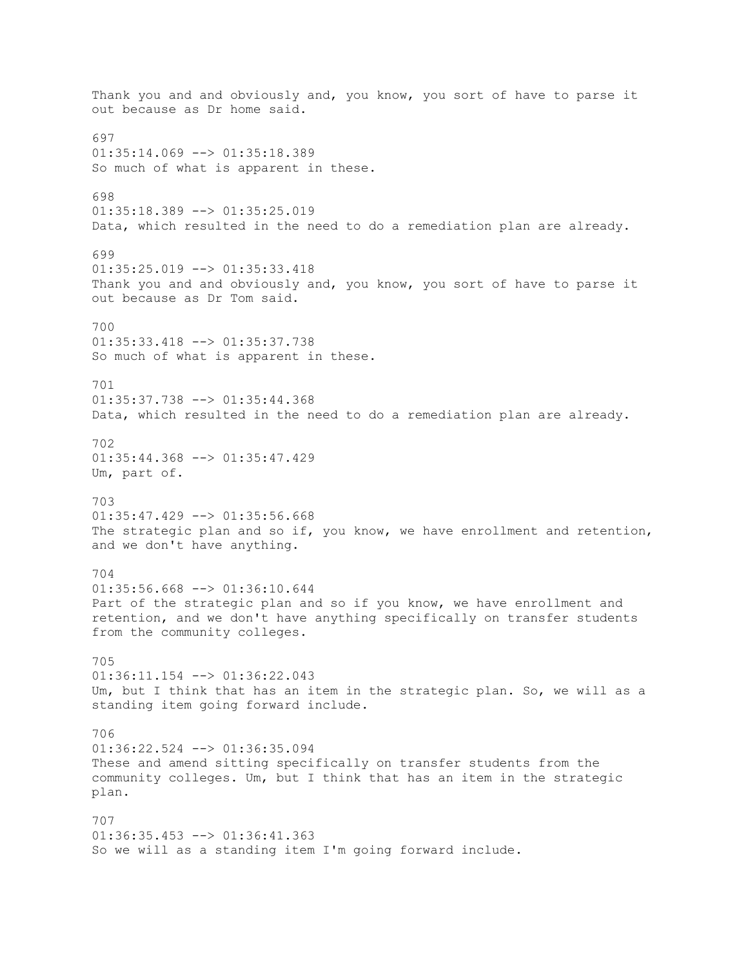Thank you and and obviously and, you know, you sort of have to parse it out because as Dr home said. 697  $01:35:14.069$  -->  $01:35:18.389$ So much of what is apparent in these. 698 01:35:18.389 --> 01:35:25.019 Data, which resulted in the need to do a remediation plan are already. 699 01:35:25.019 --> 01:35:33.418 Thank you and and obviously and, you know, you sort of have to parse it out because as Dr Tom said. 700 01:35:33.418 --> 01:35:37.738 So much of what is apparent in these. 701 01:35:37.738 --> 01:35:44.368 Data, which resulted in the need to do a remediation plan are already. 702 01:35:44.368 --> 01:35:47.429 Um, part of. 703  $01:35:47.429$  -->  $01:35:56.668$ The strategic plan and so if, you know, we have enrollment and retention, and we don't have anything. 704 01:35:56.668 --> 01:36:10.644 Part of the strategic plan and so if you know, we have enrollment and retention, and we don't have anything specifically on transfer students from the community colleges. 705 01:36:11.154 --> 01:36:22.043 Um, but I think that has an item in the strategic plan. So, we will as a standing item going forward include. 706 01:36:22.524 --> 01:36:35.094 These and amend sitting specifically on transfer students from the community colleges. Um, but I think that has an item in the strategic plan. 707 01:36:35.453 --> 01:36:41.363 So we will as a standing item I'm going forward include.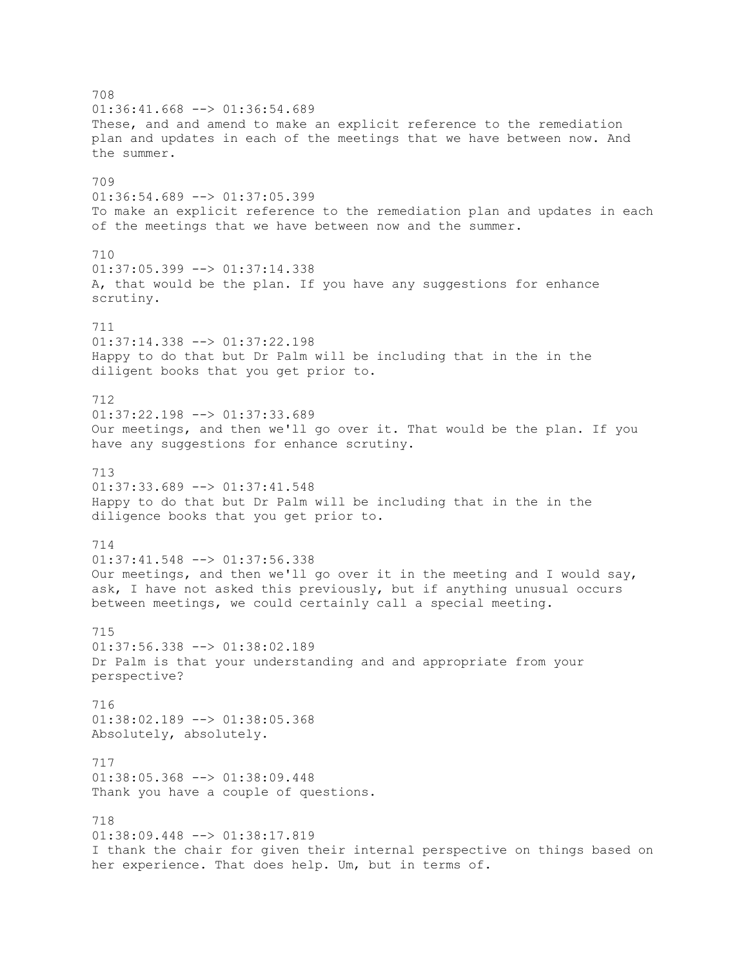708  $01:36:41.668$  -->  $01:36:54.689$ These, and and amend to make an explicit reference to the remediation plan and updates in each of the meetings that we have between now. And the summer. 709 01:36:54.689 --> 01:37:05.399 To make an explicit reference to the remediation plan and updates in each of the meetings that we have between now and the summer. 710  $01:37:05.399$  -->  $01:37:14.338$ A, that would be the plan. If you have any suggestions for enhance scrutiny. 711 01:37:14.338 --> 01:37:22.198 Happy to do that but Dr Palm will be including that in the in the diligent books that you get prior to. 712 01:37:22.198 --> 01:37:33.689 Our meetings, and then we'll go over it. That would be the plan. If you have any suggestions for enhance scrutiny. 713  $01:37:33.689$  -->  $01:37:41.548$ Happy to do that but Dr Palm will be including that in the in the diligence books that you get prior to. 714 01:37:41.548 --> 01:37:56.338 Our meetings, and then we'll go over it in the meeting and I would say, ask, I have not asked this previously, but if anything unusual occurs between meetings, we could certainly call a special meeting. 715  $01:37:56.338$   $\leftarrow$   $>$   $01:38:02.189$ Dr Palm is that your understanding and and appropriate from your perspective? 716 01:38:02.189 --> 01:38:05.368 Absolutely, absolutely. 717 01:38:05.368 --> 01:38:09.448 Thank you have a couple of questions. 718 01:38:09.448 --> 01:38:17.819 I thank the chair for given their internal perspective on things based on her experience. That does help. Um, but in terms of.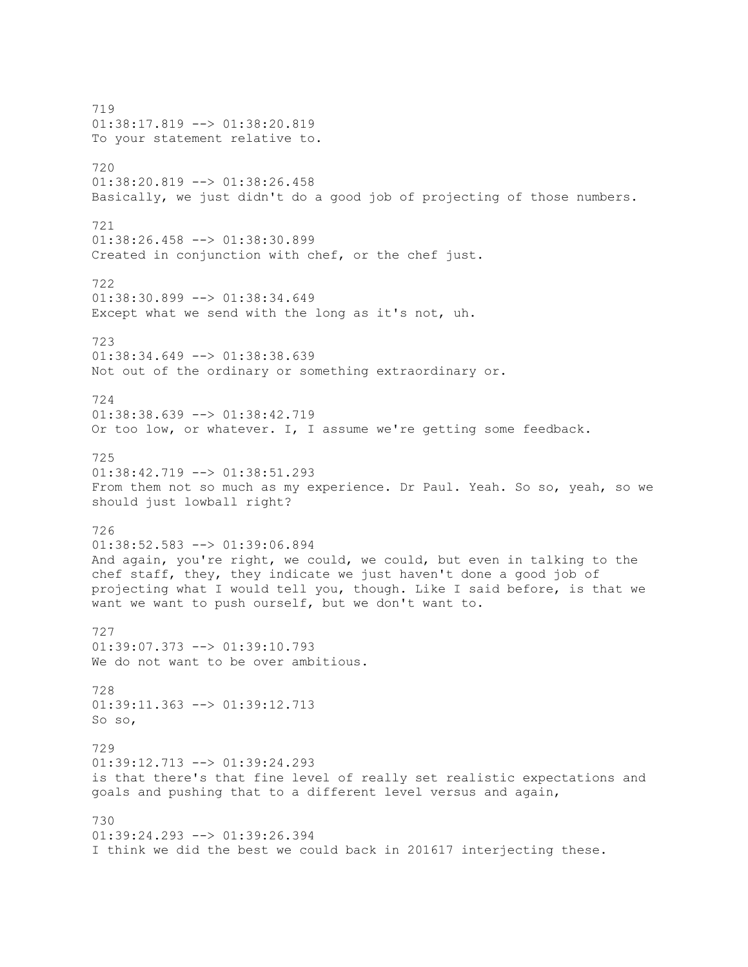719 01:38:17.819 --> 01:38:20.819 To your statement relative to. 720 01:38:20.819 --> 01:38:26.458 Basically, we just didn't do a good job of projecting of those numbers. 721 01:38:26.458 --> 01:38:30.899 Created in conjunction with chef, or the chef just. 722  $01:38:30.899$  -->  $01:38:34.649$ Except what we send with the long as it's not, uh. 723 01:38:34.649 --> 01:38:38.639 Not out of the ordinary or something extraordinary or. 724 01:38:38.639 --> 01:38:42.719 Or too low, or whatever. I, I assume we're getting some feedback. 725  $01:38:42.719$  -->  $01:38:51.293$ From them not so much as my experience. Dr Paul. Yeah. So so, yeah, so we should just lowball right? 726 01:38:52.583 --> 01:39:06.894 And again, you're right, we could, we could, but even in talking to the chef staff, they, they indicate we just haven't done a good job of projecting what I would tell you, though. Like I said before, is that we want we want to push ourself, but we don't want to. 727 01:39:07.373 --> 01:39:10.793 We do not want to be over ambitious. 728 01:39:11.363 --> 01:39:12.713 So so, 729 01:39:12.713 --> 01:39:24.293 is that there's that fine level of really set realistic expectations and goals and pushing that to a different level versus and again, 730 01:39:24.293 --> 01:39:26.394 I think we did the best we could back in 201617 interjecting these.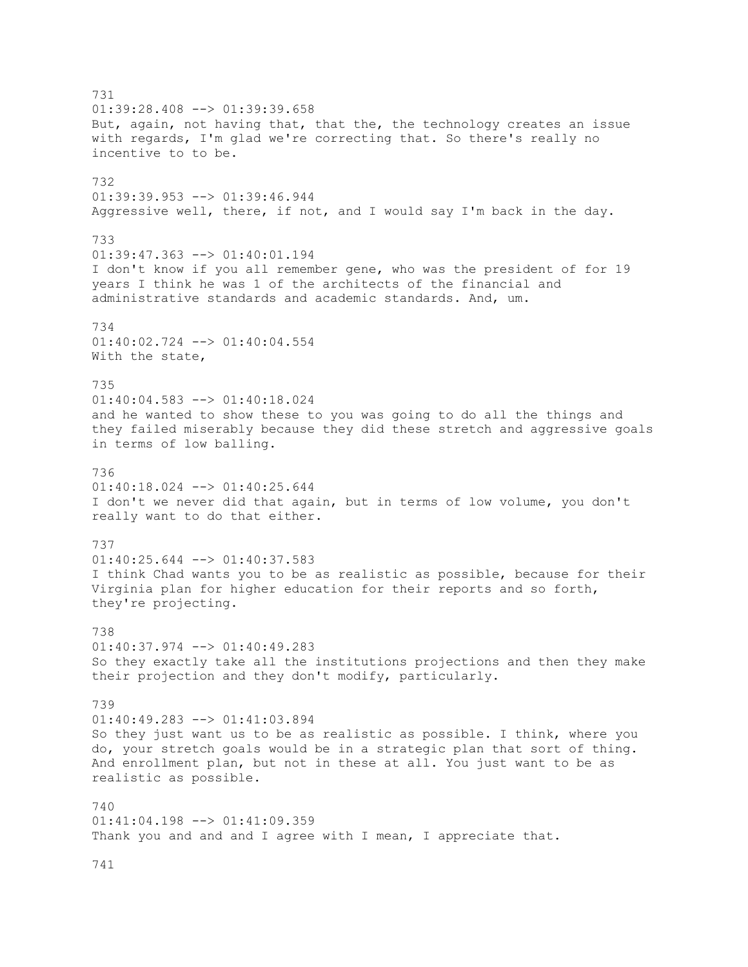731 01:39:28.408 --> 01:39:39.658 But, again, not having that, that the, the technology creates an issue with regards, I'm glad we're correcting that. So there's really no incentive to to be. 732 01:39:39.953 --> 01:39:46.944 Aggressive well, there, if not, and I would say I'm back in the day. 733 01:39:47.363 --> 01:40:01.194 I don't know if you all remember gene, who was the president of for 19 years I think he was 1 of the architects of the financial and administrative standards and academic standards. And, um. 734 01:40:02.724 --> 01:40:04.554 With the state, 735 01:40:04.583 --> 01:40:18.024 and he wanted to show these to you was going to do all the things and they failed miserably because they did these stretch and aggressive goals in terms of low balling. 736  $01:40:18.024$   $\leftarrow$   $>$  01:40:25.644 I don't we never did that again, but in terms of low volume, you don't really want to do that either. 737 01:40:25.644 --> 01:40:37.583 I think Chad wants you to be as realistic as possible, because for their Virginia plan for higher education for their reports and so forth, they're projecting. 738  $01:40:37.974$   $\leftarrow$   $>$   $01:40:49.283$ So they exactly take all the institutions projections and then they make their projection and they don't modify, particularly. 739 01:40:49.283 --> 01:41:03.894 So they just want us to be as realistic as possible. I think, where you do, your stretch goals would be in a strategic plan that sort of thing. And enrollment plan, but not in these at all. You just want to be as realistic as possible. 740 01:41:04.198 --> 01:41:09.359 Thank you and and and I agree with I mean, I appreciate that.

741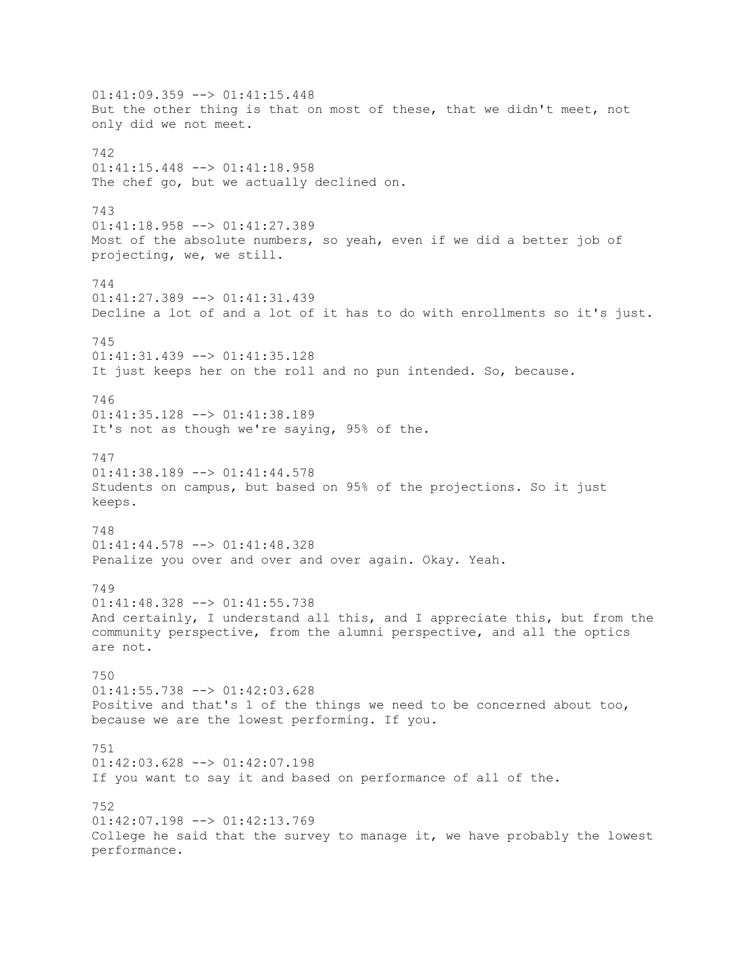01:41:09.359 --> 01:41:15.448 But the other thing is that on most of these, that we didn't meet, not only did we not meet. 742 01:41:15.448 --> 01:41:18.958 The chef go, but we actually declined on. 743 01:41:18.958 --> 01:41:27.389 Most of the absolute numbers, so yeah, even if we did a better job of projecting, we, we still. 744 01:41:27.389 --> 01:41:31.439 Decline a lot of and a lot of it has to do with enrollments so it's just. 745 01:41:31.439 --> 01:41:35.128 It just keeps her on the roll and no pun intended. So, because. 746 01:41:35.128 --> 01:41:38.189 It's not as though we're saying, 95% of the. 747  $01:41:38.189$  -->  $01:41:44.578$ Students on campus, but based on 95% of the projections. So it just keeps. 748 01:41:44.578 --> 01:41:48.328 Penalize you over and over and over again. Okay. Yeah. 749 01:41:48.328 --> 01:41:55.738 And certainly, I understand all this, and I appreciate this, but from the community perspective, from the alumni perspective, and all the optics are not. 750 01:41:55.738 --> 01:42:03.628 Positive and that's 1 of the things we need to be concerned about too, because we are the lowest performing. If you. 751 01:42:03.628 --> 01:42:07.198 If you want to say it and based on performance of all of the. 752 01:42:07.198 --> 01:42:13.769 College he said that the survey to manage it, we have probably the lowest performance.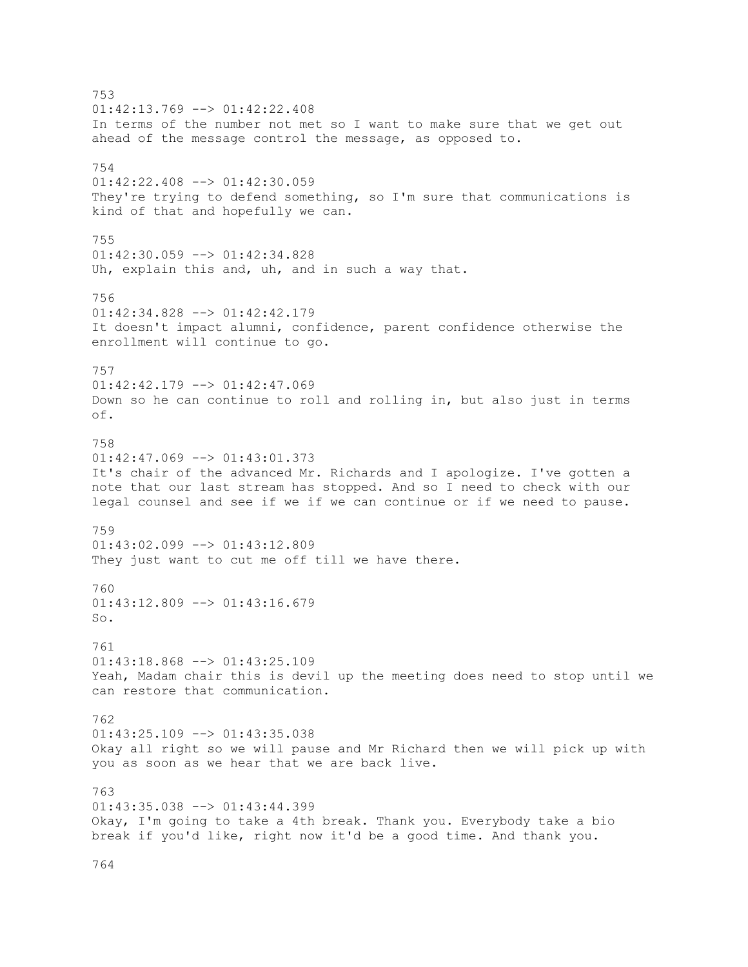753  $01:42:13.769$  -->  $01:42:22.408$ In terms of the number not met so I want to make sure that we get out ahead of the message control the message, as opposed to. 754 01:42:22.408 --> 01:42:30.059 They're trying to defend something, so I'm sure that communications is kind of that and hopefully we can. 755 01:42:30.059 --> 01:42:34.828 Uh, explain this and, uh, and in such a way that. 756  $01:42:34.828$   $\longrightarrow$   $01:42:42.179$ It doesn't impact alumni, confidence, parent confidence otherwise the enrollment will continue to go. 757  $01:42:42.179$  -->  $01:42:47.069$ Down so he can continue to roll and rolling in, but also just in terms of. 758 01:42:47.069 --> 01:43:01.373 It's chair of the advanced Mr. Richards and I apologize. I've gotten a note that our last stream has stopped. And so I need to check with our legal counsel and see if we if we can continue or if we need to pause. 759  $01:43:02.099$  -->  $01:43:12.809$ They just want to cut me off till we have there. 760  $01:43:12.809$  -->  $01:43:16.679$ So. 761 01:43:18.868 --> 01:43:25.109 Yeah, Madam chair this is devil up the meeting does need to stop until we can restore that communication. 762  $01:43:25.109$  -->  $01:43:35.038$ Okay all right so we will pause and Mr Richard then we will pick up with you as soon as we hear that we are back live. 763  $01:43:35.038$  -->  $01:43:44.399$ Okay, I'm going to take a 4th break. Thank you. Everybody take a bio break if you'd like, right now it'd be a good time. And thank you.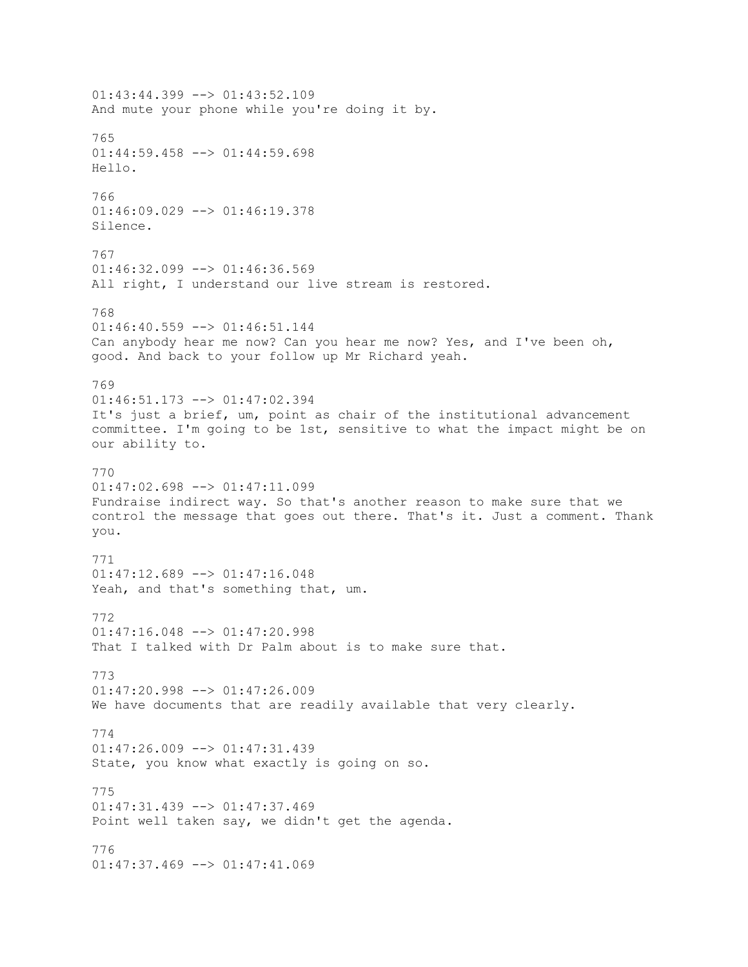01:43:44.399 --> 01:43:52.109 And mute your phone while you're doing it by. 765  $01:44:59.458$  -->  $01:44:59.698$ Hello. 766  $01:46:09.029$  -->  $01:46:19.378$ Silence. 767  $01:46:32.099$  -->  $01:46:36.569$ All right, I understand our live stream is restored. 768 01:46:40.559 --> 01:46:51.144 Can anybody hear me now? Can you hear me now? Yes, and I've been oh, good. And back to your follow up Mr Richard yeah. 769 01:46:51.173 --> 01:47:02.394 It's just a brief, um, point as chair of the institutional advancement committee. I'm going to be 1st, sensitive to what the impact might be on our ability to. 770  $01:47:02.698$  -->  $01:47:11.099$ Fundraise indirect way. So that's another reason to make sure that we control the message that goes out there. That's it. Just a comment. Thank you. 771  $01:47:12.689$  -->  $01:47:16.048$ Yeah, and that's something that, um. 772  $01:47:16.048$  -->  $01:47:20.998$ That I talked with Dr Palm about is to make sure that. 773 01:47:20.998 --> 01:47:26.009 We have documents that are readily available that very clearly. 774  $01:47:26.009$  -->  $01:47:31.439$ State, you know what exactly is going on so. 775 01:47:31.439 --> 01:47:37.469 Point well taken say, we didn't get the agenda. 776 01:47:37.469 --> 01:47:41.069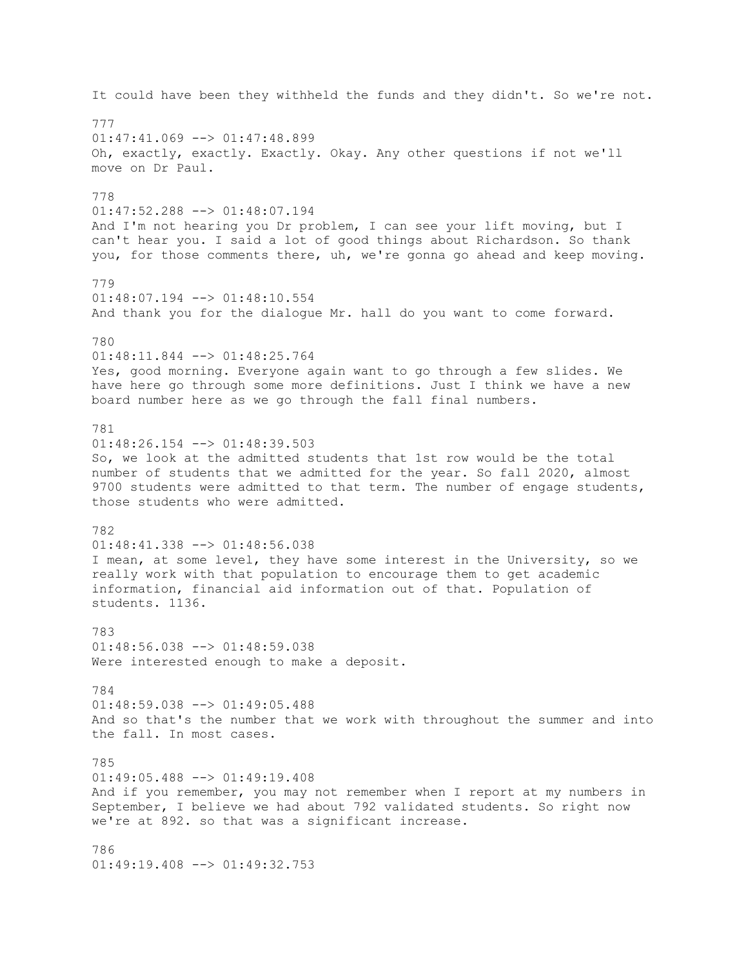It could have been they withheld the funds and they didn't. So we're not. 777  $01:47:41.069$  -->  $01:47:48.899$ Oh, exactly, exactly. Exactly. Okay. Any other questions if not we'll move on Dr Paul. 778 01:47:52.288 --> 01:48:07.194 And I'm not hearing you Dr problem, I can see your lift moving, but I can't hear you. I said a lot of good things about Richardson. So thank you, for those comments there, uh, we're gonna go ahead and keep moving. 779 01:48:07.194 --> 01:48:10.554 And thank you for the dialogue Mr. hall do you want to come forward. 780 01:48:11.844 --> 01:48:25.764 Yes, good morning. Everyone again want to go through a few slides. We have here go through some more definitions. Just I think we have a new board number here as we go through the fall final numbers. 781 01:48:26.154 --> 01:48:39.503 So, we look at the admitted students that 1st row would be the total number of students that we admitted for the year. So fall 2020, almost 9700 students were admitted to that term. The number of engage students, those students who were admitted. 782 01:48:41.338 --> 01:48:56.038 I mean, at some level, they have some interest in the University, so we really work with that population to encourage them to get academic information, financial aid information out of that. Population of students. 1136. 783  $01:48:56.038$   $\leftarrow$   $>$   $01:48:59.038$ Were interested enough to make a deposit. 784 01:48:59.038 --> 01:49:05.488 And so that's the number that we work with throughout the summer and into the fall. In most cases. 785 01:49:05.488 --> 01:49:19.408 And if you remember, you may not remember when I report at my numbers in September, I believe we had about 792 validated students. So right now we're at 892. so that was a significant increase. 786 01:49:19.408 --> 01:49:32.753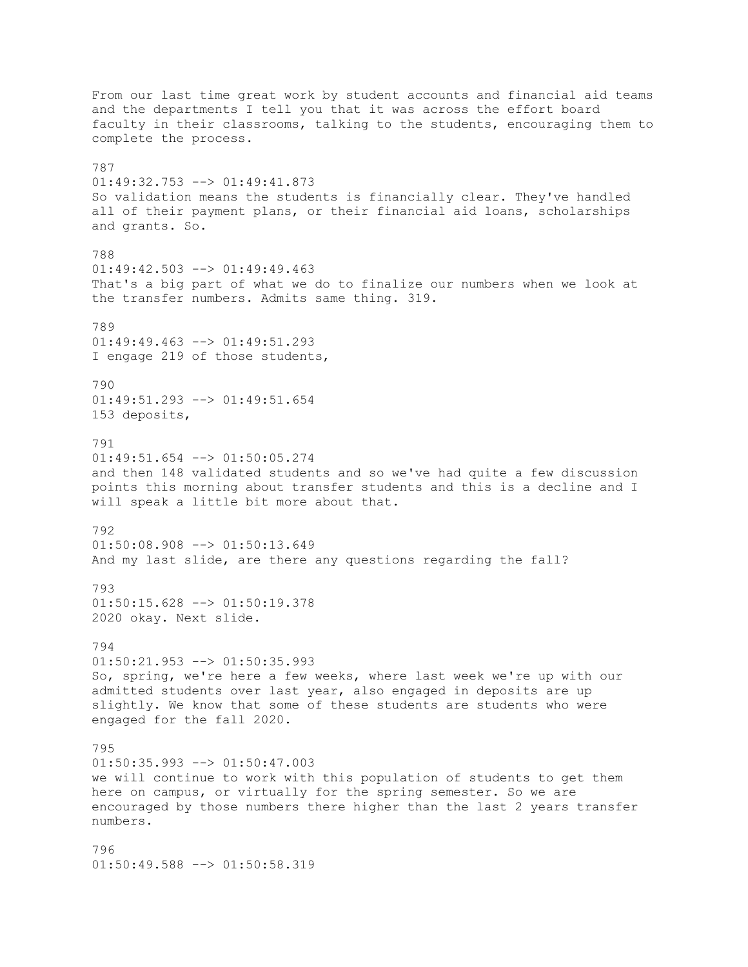From our last time great work by student accounts and financial aid teams and the departments I tell you that it was across the effort board faculty in their classrooms, talking to the students, encouraging them to complete the process. 787 01:49:32.753 --> 01:49:41.873 So validation means the students is financially clear. They've handled all of their payment plans, or their financial aid loans, scholarships and grants. So. 788  $01:49:42.503$  -->  $01:49:49.463$ That's a big part of what we do to finalize our numbers when we look at the transfer numbers. Admits same thing. 319. 789 01:49:49.463 --> 01:49:51.293 I engage 219 of those students, 790 01:49:51.293 --> 01:49:51.654 153 deposits, 791 01:49:51.654 --> 01:50:05.274 and then 148 validated students and so we've had quite a few discussion points this morning about transfer students and this is a decline and I will speak a little bit more about that. 792 01:50:08.908 --> 01:50:13.649 And my last slide, are there any questions regarding the fall? 793 01:50:15.628 --> 01:50:19.378 2020 okay. Next slide. 794 01:50:21.953 --> 01:50:35.993 So, spring, we're here a few weeks, where last week we're up with our admitted students over last year, also engaged in deposits are up slightly. We know that some of these students are students who were engaged for the fall 2020. 795 01:50:35.993 --> 01:50:47.003 we will continue to work with this population of students to get them here on campus, or virtually for the spring semester. So we are encouraged by those numbers there higher than the last 2 years transfer numbers. 796 01:50:49.588 --> 01:50:58.319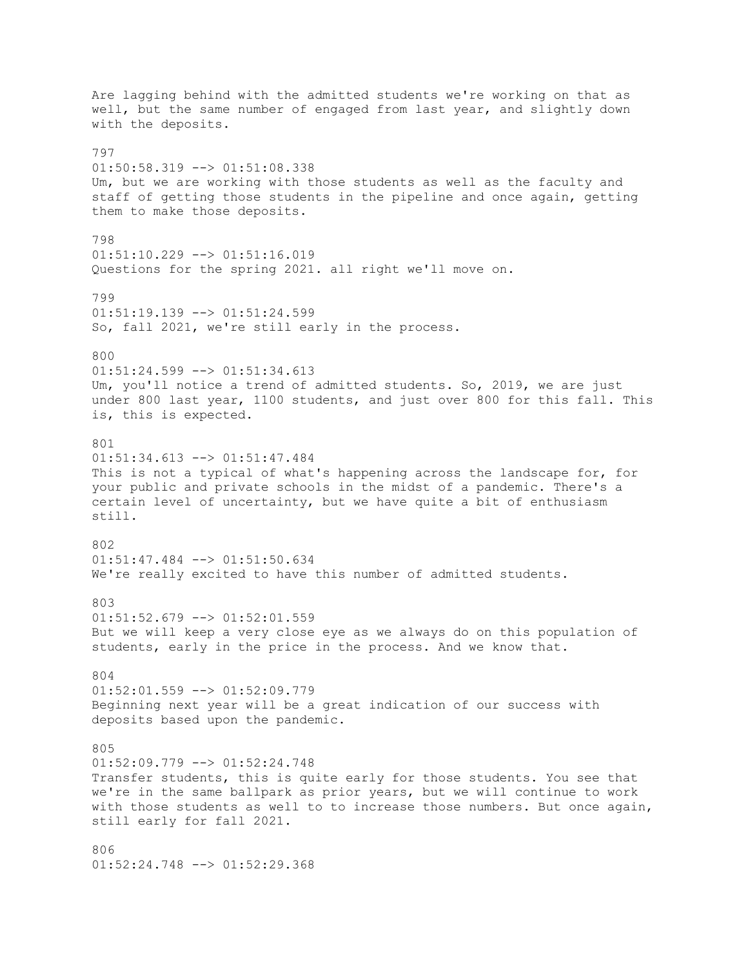Are lagging behind with the admitted students we're working on that as well, but the same number of engaged from last year, and slightly down with the deposits. 797  $01:50:58.319$  -->  $01:51:08.338$ Um, but we are working with those students as well as the faculty and staff of getting those students in the pipeline and once again, getting them to make those deposits. 798  $01:51:10.229$  -->  $01:51:16.019$ Questions for the spring 2021. all right we'll move on. 799  $01:51:19.139$  -->  $01:51:24.599$ So, fall 2021, we're still early in the process. 800  $01:51:24.599$  -->  $01:51:34.613$ Um, you'll notice a trend of admitted students. So, 2019, we are just under 800 last year, 1100 students, and just over 800 for this fall. This is, this is expected. 801 01:51:34.613 --> 01:51:47.484 This is not a typical of what's happening across the landscape for, for your public and private schools in the midst of a pandemic. There's a certain level of uncertainty, but we have quite a bit of enthusiasm still. 802 01:51:47.484 --> 01:51:50.634 We're really excited to have this number of admitted students. 803 01:51:52.679 --> 01:52:01.559 But we will keep a very close eye as we always do on this population of students, early in the price in the process. And we know that. 804  $01:52:01.559$  -->  $01:52:09.779$ Beginning next year will be a great indication of our success with deposits based upon the pandemic. 805 01:52:09.779 --> 01:52:24.748 Transfer students, this is quite early for those students. You see that we're in the same ballpark as prior years, but we will continue to work with those students as well to to increase those numbers. But once again, still early for fall 2021. 806

01:52:24.748 --> 01:52:29.368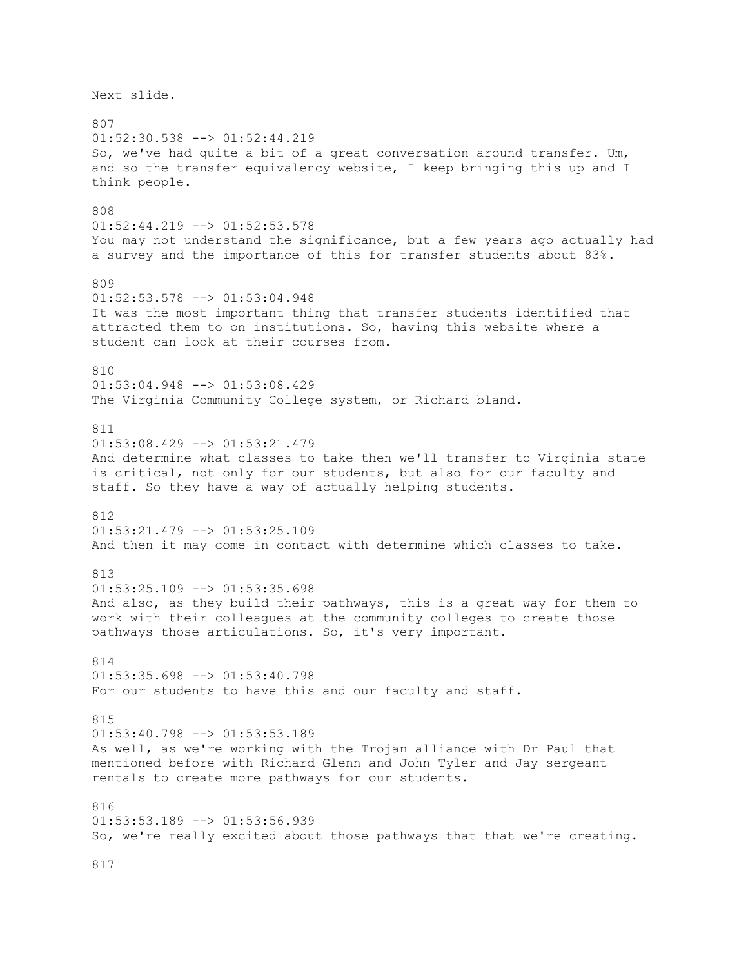Next slide. 807 01:52:30.538 --> 01:52:44.219 So, we've had quite a bit of a great conversation around transfer. Um, and so the transfer equivalency website, I keep bringing this up and I think people. 808 01:52:44.219 --> 01:52:53.578 You may not understand the significance, but a few years ago actually had a survey and the importance of this for transfer students about 83%. 809 01:52:53.578 --> 01:53:04.948 It was the most important thing that transfer students identified that attracted them to on institutions. So, having this website where a student can look at their courses from. 810 01:53:04.948 --> 01:53:08.429 The Virginia Community College system, or Richard bland. 811 01:53:08.429 --> 01:53:21.479 And determine what classes to take then we'll transfer to Virginia state is critical, not only for our students, but also for our faculty and staff. So they have a way of actually helping students. 812 01:53:21.479 --> 01:53:25.109 And then it may come in contact with determine which classes to take. 813  $01:53:25.109$  -->  $01:53:35.698$ And also, as they build their pathways, this is a great way for them to work with their colleagues at the community colleges to create those pathways those articulations. So, it's very important. 814 01:53:35.698 --> 01:53:40.798 For our students to have this and our faculty and staff. 815  $01:53:40.798$  -->  $01:53:53.189$ As well, as we're working with the Trojan alliance with Dr Paul that mentioned before with Richard Glenn and John Tyler and Jay sergeant rentals to create more pathways for our students. 816 01:53:53.189 --> 01:53:56.939 So, we're really excited about those pathways that that we're creating.

817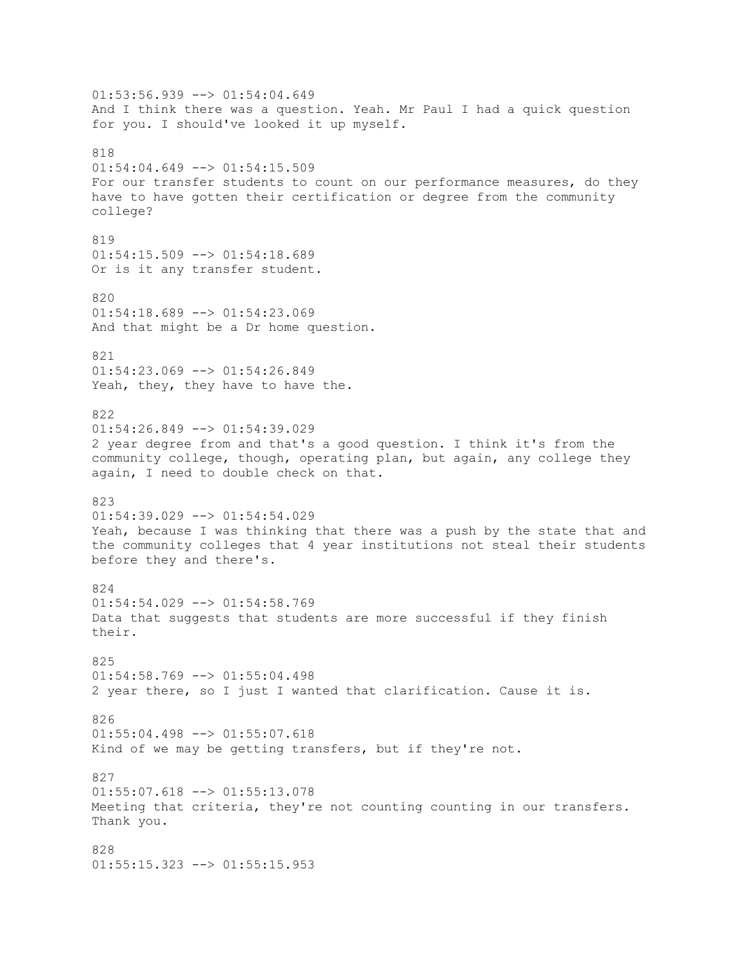$01:53:56.939$  -->  $01:54:04.649$ And I think there was a question. Yeah. Mr Paul I had a quick question for you. I should've looked it up myself. 818  $01:54:04.649$  -->  $01:54:15.509$ For our transfer students to count on our performance measures, do they have to have gotten their certification or degree from the community college? 819  $01:54:15.509$  -->  $01:54:18.689$ Or is it any transfer student. 820 01:54:18.689 --> 01:54:23.069 And that might be a Dr home question. 821  $01:54:23.069$  -->  $01:54:26.849$ Yeah, they, they have to have the. 822  $01:54:26.849$  -->  $01:54:39.029$ 2 year degree from and that's a good question. I think it's from the community college, though, operating plan, but again, any college they again, I need to double check on that. 823 01:54:39.029 --> 01:54:54.029 Yeah, because I was thinking that there was a push by the state that and the community colleges that 4 year institutions not steal their students before they and there's. 824  $01:54:54.029$  -->  $01:54:58.769$ Data that suggests that students are more successful if they finish their. 825  $01:54:58.769$  -->  $01:55:04.498$ 2 year there, so I just I wanted that clarification. Cause it is. 826  $01:55:04.498$  -->  $01:55:07.618$ Kind of we may be getting transfers, but if they're not. 827 01:55:07.618 --> 01:55:13.078 Meeting that criteria, they're not counting counting in our transfers. Thank you. 828 01:55:15.323 --> 01:55:15.953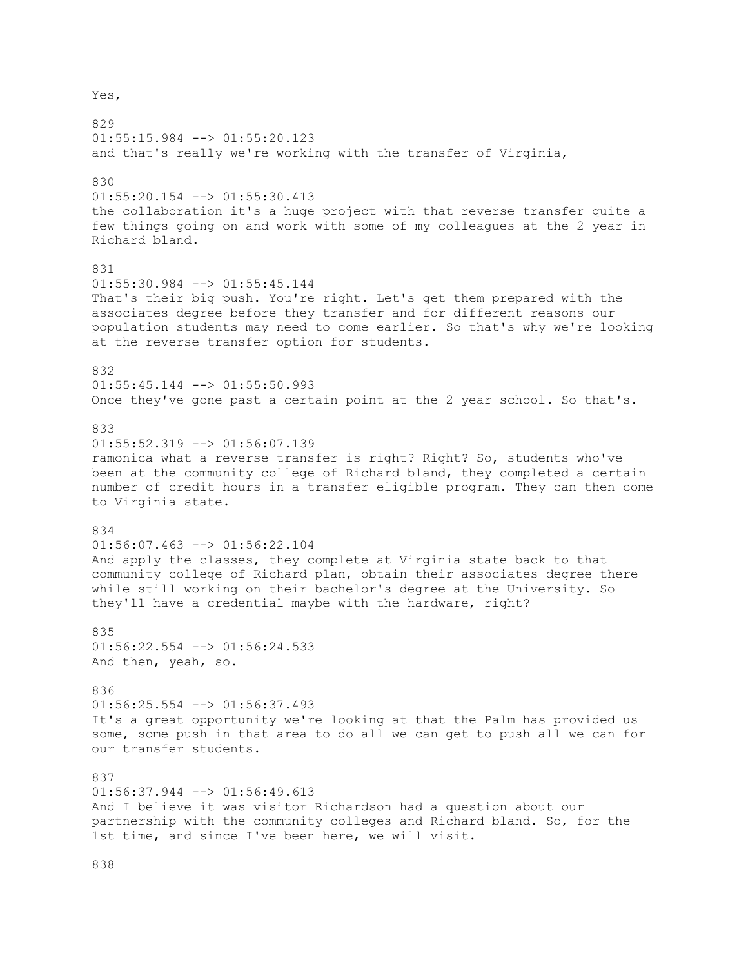Yes,

829  $01:55:15.984$   $\leftarrow$   $>$   $01:55:20.123$ and that's really we're working with the transfer of Virginia, 830 01:55:20.154 --> 01:55:30.413 the collaboration it's a huge project with that reverse transfer quite a few things going on and work with some of my colleagues at the 2 year in Richard bland. 831 01:55:30.984 --> 01:55:45.144 That's their big push. You're right. Let's get them prepared with the associates degree before they transfer and for different reasons our population students may need to come earlier. So that's why we're looking at the reverse transfer option for students. 832 01:55:45.144 --> 01:55:50.993 Once they've gone past a certain point at the 2 year school. So that's. 833 01:55:52.319 --> 01:56:07.139 ramonica what a reverse transfer is right? Right? So, students who've been at the community college of Richard bland, they completed a certain number of credit hours in a transfer eligible program. They can then come to Virginia state. 834 01:56:07.463 --> 01:56:22.104 And apply the classes, they complete at Virginia state back to that community college of Richard plan, obtain their associates degree there while still working on their bachelor's degree at the University. So they'll have a credential maybe with the hardware, right? 835  $01:56:22.554$   $\leftarrow$   $>$   $01:56:24.533$ And then, yeah, so. 836 01:56:25.554 --> 01:56:37.493 It's a great opportunity we're looking at that the Palm has provided us some, some push in that area to do all we can get to push all we can for our transfer students. 837  $01:56:37.944$  -->  $01:56:49.613$ And I believe it was visitor Richardson had a question about our partnership with the community colleges and Richard bland. So, for the 1st time, and since I've been here, we will visit.

838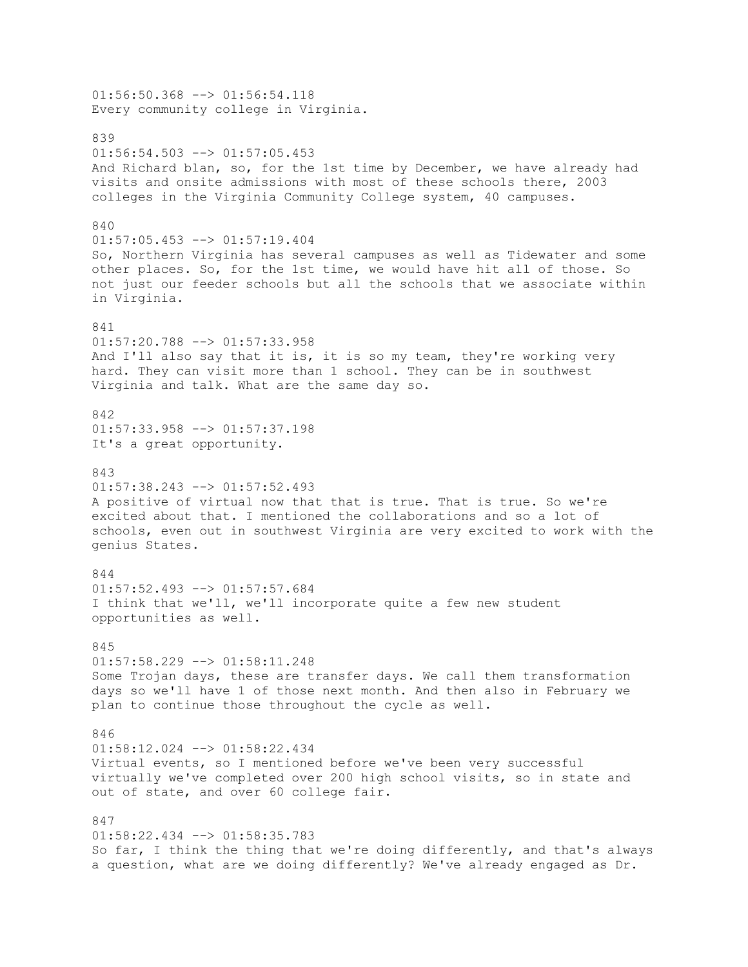$01:56:50.368$  -->  $01:56:54.118$ Every community college in Virginia. 839  $01:56:54.503$  -->  $01:57:05.453$ And Richard blan, so, for the 1st time by December, we have already had visits and onsite admissions with most of these schools there, 2003 colleges in the Virginia Community College system, 40 campuses. 840 01:57:05.453 --> 01:57:19.404 So, Northern Virginia has several campuses as well as Tidewater and some other places. So, for the 1st time, we would have hit all of those. So not just our feeder schools but all the schools that we associate within in Virginia. 841 01:57:20.788 --> 01:57:33.958 And I'll also say that it is, it is so my team, they're working very hard. They can visit more than 1 school. They can be in southwest Virginia and talk. What are the same day so. 842 01:57:33.958 --> 01:57:37.198 It's a great opportunity. 843  $01:57:38.243$   $\leftarrow$   $>$   $01:57:52.493$ A positive of virtual now that that is true. That is true. So we're excited about that. I mentioned the collaborations and so a lot of schools, even out in southwest Virginia are very excited to work with the genius States. 844 01:57:52.493 --> 01:57:57.684 I think that we'll, we'll incorporate quite a few new student opportunities as well. 845 01:57:58.229 --> 01:58:11.248 Some Trojan days, these are transfer days. We call them transformation days so we'll have 1 of those next month. And then also in February we plan to continue those throughout the cycle as well. 846 01:58:12.024 --> 01:58:22.434 Virtual events, so I mentioned before we've been very successful virtually we've completed over 200 high school visits, so in state and out of state, and over 60 college fair. 847  $01:58:22.434$  -->  $01:58:35.783$ So far, I think the thing that we're doing differently, and that's always a question, what are we doing differently? We've already engaged as Dr.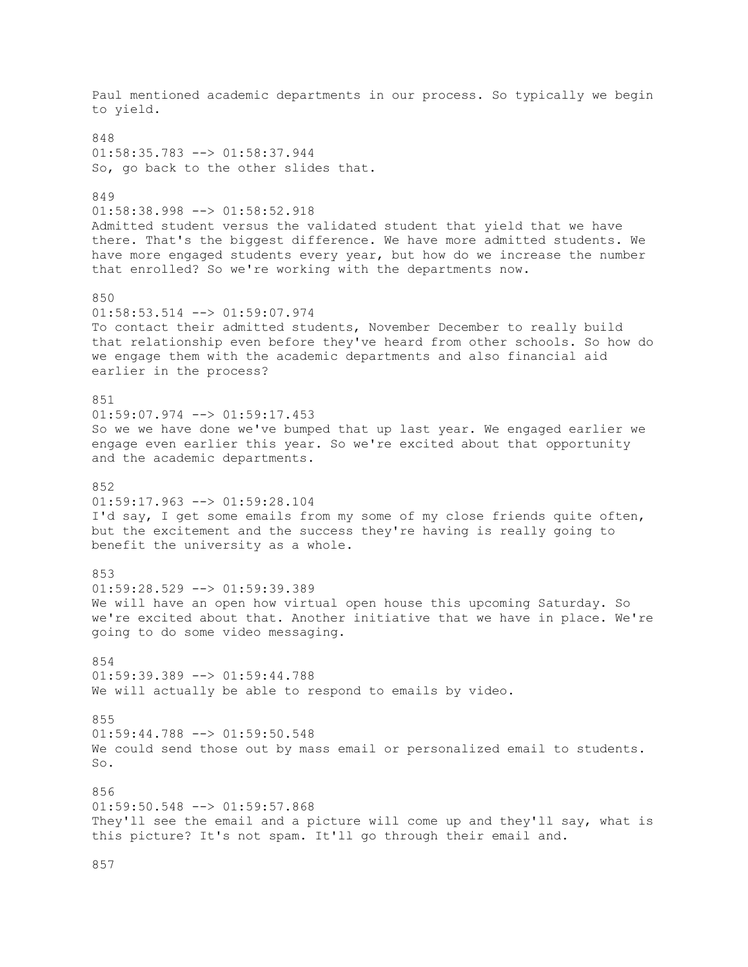Paul mentioned academic departments in our process. So typically we begin to yield. 848 01:58:35.783 --> 01:58:37.944 So, go back to the other slides that. 849 01:58:38.998 --> 01:58:52.918 Admitted student versus the validated student that yield that we have there. That's the biggest difference. We have more admitted students. We have more engaged students every year, but how do we increase the number that enrolled? So we're working with the departments now. 850  $01:58:53.514$   $\leftarrow$   $>$   $01:59:07.974$ To contact their admitted students, November December to really build that relationship even before they've heard from other schools. So how do we engage them with the academic departments and also financial aid earlier in the process? 851 01:59:07.974 --> 01:59:17.453 So we we have done we've bumped that up last year. We engaged earlier we engage even earlier this year. So we're excited about that opportunity and the academic departments. 852 01:59:17.963 --> 01:59:28.104 I'd say, I get some emails from my some of my close friends quite often, but the excitement and the success they're having is really going to benefit the university as a whole. 853 01:59:28.529 --> 01:59:39.389 We will have an open how virtual open house this upcoming Saturday. So we're excited about that. Another initiative that we have in place. We're going to do some video messaging. 854 01:59:39.389 --> 01:59:44.788 We will actually be able to respond to emails by video. 855  $01:59:44.788$  -->  $01:59:50.548$ We could send those out by mass email or personalized email to students. So. 856  $01:59:50.548$  -->  $01:59:57.868$ They'll see the email and a picture will come up and they'll say, what is this picture? It's not spam. It'll go through their email and.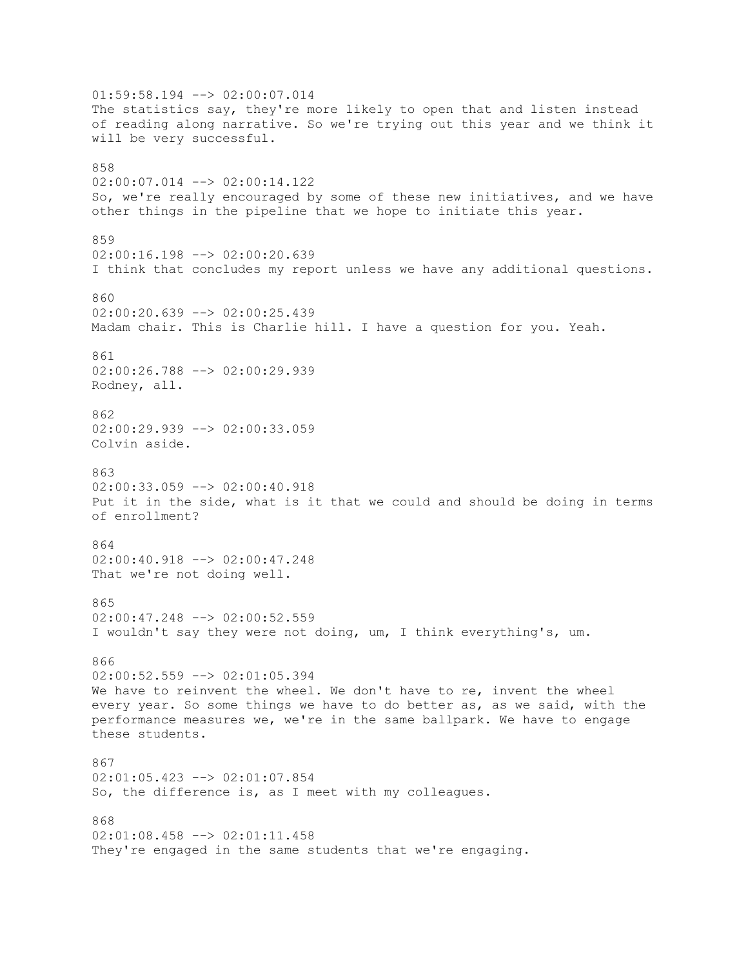$01:59:58.194$   $\leftarrow$   $>$  02:00:07.014 The statistics say, they're more likely to open that and listen instead of reading along narrative. So we're trying out this year and we think it will be very successful. 858 02:00:07.014 --> 02:00:14.122 So, we're really encouraged by some of these new initiatives, and we have other things in the pipeline that we hope to initiate this year. 859 02:00:16.198 --> 02:00:20.639 I think that concludes my report unless we have any additional questions. 860  $02:00:20.639$  -->  $02:00:25.439$ Madam chair. This is Charlie hill. I have a question for you. Yeah. 861 02:00:26.788 --> 02:00:29.939 Rodney, all. 862 02:00:29.939 --> 02:00:33.059 Colvin aside. 863  $02:00:33.059$   $\rightarrow$   $\rightarrow$   $02:00:40.918$ Put it in the side, what is it that we could and should be doing in terms of enrollment? 864 02:00:40.918 --> 02:00:47.248 That we're not doing well. 865 02:00:47.248 --> 02:00:52.559 I wouldn't say they were not doing, um, I think everything's, um. 866  $02:00:52.559$  -->  $02:01:05.394$ We have to reinvent the wheel. We don't have to re, invent the wheel every year. So some things we have to do better as, as we said, with the performance measures we, we're in the same ballpark. We have to engage these students. 867 02:01:05.423 --> 02:01:07.854 So, the difference is, as I meet with my colleagues. 868  $02:01:08.458$  -->  $02:01:11.458$ They're engaged in the same students that we're engaging.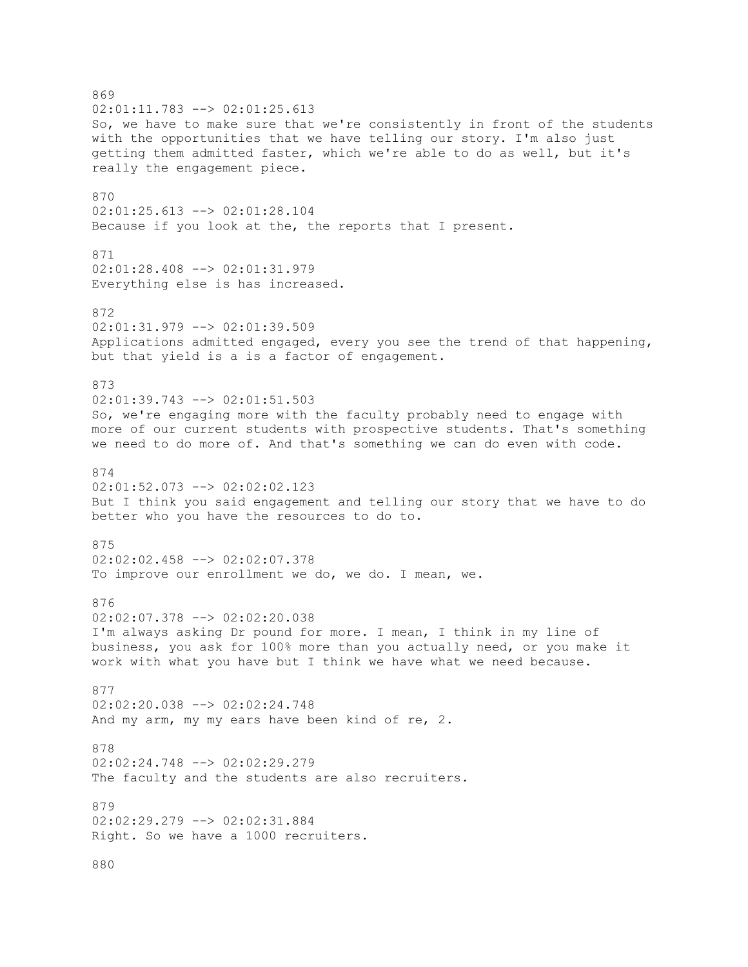869  $02:01:11.783$   $\leftarrow$   $>$  02:01:25.613 So, we have to make sure that we're consistently in front of the students with the opportunities that we have telling our story. I'm also just getting them admitted faster, which we're able to do as well, but it's really the engagement piece. 870 02:01:25.613 --> 02:01:28.104 Because if you look at the, the reports that I present. 871  $02:01:28.408$  -->  $02:01:31.979$ Everything else is has increased. 872 02:01:31.979 --> 02:01:39.509 Applications admitted engaged, every you see the trend of that happening, but that yield is a is a factor of engagement. 873 02:01:39.743 --> 02:01:51.503 So, we're engaging more with the faculty probably need to engage with more of our current students with prospective students. That's something we need to do more of. And that's something we can do even with code. 874 02:01:52.073 --> 02:02:02.123 But I think you said engagement and telling our story that we have to do better who you have the resources to do to. 875 02:02:02.458 --> 02:02:07.378 To improve our enrollment we do, we do. I mean, we. 876 02:02:07.378 --> 02:02:20.038 I'm always asking Dr pound for more. I mean, I think in my line of business, you ask for 100% more than you actually need, or you make it work with what you have but I think we have what we need because. 877 02:02:20.038 --> 02:02:24.748 And my arm, my my ears have been kind of re, 2. 878 02:02:24.748 --> 02:02:29.279 The faculty and the students are also recruiters. 879 02:02:29.279 --> 02:02:31.884 Right. So we have a 1000 recruiters. 880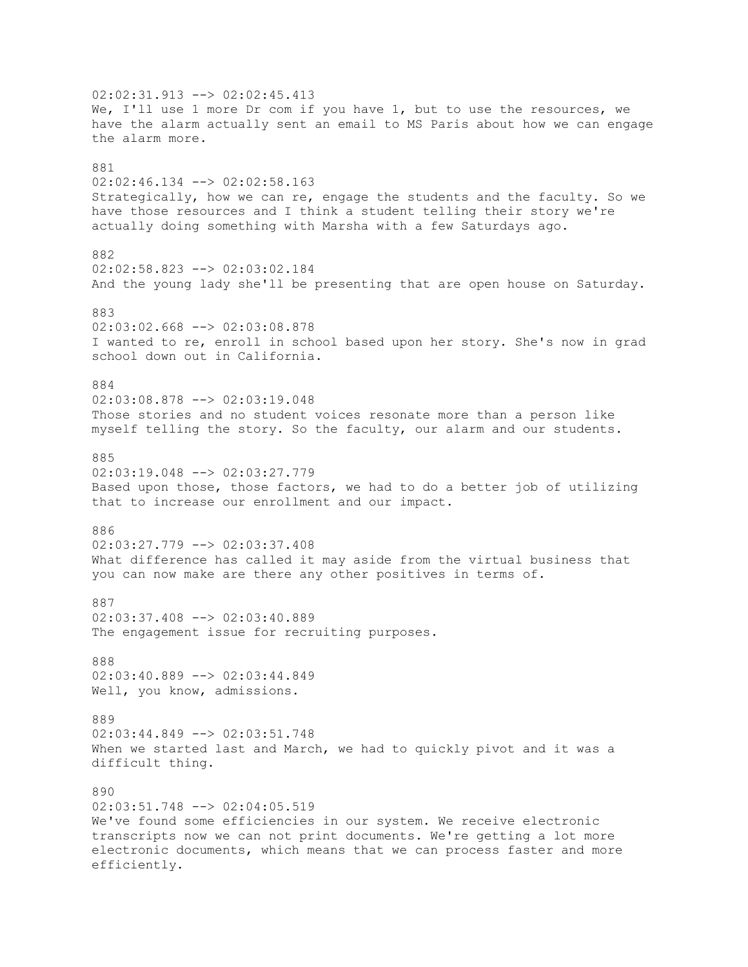02:02:31.913 --> 02:02:45.413 We, I'll use 1 more Dr com if you have 1, but to use the resources, we have the alarm actually sent an email to MS Paris about how we can engage the alarm more. 881 02:02:46.134 --> 02:02:58.163 Strategically, how we can re, engage the students and the faculty. So we have those resources and I think a student telling their story we're actually doing something with Marsha with a few Saturdays ago. 882  $02:02:58.823$  -->  $02:03:02.184$ And the young lady she'll be presenting that are open house on Saturday. 883 02:03:02.668 --> 02:03:08.878 I wanted to re, enroll in school based upon her story. She's now in grad school down out in California. 884 02:03:08.878 --> 02:03:19.048 Those stories and no student voices resonate more than a person like myself telling the story. So the faculty, our alarm and our students. 885  $02:03:19.048$  -->  $02:03:27.779$ Based upon those, those factors, we had to do a better job of utilizing that to increase our enrollment and our impact. 886 02:03:27.779 --> 02:03:37.408 What difference has called it may aside from the virtual business that you can now make are there any other positives in terms of. 887 02:03:37.408 --> 02:03:40.889 The engagement issue for recruiting purposes. 888 02:03:40.889 --> 02:03:44.849 Well, you know, admissions. 889 02:03:44.849 --> 02:03:51.748 When we started last and March, we had to quickly pivot and it was a difficult thing. 890 02:03:51.748 --> 02:04:05.519 We've found some efficiencies in our system. We receive electronic transcripts now we can not print documents. We're getting a lot more electronic documents, which means that we can process faster and more efficiently.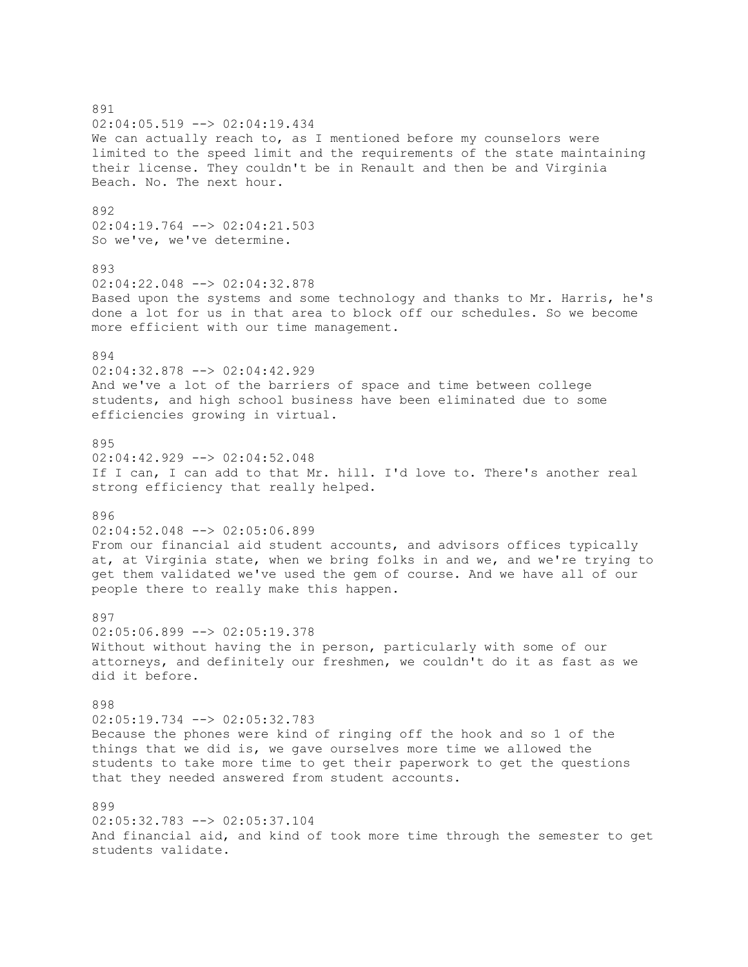891 02:04:05.519 --> 02:04:19.434 We can actually reach to, as I mentioned before my counselors were limited to the speed limit and the requirements of the state maintaining their license. They couldn't be in Renault and then be and Virginia Beach. No. The next hour. 892 02:04:19.764 --> 02:04:21.503 So we've, we've determine. 893 02:04:22.048 --> 02:04:32.878 Based upon the systems and some technology and thanks to Mr. Harris, he's done a lot for us in that area to block off our schedules. So we become more efficient with our time management. 894 02:04:32.878 --> 02:04:42.929 And we've a lot of the barriers of space and time between college students, and high school business have been eliminated due to some efficiencies growing in virtual. 895 02:04:42.929 --> 02:04:52.048 If I can, I can add to that Mr. hill. I'd love to. There's another real strong efficiency that really helped. 896 02:04:52.048 --> 02:05:06.899 From our financial aid student accounts, and advisors offices typically at, at Virginia state, when we bring folks in and we, and we're trying to get them validated we've used the gem of course. And we have all of our people there to really make this happen. 897 02:05:06.899 --> 02:05:19.378 Without without having the in person, particularly with some of our attorneys, and definitely our freshmen, we couldn't do it as fast as we did it before. 898 02:05:19.734 --> 02:05:32.783 Because the phones were kind of ringing off the hook and so 1 of the things that we did is, we gave ourselves more time we allowed the students to take more time to get their paperwork to get the questions that they needed answered from student accounts. 899 02:05:32.783 --> 02:05:37.104 And financial aid, and kind of took more time through the semester to get students validate.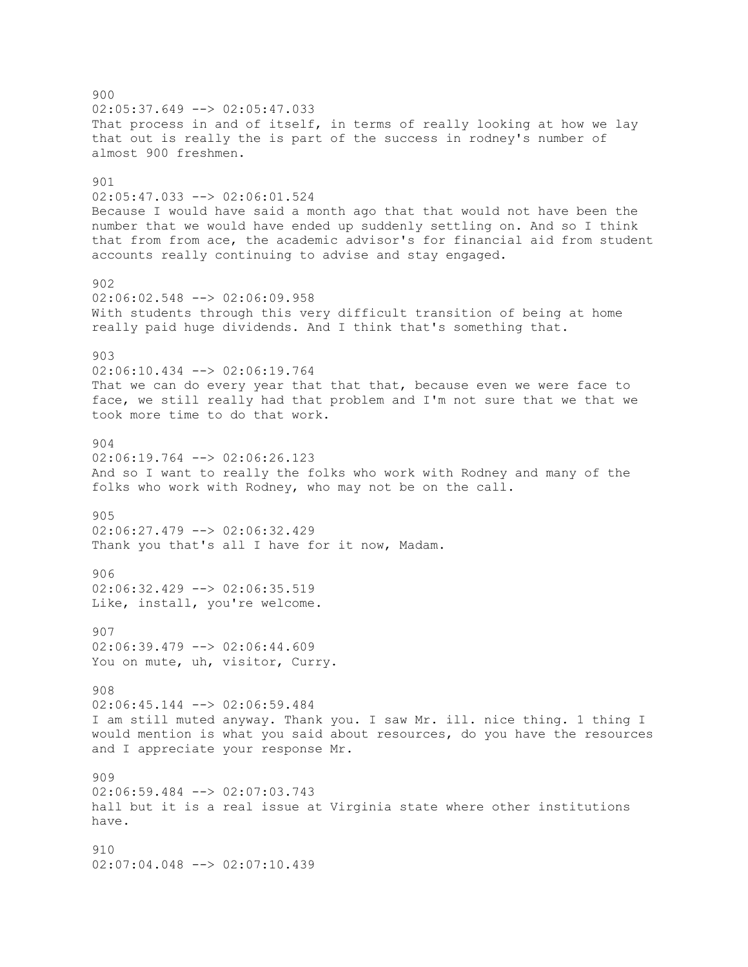900  $02:05:37.649$   $\rightarrow$   $02:05:47.033$ That process in and of itself, in terms of really looking at how we lay that out is really the is part of the success in rodney's number of almost 900 freshmen. 901 02:05:47.033 --> 02:06:01.524 Because I would have said a month ago that that would not have been the number that we would have ended up suddenly settling on. And so I think that from from ace, the academic advisor's for financial aid from student accounts really continuing to advise and stay engaged. 902 02:06:02.548 --> 02:06:09.958 With students through this very difficult transition of being at home really paid huge dividends. And I think that's something that. 903 02:06:10.434 --> 02:06:19.764 That we can do every year that that that, because even we were face to face, we still really had that problem and I'm not sure that we that we took more time to do that work. 904 02:06:19.764 --> 02:06:26.123 And so I want to really the folks who work with Rodney and many of the folks who work with Rodney, who may not be on the call. 905 02:06:27.479 --> 02:06:32.429 Thank you that's all I have for it now, Madam. 906 02:06:32.429 --> 02:06:35.519 Like, install, you're welcome. 907 02:06:39.479 --> 02:06:44.609 You on mute, uh, visitor, Curry. 908 02:06:45.144 --> 02:06:59.484 I am still muted anyway. Thank you. I saw Mr. ill. nice thing. 1 thing I would mention is what you said about resources, do you have the resources and I appreciate your response Mr. 909 02:06:59.484 --> 02:07:03.743 hall but it is a real issue at Virginia state where other institutions have. 910 02:07:04.048 --> 02:07:10.439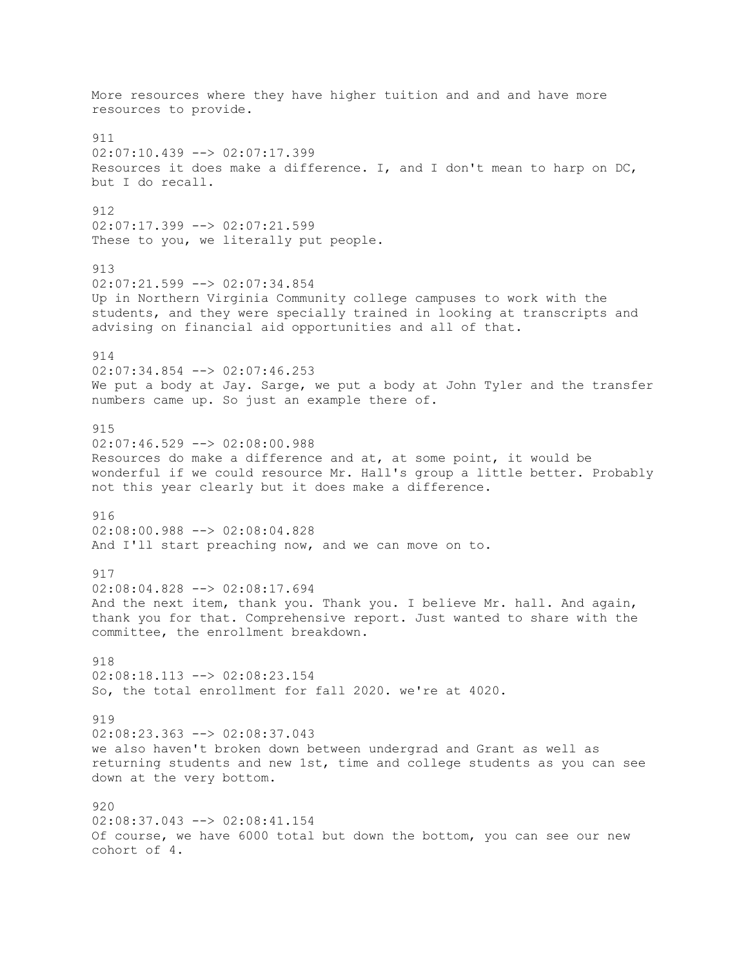More resources where they have higher tuition and and and have more resources to provide. 911 02:07:10.439 --> 02:07:17.399 Resources it does make a difference. I, and I don't mean to harp on  $DC$ , but I do recall. 912 02:07:17.399 --> 02:07:21.599 These to you, we literally put people. 913 02:07:21.599 --> 02:07:34.854 Up in Northern Virginia Community college campuses to work with the students, and they were specially trained in looking at transcripts and advising on financial aid opportunities and all of that. 914 02:07:34.854 --> 02:07:46.253 We put a body at Jay. Sarge, we put a body at John Tyler and the transfer numbers came up. So just an example there of. 915 02:07:46.529 --> 02:08:00.988 Resources do make a difference and at, at some point, it would be wonderful if we could resource Mr. Hall's group a little better. Probably not this year clearly but it does make a difference. 916 02:08:00.988 --> 02:08:04.828 And I'll start preaching now, and we can move on to. 917 02:08:04.828 --> 02:08:17.694 And the next item, thank you. Thank you. I believe Mr. hall. And again, thank you for that. Comprehensive report. Just wanted to share with the committee, the enrollment breakdown. 918 02:08:18.113 --> 02:08:23.154 So, the total enrollment for fall 2020. we're at 4020. 919 02:08:23.363 --> 02:08:37.043 we also haven't broken down between undergrad and Grant as well as returning students and new 1st, time and college students as you can see down at the very bottom. 920 02:08:37.043 --> 02:08:41.154 Of course, we have 6000 total but down the bottom, you can see our new cohort of 4.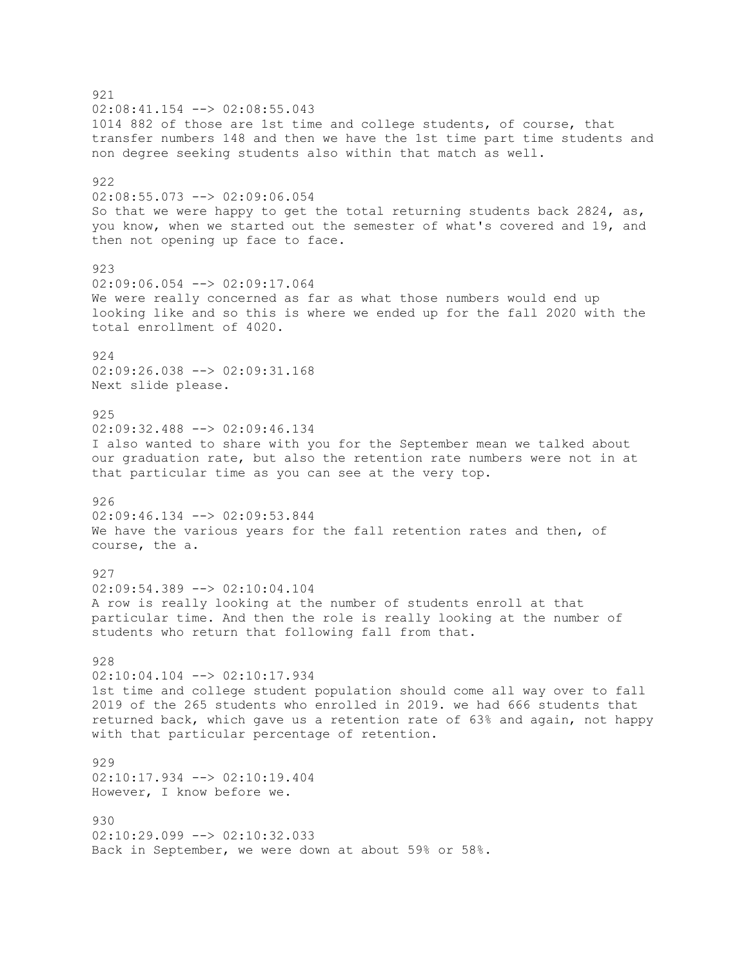921  $02:08:41.154$   $\leftarrow$   $>$  02:08:55.043 1014 882 of those are 1st time and college students, of course, that transfer numbers 148 and then we have the 1st time part time students and non degree seeking students also within that match as well. 922 02:08:55.073 --> 02:09:06.054 So that we were happy to get the total returning students back 2824, as, you know, when we started out the semester of what's covered and 19, and then not opening up face to face. 923 02:09:06.054 --> 02:09:17.064 We were really concerned as far as what those numbers would end up looking like and so this is where we ended up for the fall 2020 with the total enrollment of 4020. 924 02:09:26.038 --> 02:09:31.168 Next slide please. 925 02:09:32.488 --> 02:09:46.134 I also wanted to share with you for the September mean we talked about our graduation rate, but also the retention rate numbers were not in at that particular time as you can see at the very top. 926 02:09:46.134 --> 02:09:53.844 We have the various years for the fall retention rates and then, of course, the a. 927 02:09:54.389 --> 02:10:04.104 A row is really looking at the number of students enroll at that particular time. And then the role is really looking at the number of students who return that following fall from that. 928 02:10:04.104 --> 02:10:17.934 1st time and college student population should come all way over to fall 2019 of the 265 students who enrolled in 2019. we had 666 students that returned back, which gave us a retention rate of 63% and again, not happy with that particular percentage of retention. 929 02:10:17.934 --> 02:10:19.404 However, I know before we. 930  $02:10:29.099$  -->  $02:10:32.033$ Back in September, we were down at about 59% or 58%.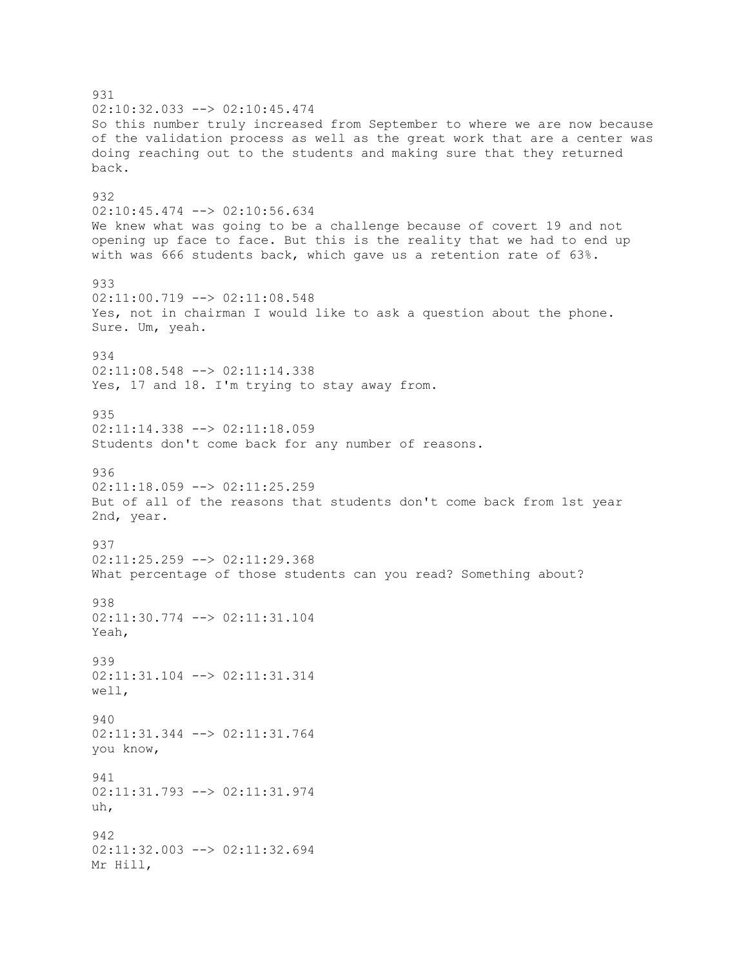931 02:10:32.033 --> 02:10:45.474 So this number truly increased from September to where we are now because of the validation process as well as the great work that are a center was doing reaching out to the students and making sure that they returned back. 932 02:10:45.474 --> 02:10:56.634 We knew what was going to be a challenge because of covert 19 and not opening up face to face. But this is the reality that we had to end up with was 666 students back, which gave us a retention rate of 63%. 933 02:11:00.719 --> 02:11:08.548 Yes, not in chairman I would like to ask a question about the phone. Sure. Um, yeah. 934 02:11:08.548 --> 02:11:14.338 Yes, 17 and 18. I'm trying to stay away from. 935 02:11:14.338 --> 02:11:18.059 Students don't come back for any number of reasons. 936  $02:11:18.059$  -->  $02:11:25.259$ But of all of the reasons that students don't come back from 1st year 2nd, year. 937 02:11:25.259 --> 02:11:29.368 What percentage of those students can you read? Something about? 938 02:11:30.774 --> 02:11:31.104 Yeah, 939 02:11:31.104 --> 02:11:31.314 well, 940 02:11:31.344 --> 02:11:31.764 you know, 941 02:11:31.793 --> 02:11:31.974 uh, 942 02:11:32.003 --> 02:11:32.694 Mr Hill,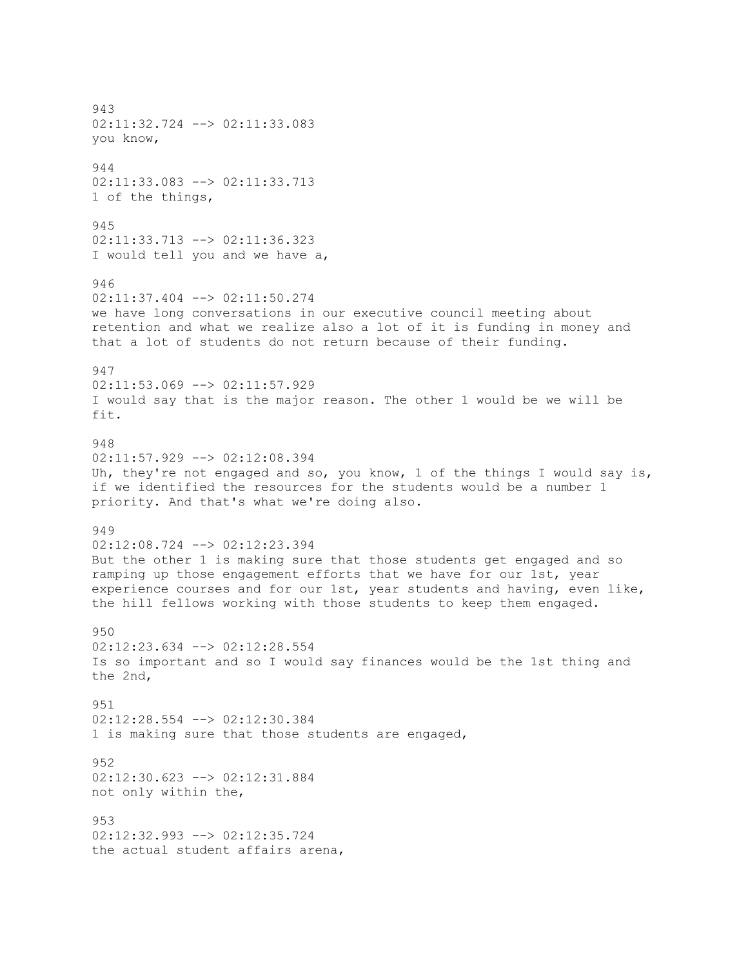943 02:11:32.724 --> 02:11:33.083 you know, 944 02:11:33.083 --> 02:11:33.713 1 of the things, 945 02:11:33.713 --> 02:11:36.323 I would tell you and we have a, 946 02:11:37.404 --> 02:11:50.274 we have long conversations in our executive council meeting about retention and what we realize also a lot of it is funding in money and that a lot of students do not return because of their funding. 947 02:11:53.069 --> 02:11:57.929 I would say that is the major reason. The other 1 would be we will be fit. 948 02:11:57.929 --> 02:12:08.394 Uh, they're not engaged and so, you know, 1 of the things I would say is, if we identified the resources for the students would be a number 1 priority. And that's what we're doing also. 949 02:12:08.724 --> 02:12:23.394 But the other 1 is making sure that those students get engaged and so ramping up those engagement efforts that we have for our 1st, year experience courses and for our 1st, year students and having, even like, the hill fellows working with those students to keep them engaged. 950 02:12:23.634 --> 02:12:28.554 Is so important and so I would say finances would be the 1st thing and the 2nd, 951 02:12:28.554 --> 02:12:30.384 1 is making sure that those students are engaged, 952 02:12:30.623 --> 02:12:31.884 not only within the, 953 02:12:32.993 --> 02:12:35.724 the actual student affairs arena,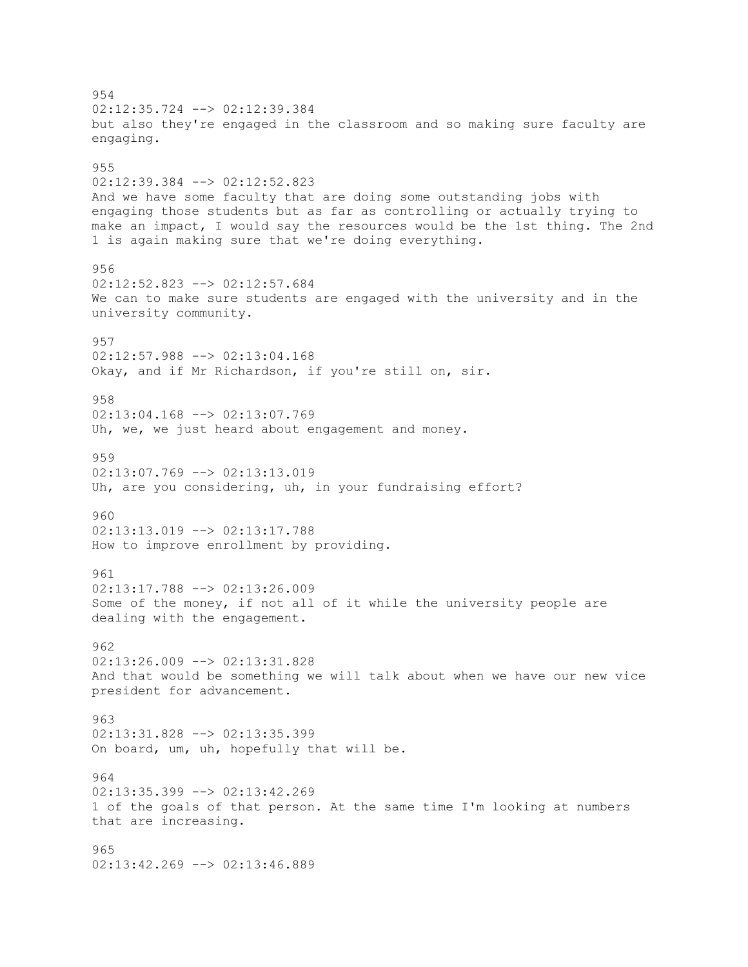954 02:12:35.724 --> 02:12:39.384 but also they're engaged in the classroom and so making sure faculty are engaging. 955 02:12:39.384 --> 02:12:52.823 And we have some faculty that are doing some outstanding jobs with engaging those students but as far as controlling or actually trying to make an impact, I would say the resources would be the 1st thing. The 2nd 1 is again making sure that we're doing everything. 956 02:12:52.823 --> 02:12:57.684 We can to make sure students are engaged with the university and in the university community. 957 02:12:57.988 --> 02:13:04.168 Okay, and if Mr Richardson, if you're still on, sir. 958 02:13:04.168 --> 02:13:07.769 Uh, we, we just heard about engagement and money. 959  $02:13:07.769$  -->  $02:13:13.019$ Uh, are you considering, uh, in your fundraising effort? 960 02:13:13.019 --> 02:13:17.788 How to improve enrollment by providing. 961 02:13:17.788 --> 02:13:26.009 Some of the money, if not all of it while the university people are dealing with the engagement. 962 02:13:26.009 --> 02:13:31.828 And that would be something we will talk about when we have our new vice president for advancement. 963 02:13:31.828 --> 02:13:35.399 On board, um, uh, hopefully that will be. 964 02:13:35.399 --> 02:13:42.269 1 of the goals of that person. At the same time I'm looking at numbers that are increasing. 965 02:13:42.269 --> 02:13:46.889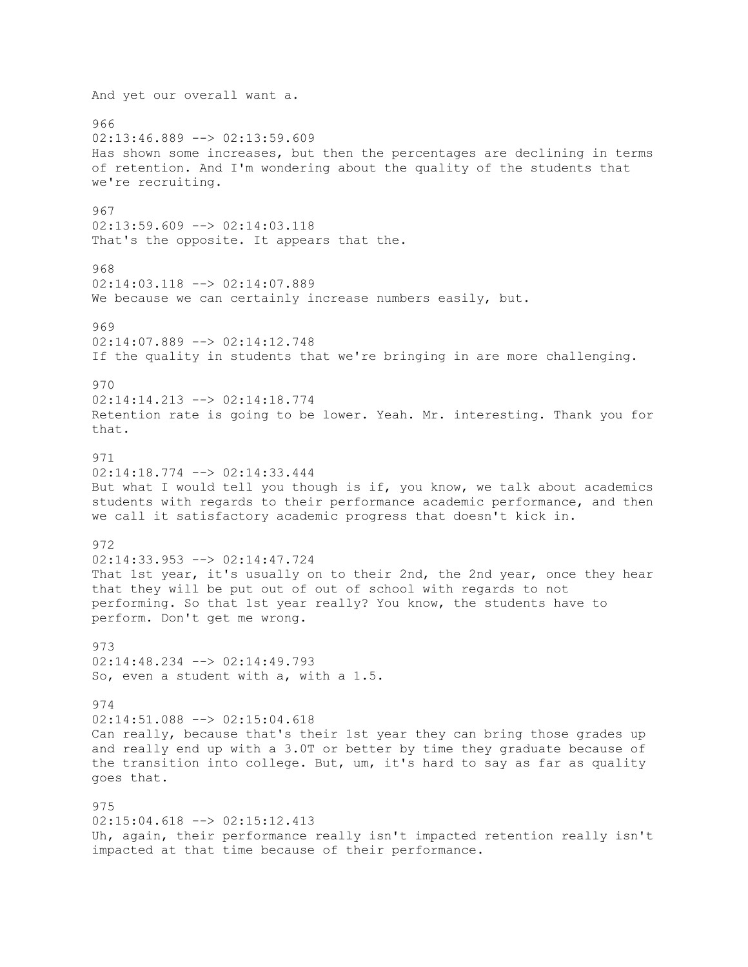And yet our overall want a. 966  $02:13:46.889$  -->  $02:13:59.609$ Has shown some increases, but then the percentages are declining in terms of retention. And I'm wondering about the quality of the students that we're recruiting. 967 02:13:59.609 --> 02:14:03.118 That's the opposite. It appears that the. 968 02:14:03.118 --> 02:14:07.889 We because we can certainly increase numbers easily, but. 969 02:14:07.889 --> 02:14:12.748 If the quality in students that we're bringing in are more challenging. 970 02:14:14.213 --> 02:14:18.774 Retention rate is going to be lower. Yeah. Mr. interesting. Thank you for that. 971 02:14:18.774 --> 02:14:33.444 But what I would tell you though is if, you know, we talk about academics students with regards to their performance academic performance, and then we call it satisfactory academic progress that doesn't kick in. 972 02:14:33.953 --> 02:14:47.724 That 1st year, it's usually on to their 2nd, the 2nd year, once they hear that they will be put out of out of school with regards to not performing. So that 1st year really? You know, the students have to perform. Don't get me wrong. 973 02:14:48.234 --> 02:14:49.793 So, even a student with a, with a 1.5. 974 02:14:51.088 --> 02:15:04.618 Can really, because that's their 1st year they can bring those grades up and really end up with a 3.0T or better by time they graduate because of the transition into college. But, um, it's hard to say as far as quality goes that. 975 02:15:04.618 --> 02:15:12.413 Uh, again, their performance really isn't impacted retention really isn't impacted at that time because of their performance.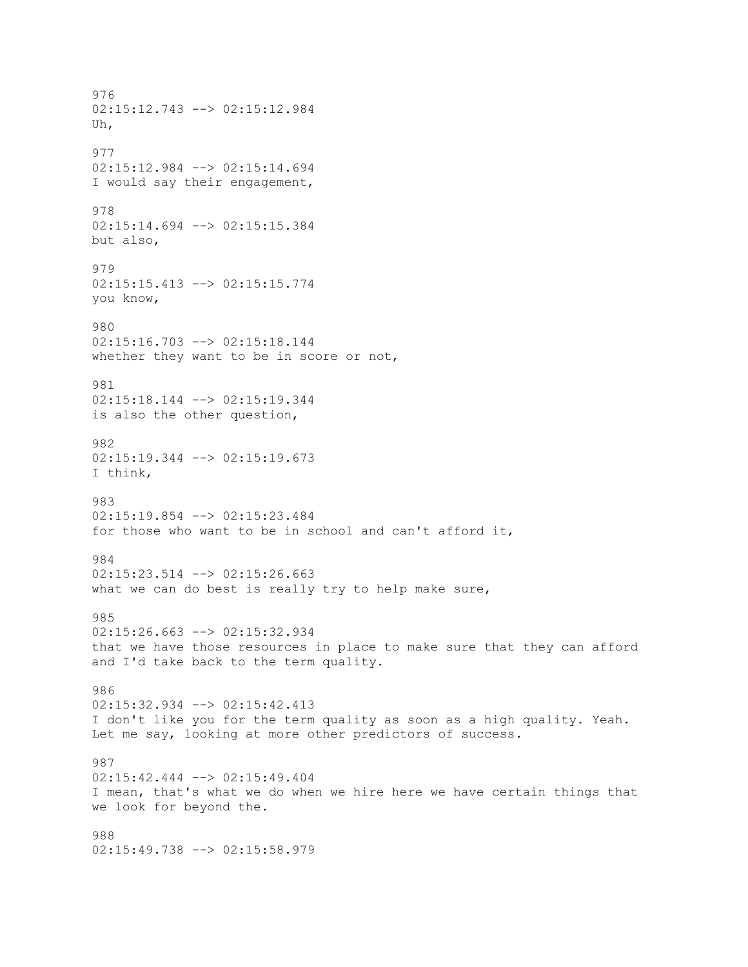976 02:15:12.743 --> 02:15:12.984 Uh, 977 02:15:12.984 --> 02:15:14.694 I would say their engagement, 978 02:15:14.694 --> 02:15:15.384 but also, 979 02:15:15.413 --> 02:15:15.774 you know, 980 02:15:16.703 --> 02:15:18.144 whether they want to be in score or not, 981 02:15:18.144 --> 02:15:19.344 is also the other question, 982 02:15:19.344 --> 02:15:19.673 I think, 983 02:15:19.854 --> 02:15:23.484 for those who want to be in school and can't afford it, 984  $02:15:23.514$  -->  $02:15:26.663$ what we can do best is really try to help make sure, 985 02:15:26.663 --> 02:15:32.934 that we have those resources in place to make sure that they can afford and I'd take back to the term quality. 986 02:15:32.934 --> 02:15:42.413 I don't like you for the term quality as soon as a high quality. Yeah. Let me say, looking at more other predictors of success. 987 02:15:42.444 --> 02:15:49.404 I mean, that's what we do when we hire here we have certain things that we look for beyond the. 988 02:15:49.738 --> 02:15:58.979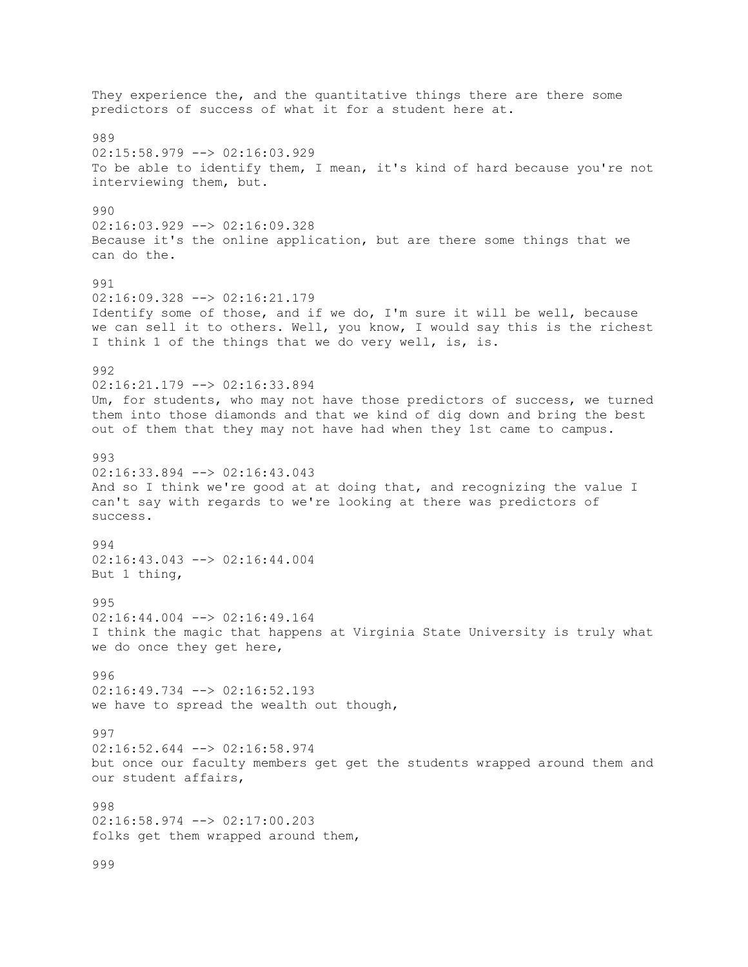They experience the, and the quantitative things there are there some predictors of success of what it for a student here at. 989 02:15:58.979 --> 02:16:03.929 To be able to identify them, I mean, it's kind of hard because you're not interviewing them, but. 990 02:16:03.929 --> 02:16:09.328 Because it's the online application, but are there some things that we can do the. 991 02:16:09.328 --> 02:16:21.179 Identify some of those, and if we do, I'm sure it will be well, because we can sell it to others. Well, you know, I would say this is the richest I think 1 of the things that we do very well, is, is. 992 02:16:21.179 --> 02:16:33.894 Um, for students, who may not have those predictors of success, we turned them into those diamonds and that we kind of dig down and bring the best out of them that they may not have had when they 1st came to campus. 993  $02:16:33.894$  -->  $02:16:43.043$ And so I think we're good at at doing that, and recognizing the value I can't say with regards to we're looking at there was predictors of success. 994 02:16:43.043 --> 02:16:44.004 But 1 thing, 995 02:16:44.004 --> 02:16:49.164 I think the magic that happens at Virginia State University is truly what we do once they get here, 996 02:16:49.734 --> 02:16:52.193 we have to spread the wealth out though, 997 02:16:52.644 --> 02:16:58.974 but once our faculty members get get the students wrapped around them and our student affairs, 998 02:16:58.974 --> 02:17:00.203 folks get them wrapped around them, 999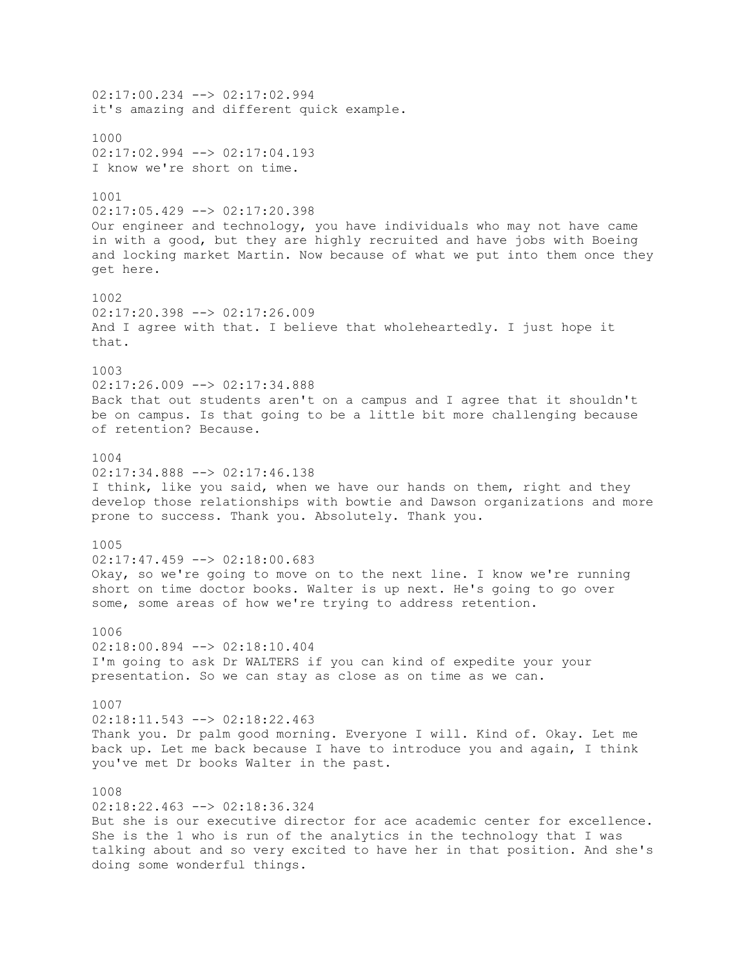02:17:00.234 --> 02:17:02.994 it's amazing and different quick example. 1000  $02:17:02.994$   $\leftarrow$   $\gt$   $02:17:04.193$ I know we're short on time. 1001  $02:17:05.429$  -->  $02:17:20.398$ Our engineer and technology, you have individuals who may not have came in with a good, but they are highly recruited and have jobs with Boeing and locking market Martin. Now because of what we put into them once they get here. 1002  $02:17:20.398$   $\longrightarrow$   $02:17:26.009$ And I agree with that. I believe that wholeheartedly. I just hope it that. 1003 02:17:26.009 --> 02:17:34.888 Back that out students aren't on a campus and I agree that it shouldn't be on campus. Is that going to be a little bit more challenging because of retention? Because. 1004  $02:17:34.888$  -->  $02:17:46.138$ I think, like you said, when we have our hands on them, right and they develop those relationships with bowtie and Dawson organizations and more prone to success. Thank you. Absolutely. Thank you. 1005 02:17:47.459 --> 02:18:00.683 Okay, so we're going to move on to the next line. I know we're running short on time doctor books. Walter is up next. He's going to go over some, some areas of how we're trying to address retention. 1006 02:18:00.894 --> 02:18:10.404 I'm going to ask Dr WALTERS if you can kind of expedite your your presentation. So we can stay as close as on time as we can. 1007 02:18:11.543 --> 02:18:22.463 Thank you. Dr palm good morning. Everyone I will. Kind of. Okay. Let me back up. Let me back because I have to introduce you and again, I think you've met Dr books Walter in the past. 1008  $02:18:22.463$  -->  $02:18:36.324$ But she is our executive director for ace academic center for excellence. She is the 1 who is run of the analytics in the technology that I was talking about and so very excited to have her in that position. And she's doing some wonderful things.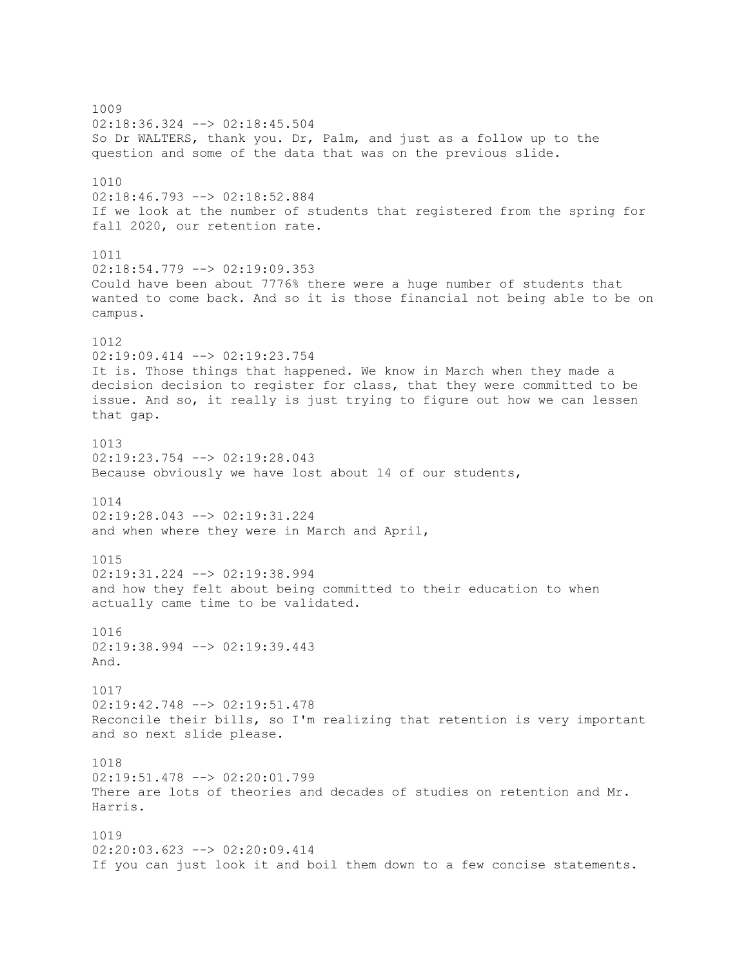1009 02:18:36.324 --> 02:18:45.504 So Dr WALTERS, thank you. Dr, Palm, and just as a follow up to the question and some of the data that was on the previous slide. 1010 02:18:46.793 --> 02:18:52.884 If we look at the number of students that registered from the spring for fall 2020, our retention rate. 1011 02:18:54.779 --> 02:19:09.353 Could have been about 7776% there were a huge number of students that wanted to come back. And so it is those financial not being able to be on campus. 1012 02:19:09.414 --> 02:19:23.754 It is. Those things that happened. We know in March when they made a decision decision to register for class, that they were committed to be issue. And so, it really is just trying to figure out how we can lessen that gap. 1013 02:19:23.754 --> 02:19:28.043 Because obviously we have lost about 14 of our students, 1014 02:19:28.043 --> 02:19:31.224 and when where they were in March and April, 1015  $02:19:31.224$  -->  $02:19:38.994$ and how they felt about being committed to their education to when actually came time to be validated. 1016 02:19:38.994 --> 02:19:39.443 And. 1017 02:19:42.748 --> 02:19:51.478 Reconcile their bills, so I'm realizing that retention is very important and so next slide please. 1018 02:19:51.478 --> 02:20:01.799 There are lots of theories and decades of studies on retention and Mr. Harris. 1019 02:20:03.623 --> 02:20:09.414 If you can just look it and boil them down to a few concise statements.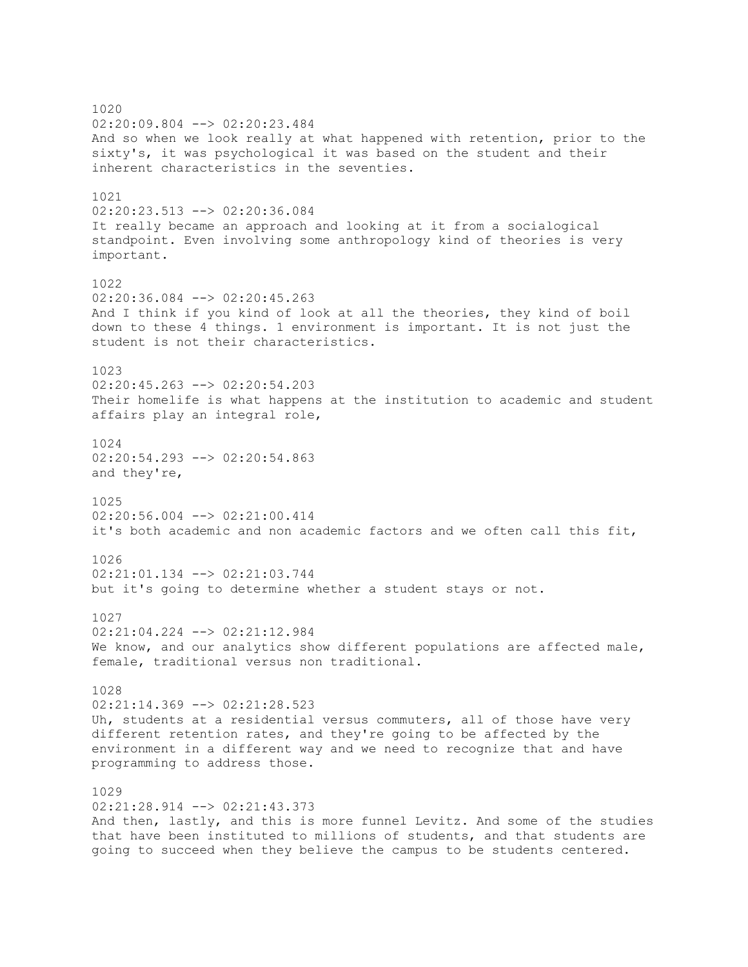1020 02:20:09.804 --> 02:20:23.484 And so when we look really at what happened with retention, prior to the sixty's, it was psychological it was based on the student and their inherent characteristics in the seventies. 1021 02:20:23.513 --> 02:20:36.084 It really became an approach and looking at it from a socialogical standpoint. Even involving some anthropology kind of theories is very important. 1022  $02:20:36.084$   $\leftarrow$   $>$  02:20:45.263 And I think if you kind of look at all the theories, they kind of boil down to these 4 things. 1 environment is important. It is not just the student is not their characteristics. 1023 02:20:45.263 --> 02:20:54.203 Their homelife is what happens at the institution to academic and student affairs play an integral role, 1024 02:20:54.293 --> 02:20:54.863 and they're, 1025 02:20:56.004 --> 02:21:00.414 it's both academic and non academic factors and we often call this fit, 1026  $02:21:01.134$  -->  $02:21:03.744$ but it's going to determine whether a student stays or not. 1027 02:21:04.224 --> 02:21:12.984 We know, and our analytics show different populations are affected male, female, traditional versus non traditional. 1028 02:21:14.369 --> 02:21:28.523 Uh, students at a residential versus commuters, all of those have very different retention rates, and they're going to be affected by the environment in a different way and we need to recognize that and have programming to address those. 1029 02:21:28.914 --> 02:21:43.373 And then, lastly, and this is more funnel Levitz. And some of the studies that have been instituted to millions of students, and that students are going to succeed when they believe the campus to be students centered.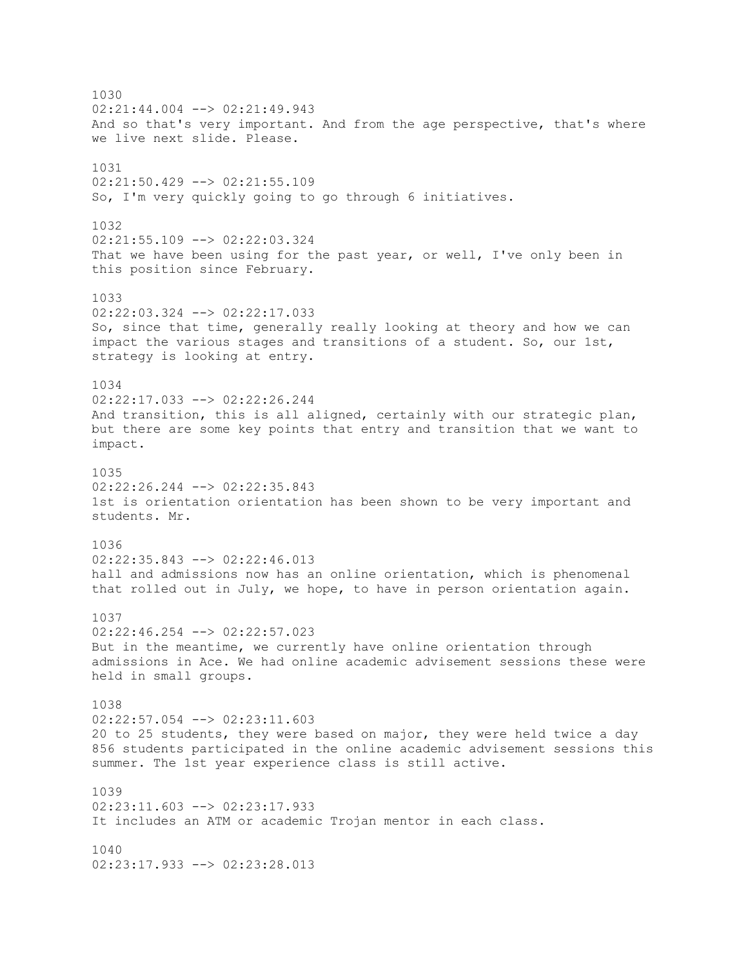1030  $02:21:44.004$   $\leftarrow$   $>$  02:21:49.943 And so that's very important. And from the age perspective, that's where we live next slide. Please. 1031 02:21:50.429 --> 02:21:55.109 So, I'm very quickly going to go through 6 initiatives. 1032 02:21:55.109 --> 02:22:03.324 That we have been using for the past year, or well, I've only been in this position since February. 1033 02:22:03.324 --> 02:22:17.033 So, since that time, generally really looking at theory and how we can impact the various stages and transitions of a student. So, our 1st, strategy is looking at entry. 1034 02:22:17.033 --> 02:22:26.244 And transition, this is all aligned, certainly with our strategic plan, but there are some key points that entry and transition that we want to impact. 1035  $02:22:26.244$   $\longrightarrow$   $02:22:35.843$ 1st is orientation orientation has been shown to be very important and students. Mr. 1036 02:22:35.843 --> 02:22:46.013 hall and admissions now has an online orientation, which is phenomenal that rolled out in July, we hope, to have in person orientation again. 1037 02:22:46.254 --> 02:22:57.023 But in the meantime, we currently have online orientation through admissions in Ace. We had online academic advisement sessions these were held in small groups. 1038 02:22:57.054 --> 02:23:11.603 20 to 25 students, they were based on major, they were held twice a day 856 students participated in the online academic advisement sessions this summer. The 1st year experience class is still active. 1039 02:23:11.603 --> 02:23:17.933 It includes an ATM or academic Trojan mentor in each class. 1040 02:23:17.933 --> 02:23:28.013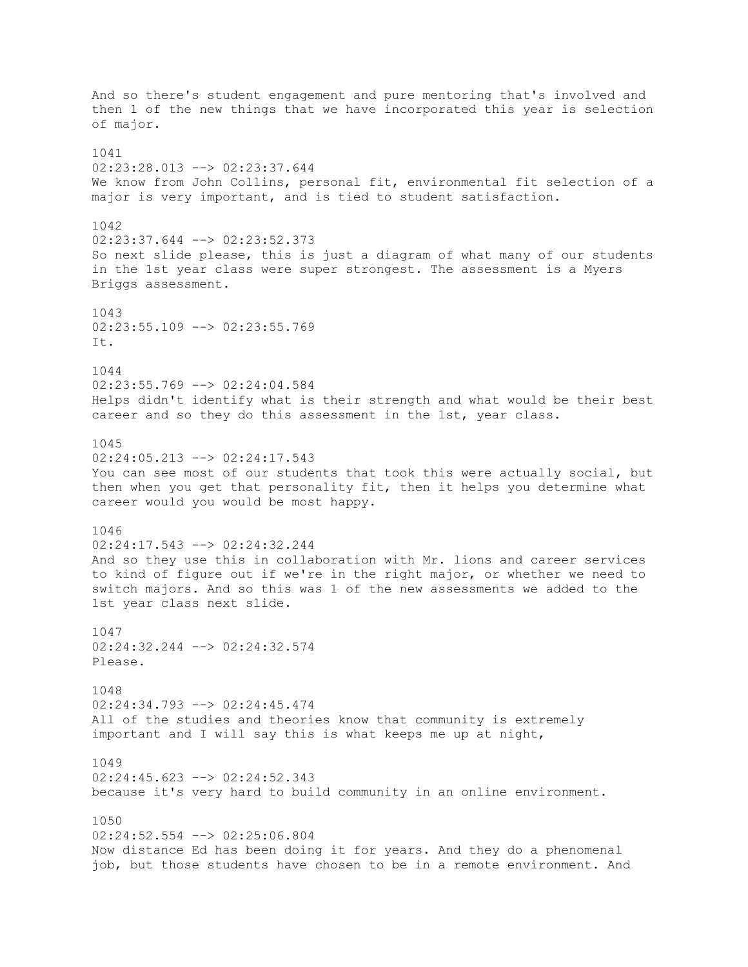And so there's student engagement and pure mentoring that's involved and then 1 of the new things that we have incorporated this year is selection of major. 1041 02:23:28.013 --> 02:23:37.644 We know from John Collins, personal fit, environmental fit selection of a major is very important, and is tied to student satisfaction. 1042 02:23:37.644 --> 02:23:52.373 So next slide please, this is just a diagram of what many of our students in the 1st year class were super strongest. The assessment is a Myers Briggs assessment. 1043 02:23:55.109 --> 02:23:55.769 It. 1044 02:23:55.769 --> 02:24:04.584 Helps didn't identify what is their strength and what would be their best career and so they do this assessment in the 1st, year class. 1045 02:24:05.213 --> 02:24:17.543 You can see most of our students that took this were actually social, but then when you get that personality fit, then it helps you determine what career would you would be most happy. 1046 02:24:17.543 --> 02:24:32.244 And so they use this in collaboration with Mr. lions and career services to kind of figure out if we're in the right major, or whether we need to switch majors. And so this was 1 of the new assessments we added to the 1st year class next slide. 1047 02:24:32.244 --> 02:24:32.574 Please. 1048 02:24:34.793 --> 02:24:45.474 All of the studies and theories know that community is extremely important and I will say this is what keeps me up at night, 1049 02:24:45.623 --> 02:24:52.343 because it's very hard to build community in an online environment. 1050 02:24:52.554 --> 02:25:06.804 Now distance Ed has been doing it for years. And they do a phenomenal job, but those students have chosen to be in a remote environment. And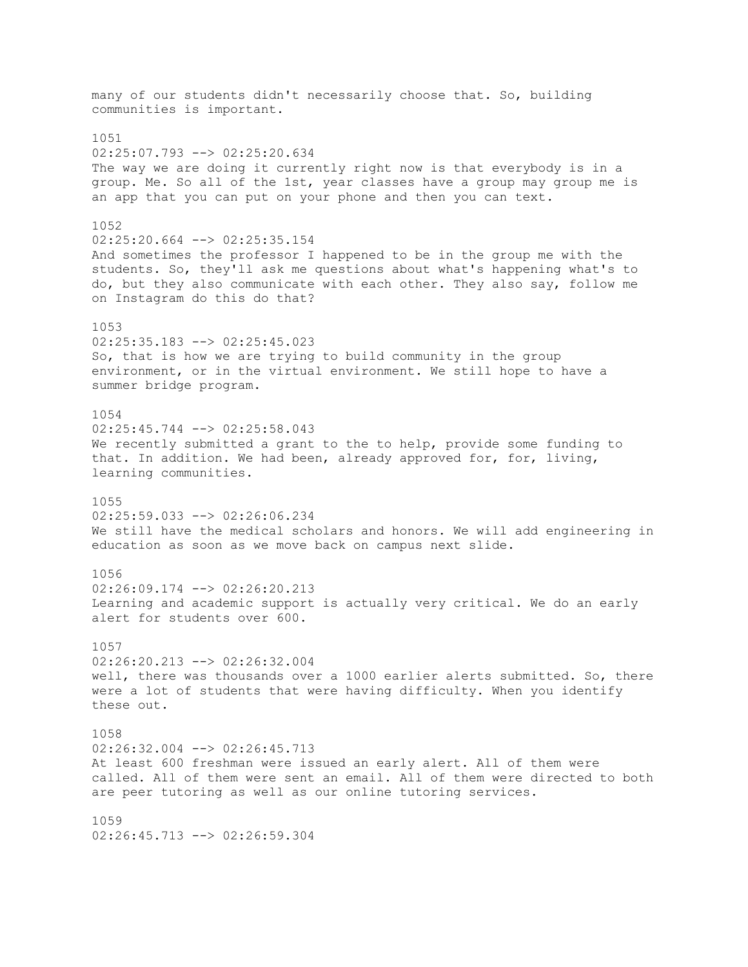many of our students didn't necessarily choose that. So, building communities is important. 1051 02:25:07.793 --> 02:25:20.634 The way we are doing it currently right now is that everybody is in a group. Me. So all of the 1st, year classes have a group may group me is an app that you can put on your phone and then you can text. 1052 02:25:20.664 --> 02:25:35.154 And sometimes the professor I happened to be in the group me with the students. So, they'll ask me questions about what's happening what's to do, but they also communicate with each other. They also say, follow me on Instagram do this do that? 1053 02:25:35.183 --> 02:25:45.023 So, that is how we are trying to build community in the group environment, or in the virtual environment. We still hope to have a summer bridge program. 1054 02:25:45.744 --> 02:25:58.043 We recently submitted a grant to the to help, provide some funding to that. In addition. We had been, already approved for, for, living, learning communities. 1055 02:25:59.033 --> 02:26:06.234 We still have the medical scholars and honors. We will add engineering in education as soon as we move back on campus next slide. 1056 02:26:09.174 --> 02:26:20.213 Learning and academic support is actually very critical. We do an early alert for students over 600. 1057 02:26:20.213 --> 02:26:32.004 well, there was thousands over a 1000 earlier alerts submitted. So, there were a lot of students that were having difficulty. When you identify these out. 1058 02:26:32.004 --> 02:26:45.713 At least 600 freshman were issued an early alert. All of them were called. All of them were sent an email. All of them were directed to both are peer tutoring as well as our online tutoring services. 1059 02:26:45.713 --> 02:26:59.304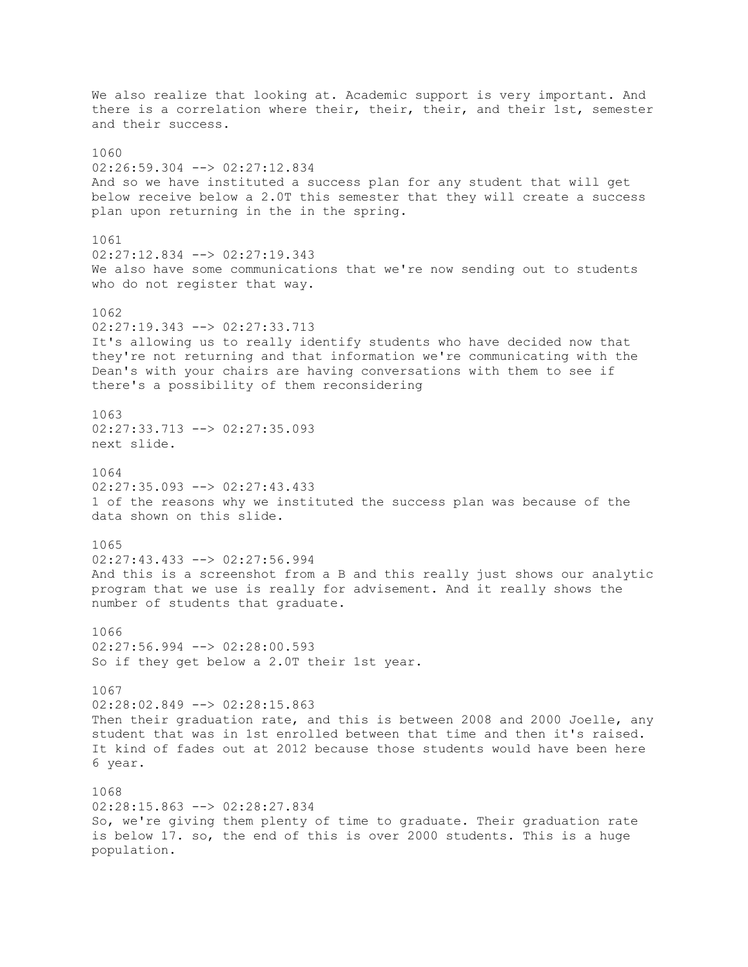We also realize that looking at. Academic support is very important. And there is a correlation where their, their, their, and their 1st, semester and their success. 1060 02:26:59.304 --> 02:27:12.834 And so we have instituted a success plan for any student that will get below receive below a 2.0T this semester that they will create a success plan upon returning in the in the spring. 1061 02:27:12.834 --> 02:27:19.343 We also have some communications that we're now sending out to students who do not register that way. 1062 02:27:19.343 --> 02:27:33.713 It's allowing us to really identify students who have decided now that they're not returning and that information we're communicating with the Dean's with your chairs are having conversations with them to see if there's a possibility of them reconsidering 1063 02:27:33.713 --> 02:27:35.093 next slide. 1064 02:27:35.093 --> 02:27:43.433 1 of the reasons why we instituted the success plan was because of the data shown on this slide. 1065 02:27:43.433 --> 02:27:56.994 And this is a screenshot from a B and this really just shows our analytic program that we use is really for advisement. And it really shows the number of students that graduate. 1066  $02:27:56.994$   $\leftarrow$   $\gt$   $02:28:00.593$ So if they get below a 2.0T their 1st year. 1067 02:28:02.849 --> 02:28:15.863 Then their graduation rate, and this is between 2008 and 2000 Joelle, any student that was in 1st enrolled between that time and then it's raised. It kind of fades out at 2012 because those students would have been here 6 year. 1068 02:28:15.863 --> 02:28:27.834 So, we're giving them plenty of time to graduate. Their graduation rate is below 17. so, the end of this is over 2000 students. This is a huge population.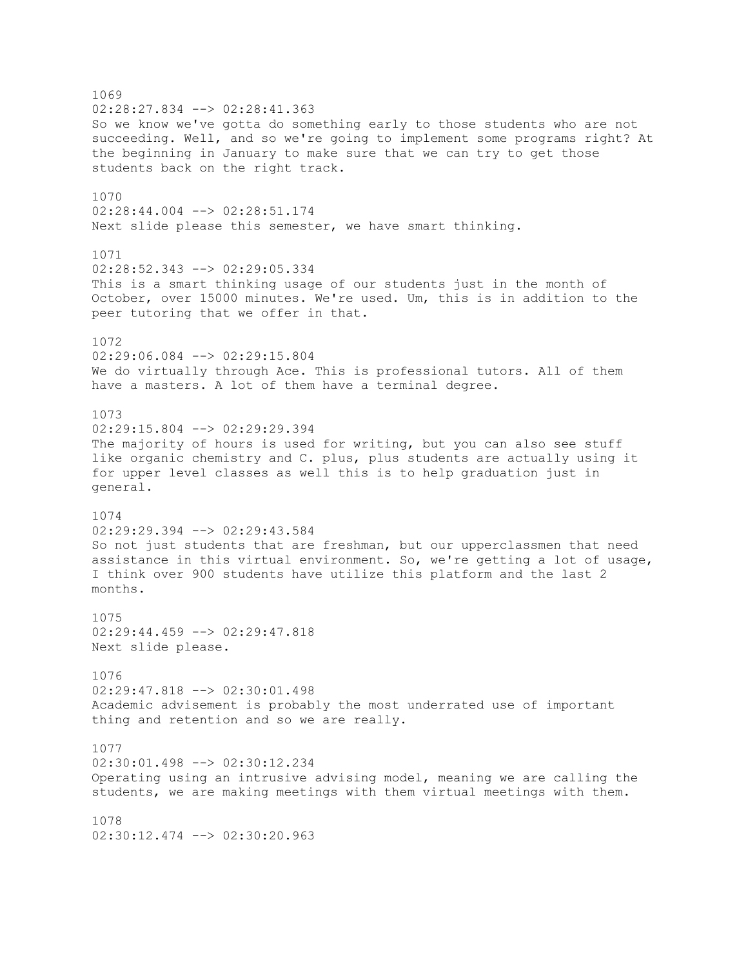1069 02:28:27.834 --> 02:28:41.363 So we know we've gotta do something early to those students who are not succeeding. Well, and so we're going to implement some programs right? At the beginning in January to make sure that we can try to get those students back on the right track. 1070 02:28:44.004 --> 02:28:51.174 Next slide please this semester, we have smart thinking. 1071 02:28:52.343 --> 02:29:05.334 This is a smart thinking usage of our students just in the month of October, over 15000 minutes. We're used. Um, this is in addition to the peer tutoring that we offer in that. 1072 02:29:06.084 --> 02:29:15.804 We do virtually through Ace. This is professional tutors. All of them have a masters. A lot of them have a terminal degree. 1073 02:29:15.804 --> 02:29:29.394 The majority of hours is used for writing, but you can also see stuff like organic chemistry and C. plus, plus students are actually using it for upper level classes as well this is to help graduation just in general. 1074 02:29:29.394 --> 02:29:43.584 So not just students that are freshman, but our upperclassmen that need assistance in this virtual environment. So, we're getting a lot of usage, I think over 900 students have utilize this platform and the last 2 months. 1075 02:29:44.459 --> 02:29:47.818 Next slide please. 1076 02:29:47.818 --> 02:30:01.498 Academic advisement is probably the most underrated use of important thing and retention and so we are really. 1077 02:30:01.498 --> 02:30:12.234 Operating using an intrusive advising model, meaning we are calling the students, we are making meetings with them virtual meetings with them. 1078 02:30:12.474 --> 02:30:20.963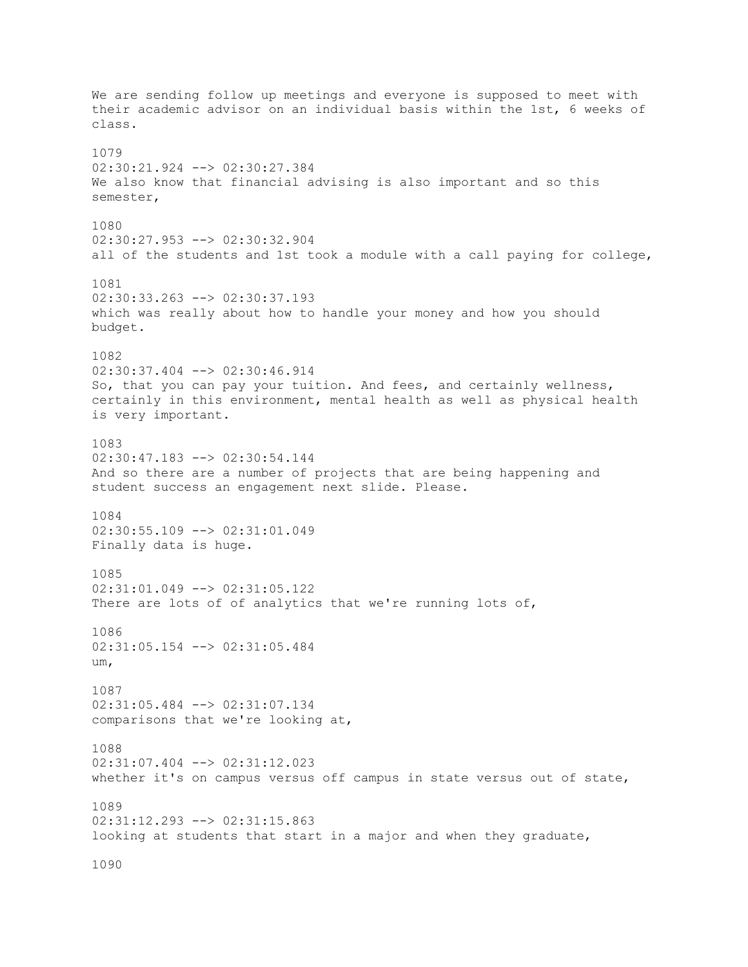We are sending follow up meetings and everyone is supposed to meet with their academic advisor on an individual basis within the 1st, 6 weeks of class. 1079 02:30:21.924 --> 02:30:27.384 We also know that financial advising is also important and so this semester, 1080 02:30:27.953 --> 02:30:32.904 all of the students and 1st took a module with a call paying for college, 1081 02:30:33.263 --> 02:30:37.193 which was really about how to handle your money and how you should budget. 1082 02:30:37.404 --> 02:30:46.914 So, that you can pay your tuition. And fees, and certainly wellness, certainly in this environment, mental health as well as physical health is very important. 1083 02:30:47.183 --> 02:30:54.144 And so there are a number of projects that are being happening and student success an engagement next slide. Please. 1084 02:30:55.109 --> 02:31:01.049 Finally data is huge. 1085 02:31:01.049 --> 02:31:05.122 There are lots of of analytics that we're running lots of, 1086 02:31:05.154 --> 02:31:05.484 um, 1087 02:31:05.484 --> 02:31:07.134 comparisons that we're looking at, 1088 02:31:07.404 --> 02:31:12.023 whether it's on campus versus off campus in state versus out of state, 1089 02:31:12.293 --> 02:31:15.863 looking at students that start in a major and when they graduate, 1090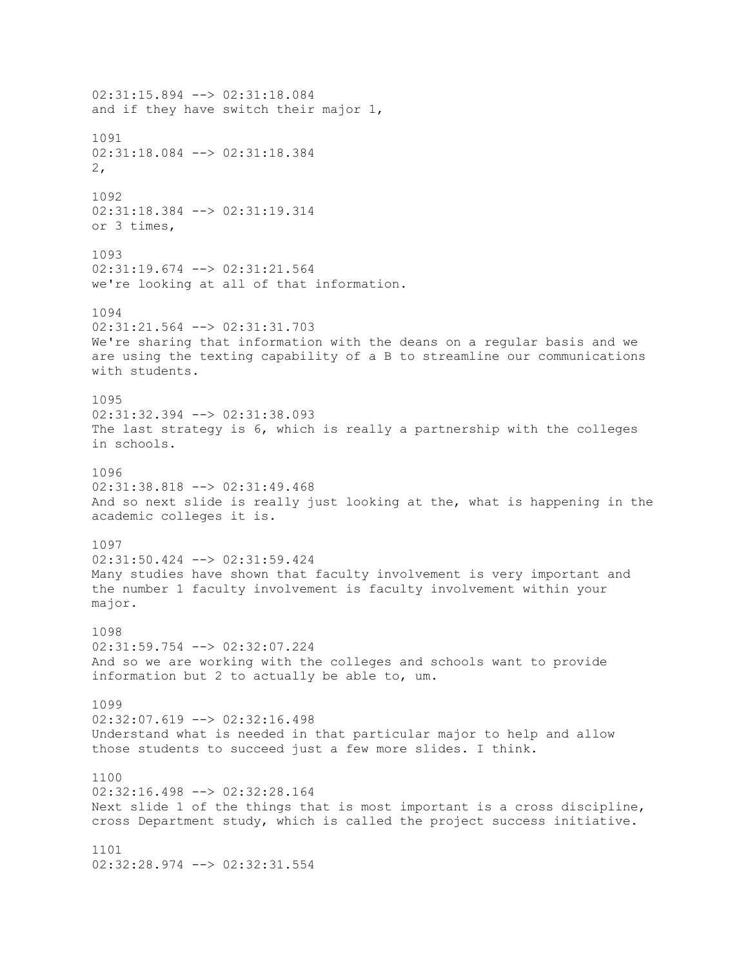02:31:15.894 --> 02:31:18.084 and if they have switch their major 1, 1091 02:31:18.084 --> 02:31:18.384 2, 1092 02:31:18.384 --> 02:31:19.314 or 3 times, 1093 02:31:19.674 --> 02:31:21.564 we're looking at all of that information. 1094 02:31:21.564 --> 02:31:31.703 We're sharing that information with the deans on a regular basis and we are using the texting capability of a B to streamline our communications with students. 1095 02:31:32.394 --> 02:31:38.093 The last strategy is 6, which is really a partnership with the colleges in schools. 1096 02:31:38.818 --> 02:31:49.468 And so next slide is really just looking at the, what is happening in the academic colleges it is. 1097 02:31:50.424 --> 02:31:59.424 Many studies have shown that faculty involvement is very important and the number 1 faculty involvement is faculty involvement within your major. 1098 02:31:59.754 --> 02:32:07.224 And so we are working with the colleges and schools want to provide information but 2 to actually be able to, um. 1099 02:32:07.619 --> 02:32:16.498 Understand what is needed in that particular major to help and allow those students to succeed just a few more slides. I think. 1100 02:32:16.498 --> 02:32:28.164 Next slide 1 of the things that is most important is a cross discipline, cross Department study, which is called the project success initiative. 1101 02:32:28.974 --> 02:32:31.554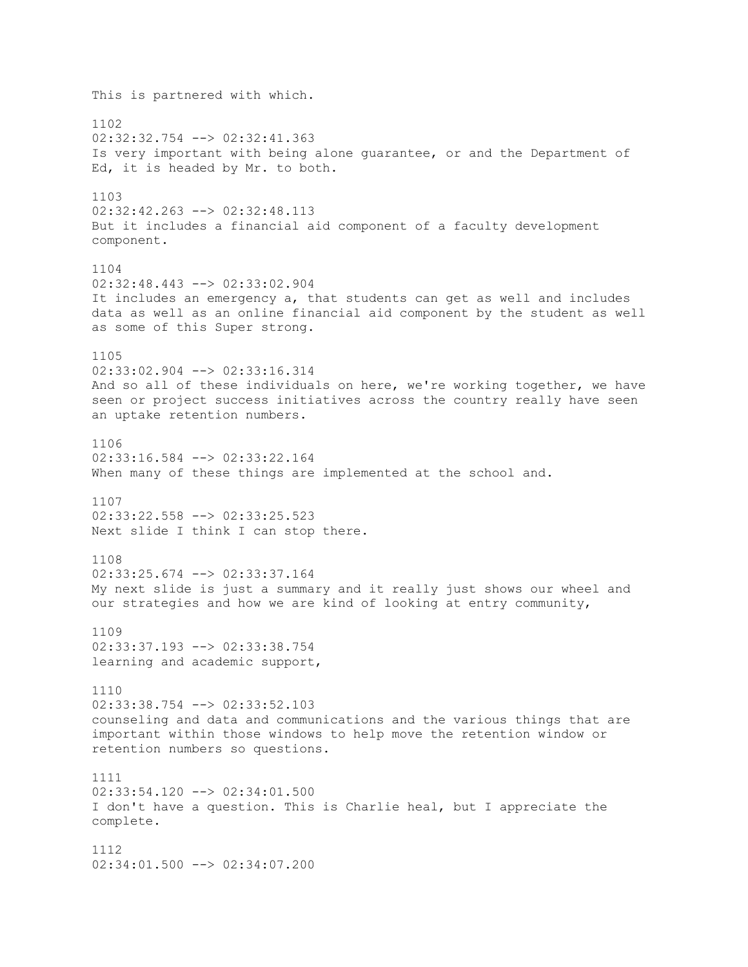This is partnered with which. 1102 02:32:32.754 --> 02:32:41.363 Is very important with being alone guarantee, or and the Department of Ed, it is headed by Mr. to both. 1103 02:32:42.263 --> 02:32:48.113 But it includes a financial aid component of a faculty development component. 1104 02:32:48.443 --> 02:33:02.904 It includes an emergency a, that students can get as well and includes data as well as an online financial aid component by the student as well as some of this Super strong. 1105 02:33:02.904 --> 02:33:16.314 And so all of these individuals on here, we're working together, we have seen or project success initiatives across the country really have seen an uptake retention numbers. 1106 02:33:16.584 --> 02:33:22.164 When many of these things are implemented at the school and. 1107 02:33:22.558 --> 02:33:25.523 Next slide I think I can stop there. 1108  $02:33:25.674$  -->  $02:33:37.164$ My next slide is just a summary and it really just shows our wheel and our strategies and how we are kind of looking at entry community, 1109 02:33:37.193 --> 02:33:38.754 learning and academic support, 1110 02:33:38.754 --> 02:33:52.103 counseling and data and communications and the various things that are important within those windows to help move the retention window or retention numbers so questions. 1111 02:33:54.120 --> 02:34:01.500 I don't have a question. This is Charlie heal, but I appreciate the complete. 1112 02:34:01.500 --> 02:34:07.200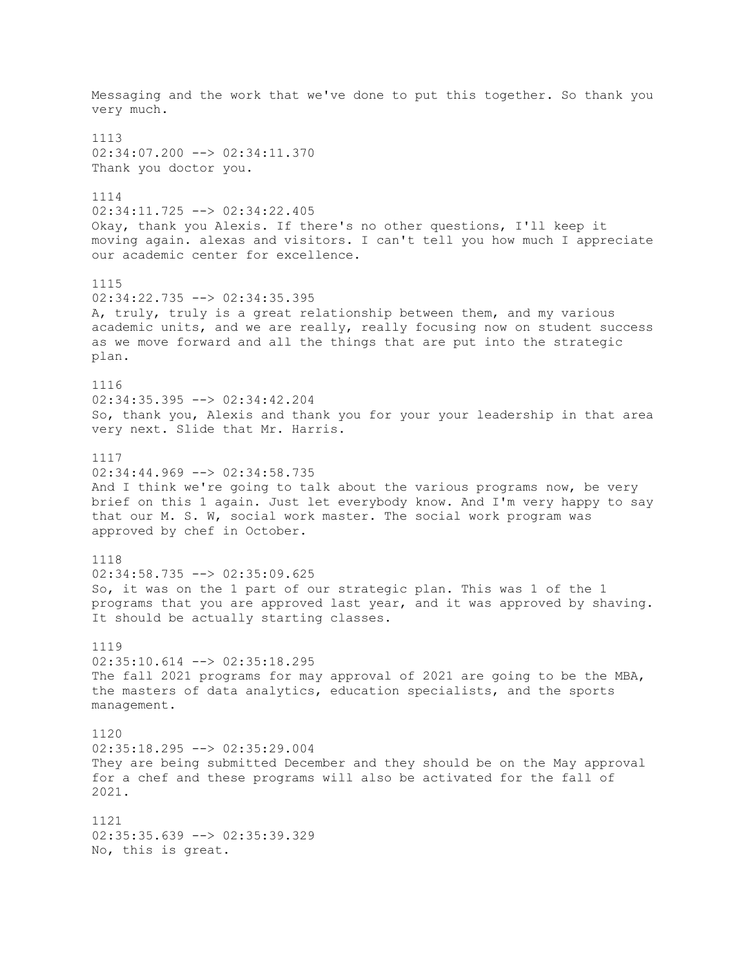Messaging and the work that we've done to put this together. So thank you very much. 1113 02:34:07.200 --> 02:34:11.370 Thank you doctor you. 1114 02:34:11.725 --> 02:34:22.405 Okay, thank you Alexis. If there's no other questions, I'll keep it moving again. alexas and visitors. I can't tell you how much I appreciate our academic center for excellence. 1115 02:34:22.735 --> 02:34:35.395 A, truly, truly is a great relationship between them, and my various academic units, and we are really, really focusing now on student success as we move forward and all the things that are put into the strategic plan. 1116 02:34:35.395 --> 02:34:42.204 So, thank you, Alexis and thank you for your your leadership in that area very next. Slide that Mr. Harris. 1117  $02:34:44.969$  -->  $02:34:58.735$ And I think we're going to talk about the various programs now, be very brief on this 1 again. Just let everybody know. And I'm very happy to say that our M. S. W, social work master. The social work program was approved by chef in October. 1118  $02:34:58.735$   $\leftarrow$   $>$  02:35:09.625 So, it was on the 1 part of our strategic plan. This was 1 of the 1 programs that you are approved last year, and it was approved by shaving. It should be actually starting classes. 1119 02:35:10.614 --> 02:35:18.295 The fall 2021 programs for may approval of 2021 are going to be the MBA, the masters of data analytics, education specialists, and the sports management. 1120 02:35:18.295 --> 02:35:29.004 They are being submitted December and they should be on the May approval for a chef and these programs will also be activated for the fall of 2021. 1121 02:35:35.639 --> 02:35:39.329 No, this is great.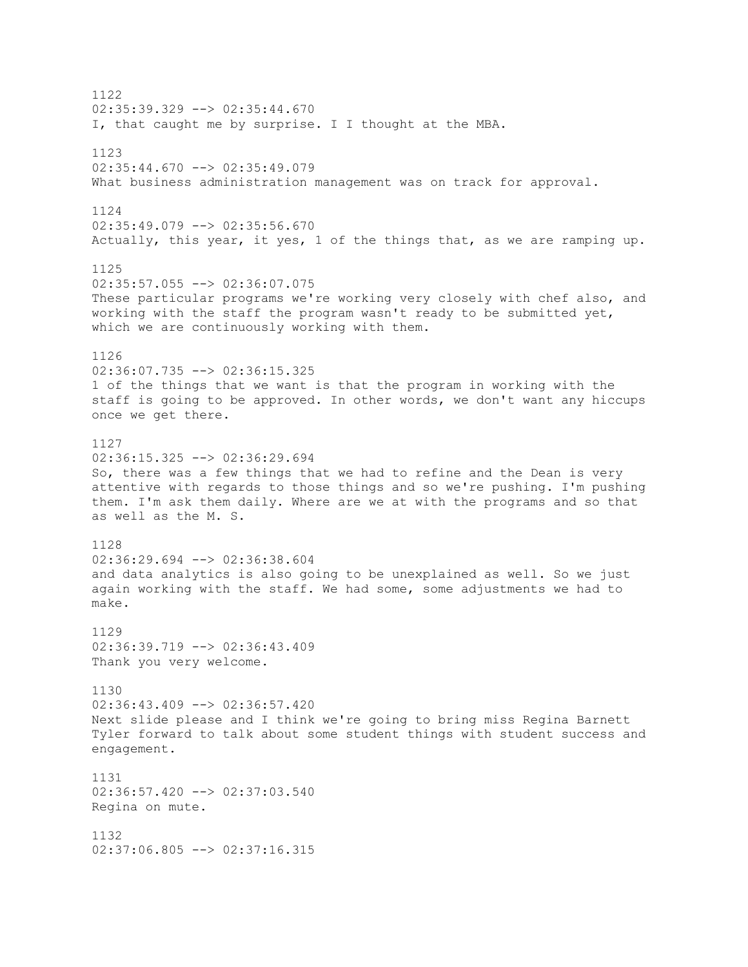1122  $02:35:39.329$  -->  $02:35:44.670$ I, that caught me by surprise. I I thought at the MBA. 1123  $02:35:44.670$  -->  $02:35:49.079$ What business administration management was on track for approval. 1124 02:35:49.079 --> 02:35:56.670 Actually, this year, it yes, 1 of the things that, as we are ramping up. 1125 02:35:57.055 --> 02:36:07.075 These particular programs we're working very closely with chef also, and working with the staff the program wasn't ready to be submitted yet, which we are continuously working with them. 1126 02:36:07.735 --> 02:36:15.325 1 of the things that we want is that the program in working with the staff is going to be approved. In other words, we don't want any hiccups once we get there. 1127 02:36:15.325 --> 02:36:29.694 So, there was a few things that we had to refine and the Dean is very attentive with regards to those things and so we're pushing. I'm pushing them. I'm ask them daily. Where are we at with the programs and so that as well as the M. S. 1128 02:36:29.694 --> 02:36:38.604 and data analytics is also going to be unexplained as well. So we just again working with the staff. We had some, some adjustments we had to make. 1129 02:36:39.719 --> 02:36:43.409 Thank you very welcome. 1130 02:36:43.409 --> 02:36:57.420 Next slide please and I think we're going to bring miss Regina Barnett Tyler forward to talk about some student things with student success and engagement. 1131 02:36:57.420 --> 02:37:03.540 Regina on mute. 1132 02:37:06.805 --> 02:37:16.315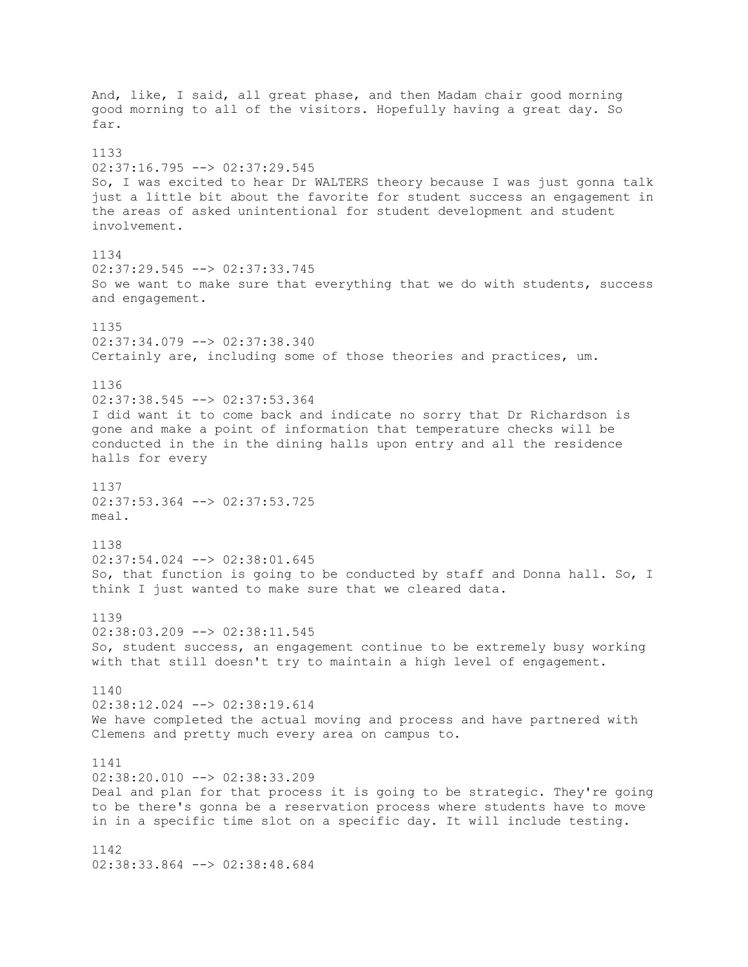And, like, I said, all great phase, and then Madam chair good morning good morning to all of the visitors. Hopefully having a great day. So far. 1133  $02:37:16.795$  -->  $02:37:29.545$ So, I was excited to hear Dr WALTERS theory because I was just gonna talk just a little bit about the favorite for student success an engagement in the areas of asked unintentional for student development and student involvement. 1134 02:37:29.545 --> 02:37:33.745 So we want to make sure that everything that we do with students, success and engagement. 1135 02:37:34.079 --> 02:37:38.340 Certainly are, including some of those theories and practices, um. 1136 02:37:38.545 --> 02:37:53.364 I did want it to come back and indicate no sorry that Dr Richardson is gone and make a point of information that temperature checks will be conducted in the in the dining halls upon entry and all the residence halls for every 1137 02:37:53.364 --> 02:37:53.725 meal. 1138 02:37:54.024 --> 02:38:01.645 So, that function is going to be conducted by staff and Donna hall. So, I think I just wanted to make sure that we cleared data. 1139 02:38:03.209 --> 02:38:11.545 So, student success, an engagement continue to be extremely busy working with that still doesn't try to maintain a high level of engagement. 1140 02:38:12.024 --> 02:38:19.614 We have completed the actual moving and process and have partnered with Clemens and pretty much every area on campus to. 1141 02:38:20.010 --> 02:38:33.209 Deal and plan for that process it is going to be strategic. They're going to be there's gonna be a reservation process where students have to move in in a specific time slot on a specific day. It will include testing. 1142 02:38:33.864 --> 02:38:48.684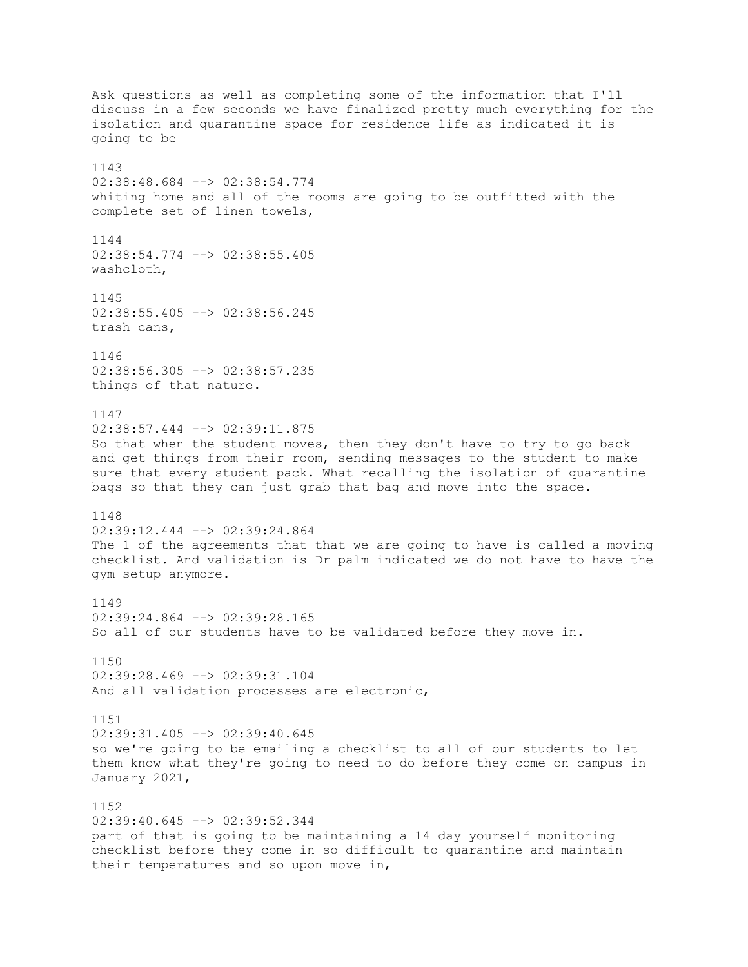Ask questions as well as completing some of the information that I'll discuss in a few seconds we have finalized pretty much everything for the isolation and quarantine space for residence life as indicated it is going to be 1143 02:38:48.684 --> 02:38:54.774 whiting home and all of the rooms are going to be outfitted with the complete set of linen towels, 1144 02:38:54.774 --> 02:38:55.405 washcloth, 1145 02:38:55.405 --> 02:38:56.245 trash cans, 1146 02:38:56.305 --> 02:38:57.235 things of that nature. 1147 02:38:57.444 --> 02:39:11.875 So that when the student moves, then they don't have to try to go back and get things from their room, sending messages to the student to make sure that every student pack. What recalling the isolation of quarantine bags so that they can just grab that bag and move into the space. 1148 02:39:12.444 --> 02:39:24.864 The 1 of the agreements that that we are going to have is called a moving checklist. And validation is Dr palm indicated we do not have to have the gym setup anymore. 1149 02:39:24.864 --> 02:39:28.165 So all of our students have to be validated before they move in. 1150 02:39:28.469 --> 02:39:31.104 And all validation processes are electronic, 1151  $02:39:31.405$  -->  $02:39:40.645$ so we're going to be emailing a checklist to all of our students to let them know what they're going to need to do before they come on campus in January 2021, 1152 02:39:40.645 --> 02:39:52.344 part of that is going to be maintaining a 14 day yourself monitoring checklist before they come in so difficult to quarantine and maintain their temperatures and so upon move in,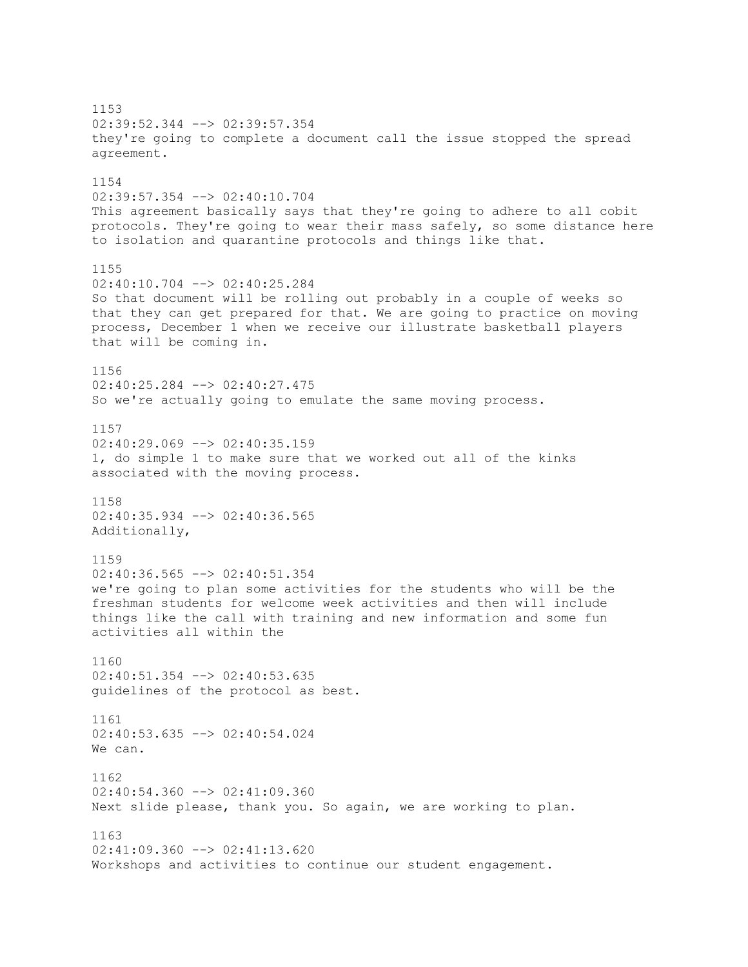1153 02:39:52.344 --> 02:39:57.354 they're going to complete a document call the issue stopped the spread agreement. 1154 02:39:57.354 --> 02:40:10.704 This agreement basically says that they're going to adhere to all cobit protocols. They're going to wear their mass safely, so some distance here to isolation and quarantine protocols and things like that. 1155 02:40:10.704 --> 02:40:25.284 So that document will be rolling out probably in a couple of weeks so that they can get prepared for that. We are going to practice on moving process, December 1 when we receive our illustrate basketball players that will be coming in. 1156 02:40:25.284 --> 02:40:27.475 So we're actually going to emulate the same moving process. 1157 02:40:29.069 --> 02:40:35.159 1, do simple 1 to make sure that we worked out all of the kinks associated with the moving process. 1158 02:40:35.934 --> 02:40:36.565 Additionally, 1159  $02:40:36.565$   $\longrightarrow$   $02:40:51.354$ we're going to plan some activities for the students who will be the freshman students for welcome week activities and then will include things like the call with training and new information and some fun activities all within the 1160 02:40:51.354 --> 02:40:53.635 guidelines of the protocol as best. 1161 02:40:53.635 --> 02:40:54.024 We can. 1162  $02:40:54.360$  -->  $02:41:09.360$ Next slide please, thank you. So again, we are working to plan. 1163 02:41:09.360 --> 02:41:13.620 Workshops and activities to continue our student engagement.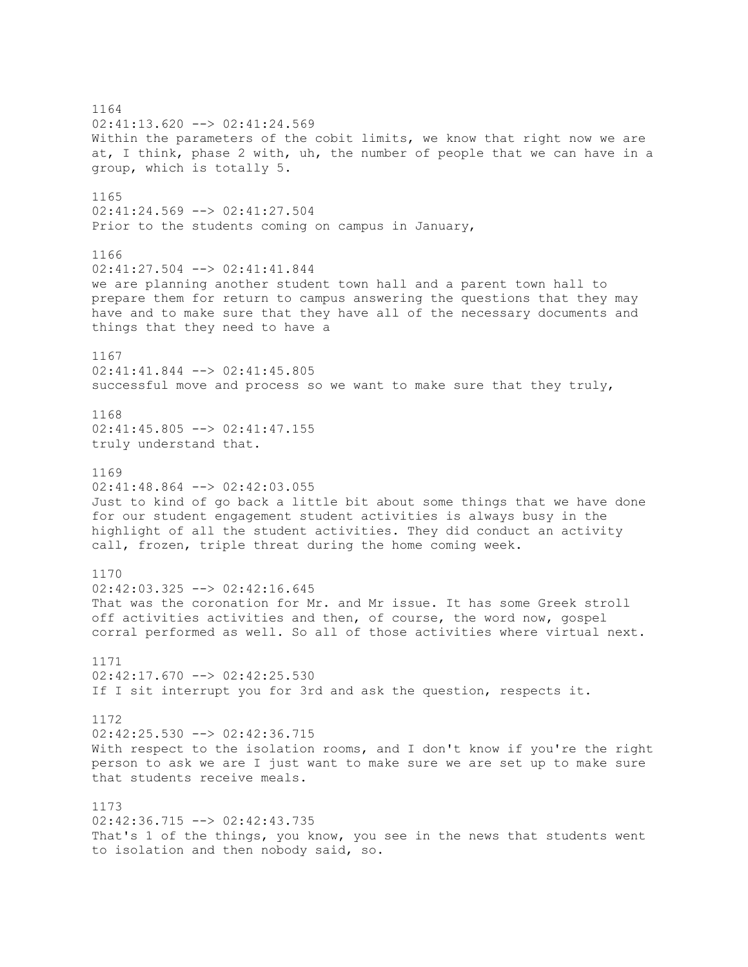1164 02:41:13.620 --> 02:41:24.569 Within the parameters of the cobit limits, we know that right now we are at, I think, phase 2 with, uh, the number of people that we can have in a group, which is totally 5. 1165 02:41:24.569 --> 02:41:27.504 Prior to the students coming on campus in January, 1166 02:41:27.504 --> 02:41:41.844 we are planning another student town hall and a parent town hall to prepare them for return to campus answering the questions that they may have and to make sure that they have all of the necessary documents and things that they need to have a 1167 02:41:41.844 --> 02:41:45.805 successful move and process so we want to make sure that they truly, 1168  $02:41:45.805$  -->  $02:41:47.155$ truly understand that. 1169  $02:41:48.864$   $\leftarrow$   $\gt$  02:42:03.055 Just to kind of go back a little bit about some things that we have done for our student engagement student activities is always busy in the highlight of all the student activities. They did conduct an activity call, frozen, triple threat during the home coming week. 1170 02:42:03.325 --> 02:42:16.645 That was the coronation for Mr. and Mr issue. It has some Greek stroll off activities activities and then, of course, the word now, gospel corral performed as well. So all of those activities where virtual next. 1171 02:42:17.670 --> 02:42:25.530 If I sit interrupt you for 3rd and ask the question, respects it. 1172  $02:42:25.530$  -->  $02:42:36.715$ With respect to the isolation rooms, and I don't know if you're the right person to ask we are I just want to make sure we are set up to make sure that students receive meals. 1173 02:42:36.715 --> 02:42:43.735 That's 1 of the things, you know, you see in the news that students went to isolation and then nobody said, so.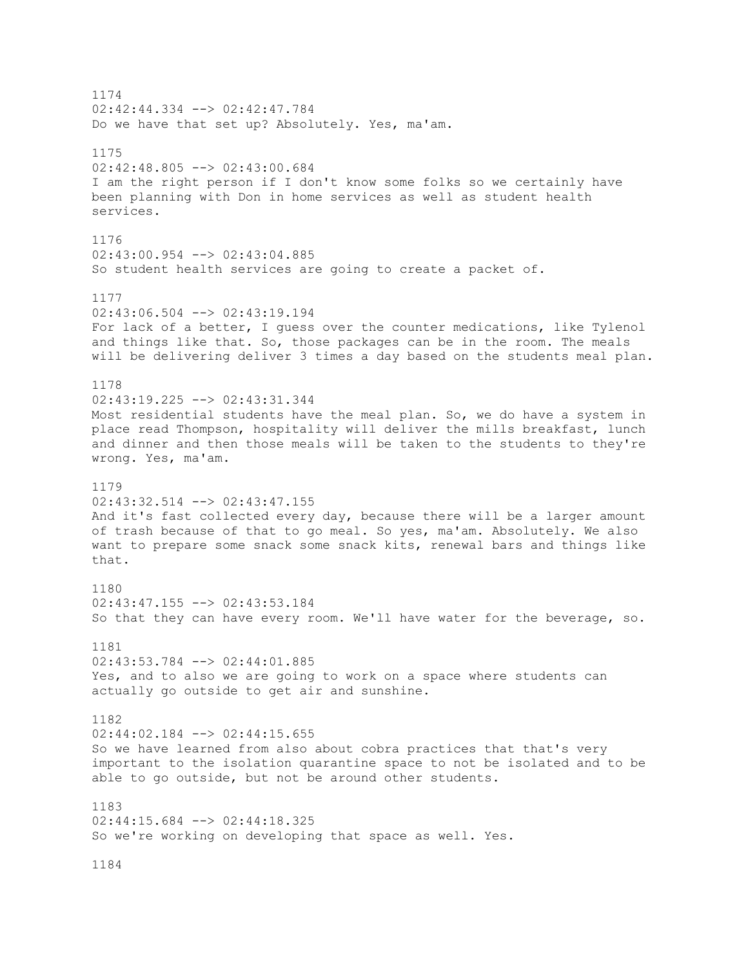1174 02:42:44.334 --> 02:42:47.784 Do we have that set up? Absolutely. Yes, ma'am. 1175 02:42:48.805 --> 02:43:00.684 I am the right person if I don't know some folks so we certainly have been planning with Don in home services as well as student health services. 1176 02:43:00.954 --> 02:43:04.885 So student health services are going to create a packet of. 1177  $02:43:06.504$   $\leftarrow$   $>$  02:43:19.194 For lack of a better, I guess over the counter medications, like Tylenol and things like that. So, those packages can be in the room. The meals will be delivering deliver 3 times a day based on the students meal plan. 1178 02:43:19.225 --> 02:43:31.344 Most residential students have the meal plan. So, we do have a system in place read Thompson, hospitality will deliver the mills breakfast, lunch and dinner and then those meals will be taken to the students to they're wrong. Yes, ma'am. 1179 02:43:32.514 --> 02:43:47.155 And it's fast collected every day, because there will be a larger amount of trash because of that to go meal. So yes, ma'am. Absolutely. We also want to prepare some snack some snack kits, renewal bars and things like that. 1180 02:43:47.155 --> 02:43:53.184 So that they can have every room. We'll have water for the beverage, so. 1181 02:43:53.784 --> 02:44:01.885 Yes, and to also we are going to work on a space where students can actually go outside to get air and sunshine. 1182  $02:44:02.184$  -->  $02:44:15.655$ So we have learned from also about cobra practices that that's very important to the isolation quarantine space to not be isolated and to be able to go outside, but not be around other students. 1183 02:44:15.684 --> 02:44:18.325 So we're working on developing that space as well. Yes. 1184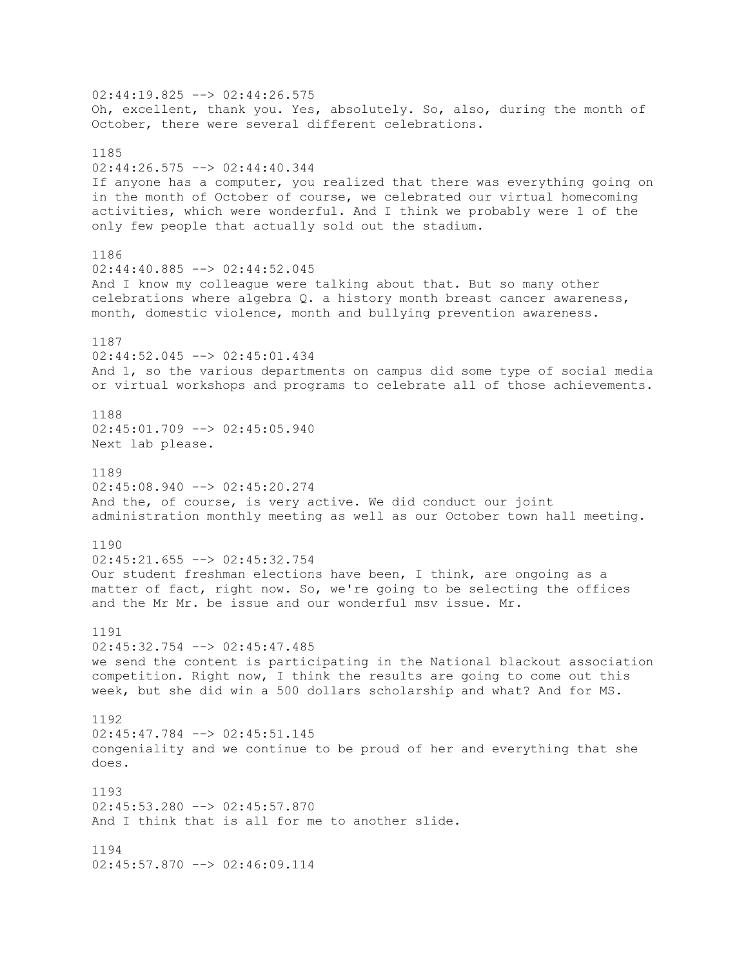02:44:19.825 --> 02:44:26.575 Oh, excellent, thank you. Yes, absolutely. So, also, during the month of October, there were several different celebrations. 1185 02:44:26.575 --> 02:44:40.344 If anyone has a computer, you realized that there was everything going on in the month of October of course, we celebrated our virtual homecoming activities, which were wonderful. And I think we probably were 1 of the only few people that actually sold out the stadium. 1186 02:44:40.885 --> 02:44:52.045 And I know my colleague were talking about that. But so many other celebrations where algebra Q. a history month breast cancer awareness, month, domestic violence, month and bullying prevention awareness. 1187 02:44:52.045 --> 02:45:01.434 And 1, so the various departments on campus did some type of social media or virtual workshops and programs to celebrate all of those achievements. 1188 02:45:01.709 --> 02:45:05.940 Next lab please. 1189 02:45:08.940 --> 02:45:20.274 And the, of course, is very active. We did conduct our joint administration monthly meeting as well as our October town hall meeting. 1190 02:45:21.655 --> 02:45:32.754 Our student freshman elections have been, I think, are ongoing as a matter of fact, right now. So, we're going to be selecting the offices and the Mr Mr. be issue and our wonderful msv issue. Mr. 1191 02:45:32.754 --> 02:45:47.485 we send the content is participating in the National blackout association competition. Right now, I think the results are going to come out this week, but she did win a 500 dollars scholarship and what? And for MS. 1192 02:45:47.784 --> 02:45:51.145 congeniality and we continue to be proud of her and everything that she does. 1193 02:45:53.280 --> 02:45:57.870 And I think that is all for me to another slide. 1194 02:45:57.870 --> 02:46:09.114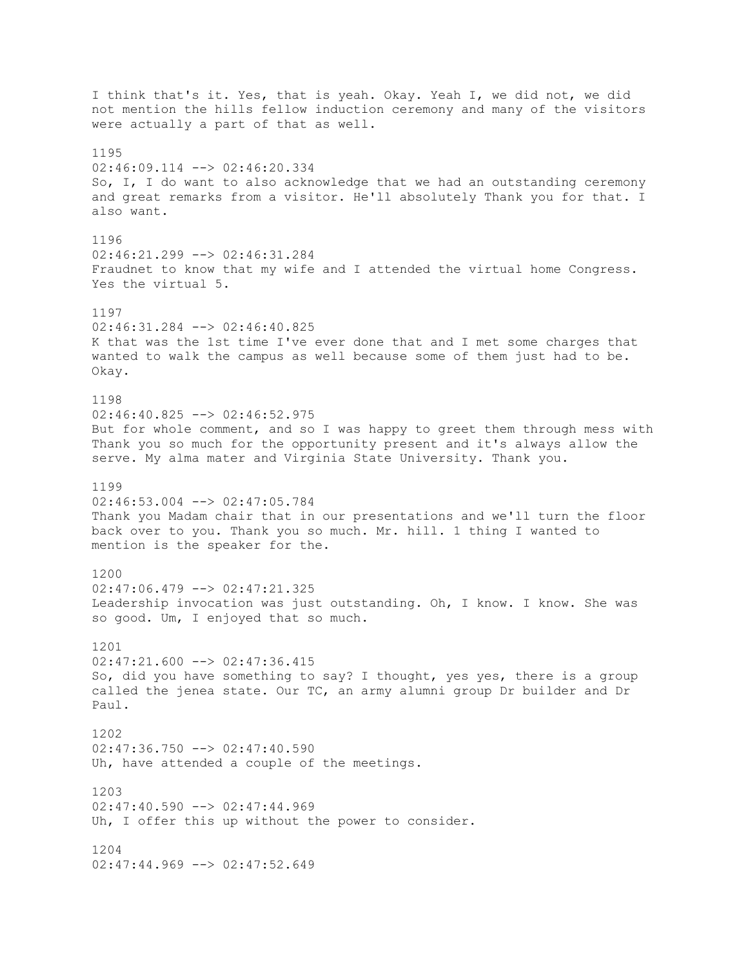I think that's it. Yes, that is yeah. Okay. Yeah I, we did not, we did not mention the hills fellow induction ceremony and many of the visitors were actually a part of that as well. 1195 02:46:09.114 --> 02:46:20.334 So, I, I do want to also acknowledge that we had an outstanding ceremony and great remarks from a visitor. He'll absolutely Thank you for that. I also want. 1196 02:46:21.299 --> 02:46:31.284 Fraudnet to know that my wife and I attended the virtual home Congress. Yes the virtual 5. 1197 02:46:31.284 --> 02:46:40.825 K that was the 1st time I've ever done that and I met some charges that wanted to walk the campus as well because some of them just had to be. Okay. 1198 02:46:40.825 --> 02:46:52.975 But for whole comment, and so I was happy to greet them through mess with Thank you so much for the opportunity present and it's always allow the serve. My alma mater and Virginia State University. Thank you. 1199 02:46:53.004 --> 02:47:05.784 Thank you Madam chair that in our presentations and we'll turn the floor back over to you. Thank you so much. Mr. hill. 1 thing I wanted to mention is the speaker for the. 1200 02:47:06.479 --> 02:47:21.325 Leadership invocation was just outstanding. Oh, I know. I know. She was so good. Um, I enjoyed that so much. 1201  $02:47:21.600$  -->  $02:47:36.415$ So, did you have something to say? I thought, yes yes, there is a group called the jenea state. Our TC, an army alumni group Dr builder and Dr Paul. 1202 02:47:36.750 --> 02:47:40.590 Uh, have attended a couple of the meetings. 1203  $02:47:40.590$  -->  $02:47:44.969$ Uh, I offer this up without the power to consider. 1204 02:47:44.969 --> 02:47:52.649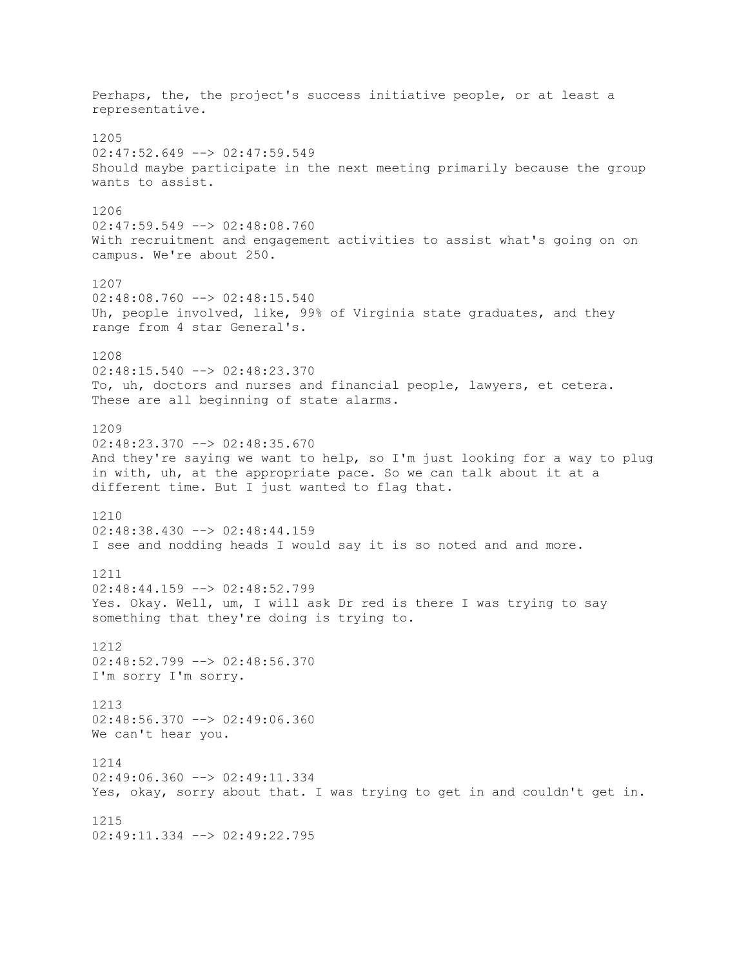Perhaps, the, the project's success initiative people, or at least a representative. 1205 02:47:52.649 --> 02:47:59.549 Should maybe participate in the next meeting primarily because the group wants to assist. 1206 02:47:59.549 --> 02:48:08.760 With recruitment and engagement activities to assist what's going on on campus. We're about 250. 1207  $02:48:08.760$  -->  $02:48:15.540$ Uh, people involved, like, 99% of Virginia state graduates, and they range from 4 star General's. 1208 02:48:15.540 --> 02:48:23.370 To, uh, doctors and nurses and financial people, lawyers, et cetera. These are all beginning of state alarms. 1209 02:48:23.370 --> 02:48:35.670 And they're saying we want to help, so I'm just looking for a way to plug in with, uh, at the appropriate pace. So we can talk about it at a different time. But I just wanted to flag that. 1210 02:48:38.430 --> 02:48:44.159 I see and nodding heads I would say it is so noted and and more. 1211 02:48:44.159 --> 02:48:52.799 Yes. Okay. Well, um, I will ask Dr red is there I was trying to say something that they're doing is trying to. 1212 02:48:52.799 --> 02:48:56.370 I'm sorry I'm sorry. 1213 02:48:56.370 --> 02:49:06.360 We can't hear you. 1214 02:49:06.360 --> 02:49:11.334 Yes, okay, sorry about that. I was trying to get in and couldn't get in. 1215 02:49:11.334 --> 02:49:22.795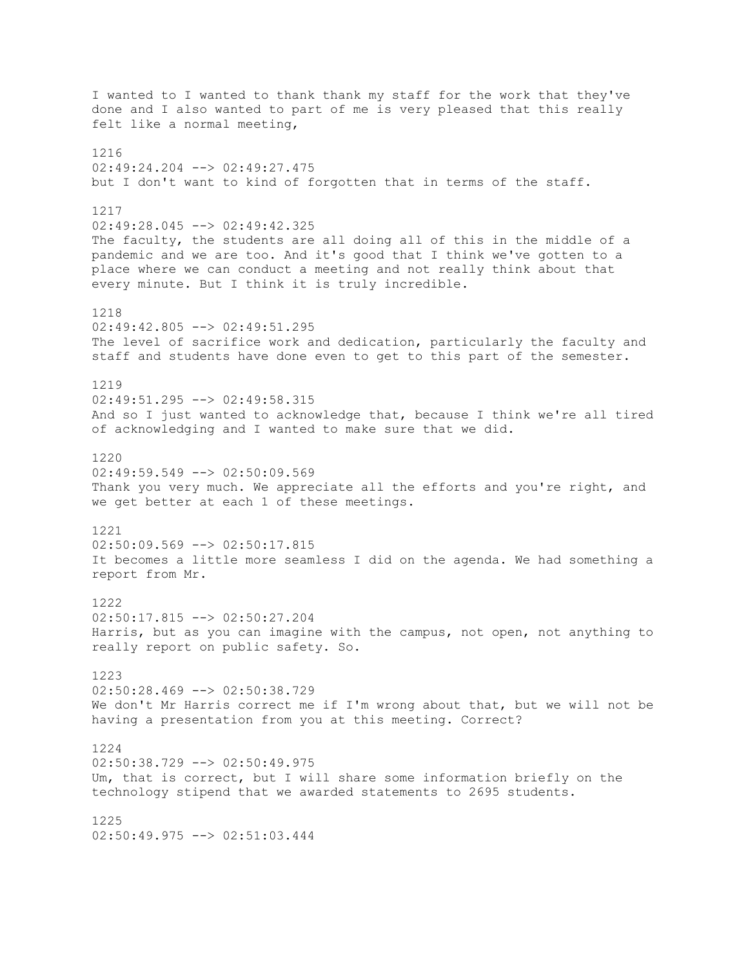I wanted to I wanted to thank thank my staff for the work that they've done and I also wanted to part of me is very pleased that this really felt like a normal meeting, 1216 02:49:24.204 --> 02:49:27.475 but I don't want to kind of forgotten that in terms of the staff. 1217 02:49:28.045 --> 02:49:42.325 The faculty, the students are all doing all of this in the middle of a pandemic and we are too. And it's good that I think we've gotten to a place where we can conduct a meeting and not really think about that every minute. But I think it is truly incredible. 1218 02:49:42.805 --> 02:49:51.295 The level of sacrifice work and dedication, particularly the faculty and staff and students have done even to get to this part of the semester. 1219 02:49:51.295 --> 02:49:58.315 And so I just wanted to acknowledge that, because I think we're all tired of acknowledging and I wanted to make sure that we did. 1220  $02:49:59.549$  -->  $02:50:09.569$ Thank you very much. We appreciate all the efforts and you're right, and we get better at each 1 of these meetings. 1221  $02:50:09.569$  -->  $02:50:17.815$ It becomes a little more seamless I did on the agenda. We had something a report from Mr. 1222 02:50:17.815 --> 02:50:27.204 Harris, but as you can imagine with the campus, not open, not anything to really report on public safety. So. 1223 02:50:28.469 --> 02:50:38.729 We don't Mr Harris correct me if I'm wrong about that, but we will not be having a presentation from you at this meeting. Correct? 1224 02:50:38.729 --> 02:50:49.975 Um, that is correct, but I will share some information briefly on the technology stipend that we awarded statements to 2695 students. 1225 02:50:49.975 --> 02:51:03.444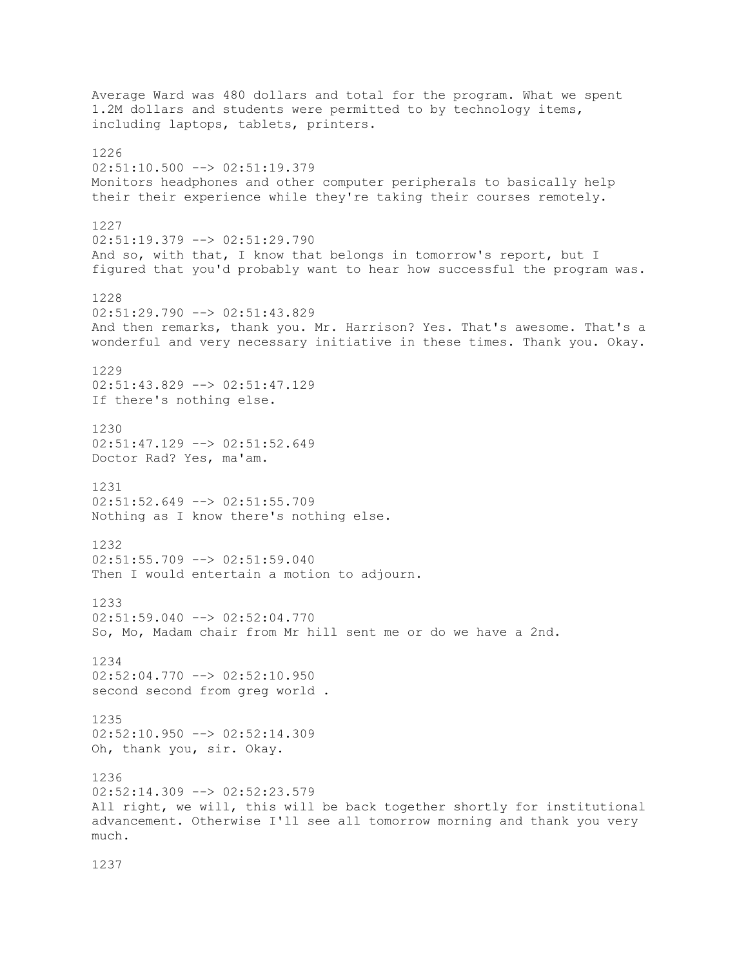Average Ward was 480 dollars and total for the program. What we spent 1.2M dollars and students were permitted to by technology items, including laptops, tablets, printers. 1226 02:51:10.500 --> 02:51:19.379 Monitors headphones and other computer peripherals to basically help their their experience while they're taking their courses remotely. 1227 02:51:19.379 --> 02:51:29.790 And so, with that, I know that belongs in tomorrow's report, but I figured that you'd probably want to hear how successful the program was. 1228  $02:51:29.790$  -->  $02:51:43.829$ And then remarks, thank you. Mr. Harrison? Yes. That's awesome. That's a wonderful and very necessary initiative in these times. Thank you. Okay. 1229 02:51:43.829 --> 02:51:47.129 If there's nothing else. 1230 02:51:47.129 --> 02:51:52.649 Doctor Rad? Yes, ma'am. 1231 02:51:52.649 --> 02:51:55.709 Nothing as I know there's nothing else. 1232 02:51:55.709 --> 02:51:59.040 Then I would entertain a motion to adjourn. 1233 02:51:59.040 --> 02:52:04.770 So, Mo, Madam chair from Mr hill sent me or do we have a 2nd. 1234 02:52:04.770 --> 02:52:10.950 second second from greg world . 1235  $02:52:10.950$  -->  $02:52:14.309$ Oh, thank you, sir. Okay. 1236  $02:52:14.309$  -->  $02:52:23.579$ All right, we will, this will be back together shortly for institutional advancement. Otherwise I'll see all tomorrow morning and thank you very much.

1237